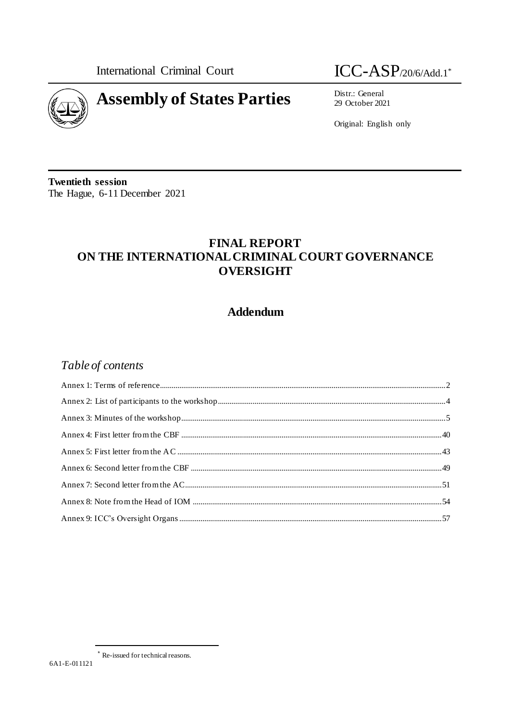**International Criminal Court** 



 $ICC-ASP$ /20/6/Add.1\*

Distr.: General 29 October 2021

Original: English only

**Twentieth session** The Hague, 6-11 December 2021

# **FINAL REPORT** ON THE INTERNATIONAL CRIMINAL COURT GOVERNANCE **OVERSIGHT**

# **Addendum**

# Table of contents

Re-issued for technical reasons.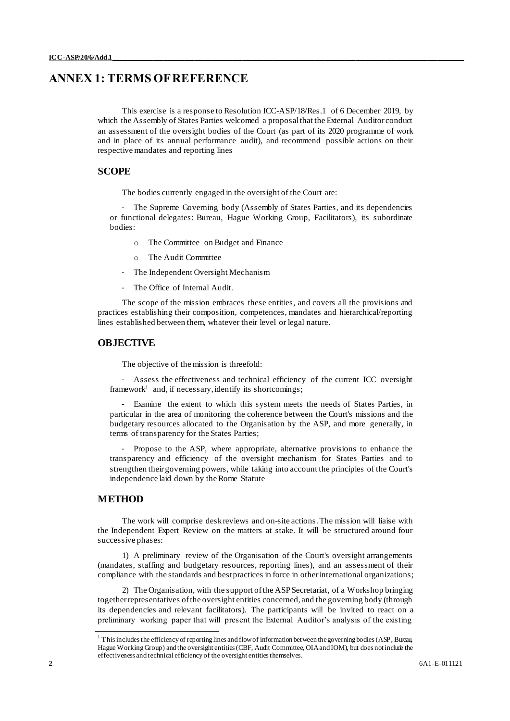# <span id="page-1-0"></span>**ANNEX 1: TERMS OF REFERENCE**

This exercise is a response to Resolution ICC-ASP/18/Res.1 of 6 December 2019, by which the Assembly of States Parties welcomed a proposal that the External Auditor conduct an assessment of the oversight bodies of the Court (as part of its 2020 programme of work and in place of its annual performance audit), and recommend possible actions on their respective mandates and reporting lines

# **SCOPE**

The bodies currently engaged in the oversight of the Court are:

- The Supreme Governing body (Assembly of States Parties, and its dependencies or functional delegates: Bureau, Hague Working Group, Facilitators), its subordinate bodies:

- o The Committee on Budget and Finance
- o The Audit Committee
- The Independent Oversight Mechanism
- The Office of Internal Audit.

The scope of the mission embraces these entities, and covers all the provisions and practices establishing their composition, competences, mandates and hierarchical/reporting lines established between them, whatever their level or legal nature.

# **OBJECTIVE**

The objective of the mission is threefold:

- Assess the effectiveness and technical efficiency of the current ICC oversight  $framework<sup>1</sup>$  and, if necessary, identify its shortcomings;

Examine the extent to which this system meets the needs of States Parties, in particular in the area of monitoring the coherence between the Court's missions and the budgetary resources allocated to the Organisation by the ASP, and more generally, in terms of transparency for the States Parties;

- Propose to the ASP, where appropriate, alternative provisions to enhance the transparency and efficiency of the oversight mechanism for States Parties and to strengthen their governing powers, while taking into account the principles of the Court's independence laid down by the Rome Statute

# **METHOD**

The work will comprise desk reviews and on-site actions. The mission will liaise with the Independent Expert Review on the matters at stake. It will be structured around four successive phases:

1) A preliminary review of the Organisation of the Court's oversight arrangements (mandates, staffing and budgetary resources, reporting lines), and an assessment of their compliance with the standards and best practices in force in other international organizations;

2) The Organisation, with the support of the ASP Secretariat, of a Workshop bringing together representatives of the oversight entities concerned, and the governing body (through its dependencies and relevant facilitators). The participants will be invited to react on a preliminary working paper that will present the External Auditor's analysis of the existing

<sup>&</sup>lt;sup>1</sup> This includes the efficiency of reporting lines and flow of information between the governing bodies (ASP, Bureau, Hague Working Group) and the oversight entities (CBF, Audit Committee, OIA and IOM), but does not include the effectiveness and technical efficiency of the oversight entities themselves.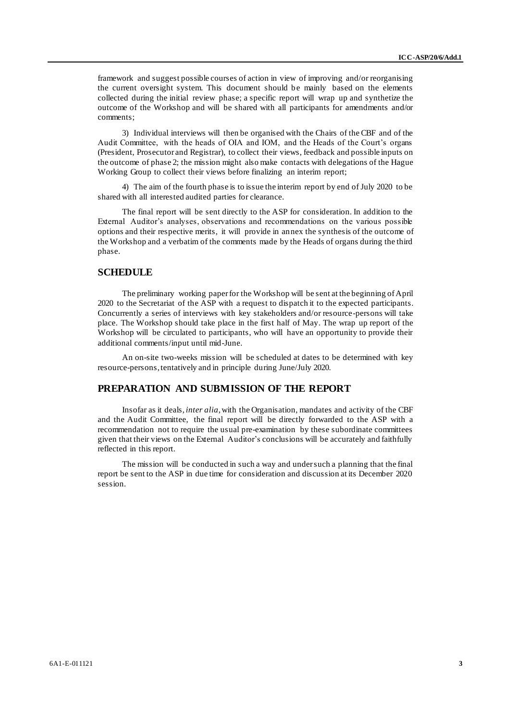framework and suggest possible courses of action in view of improving and/or reorganising the current oversight system. This document should be mainly based on the elements collected during the initial review phase; a specific report will wrap up and synthetize the outcome of the Workshop and will be shared with all participants for amendments and/or comments;

3) Individual interviews will then be organised with the Chairs of the CBF and of the Audit Committee, with the heads of OIA and IOM, and the Heads of the Court's organs (President, Prosecutor and Registrar), to collect their views, feedback and possible inputs on the outcome of phase 2; the mission might also make contacts with delegations of the Hague Working Group to collect their views before finalizing an interim report;

4) The aim of the fourth phase is to issue the interim report by end of July 2020 to be shared with all interested audited parties for clearance.

The final report will be sent directly to the ASP for consideration. In addition to the External Auditor's analyses, observations and recommendations on the various possible options and their respective merits, it will provide in annex the synthesis of the outcome of the Workshop and a verbatim of the comments made by the Heads of organs during the third phase.

## **SCHEDULE**

The preliminary working paper for the Workshop will be sent at the beginning of April 2020 to the Secretariat of the ASP with a request to dispatch it to the expected participants. Concurrently a series of interviews with key stakeholders and/or resource-persons will take place. The Workshop should take place in the first half of May. The wrap up report of the Workshop will be circulated to participants, who will have an opportunity to provide their additional comments/input until mid-June.

An on-site two-weeks mission will be scheduled at dates to be determined with key resource-persons, tentatively and in principle during June/July 2020.

# **PREPARATION AND SUBMISSION OF THE REPORT**

Insofar as it deals, *inter alia*, with the Organisation, mandates and activity of the CBF and the Audit Committee, the final report will be directly forwarded to the ASP with a recommendation not to require the usual pre-examination by these subordinate committees given that their views on the External Auditor's conclusions will be accurately and faithfully reflected in this report.

The mission will be conducted in such a way and under such a planning that the final report be sent to the ASP in due time for consideration and discussion at its December 2020 session.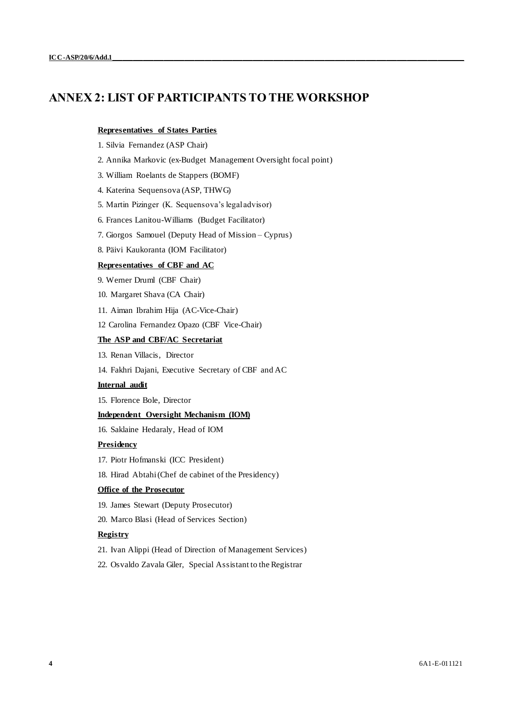# <span id="page-3-0"></span>**ANNEX 2: LIST OF PARTICIPANTS TO THE WORKSHOP**

## **Representatives of States Parties**

- 1. Silvia Fernandez (ASP Chair)
- 2. Annika Markovic (ex-Budget Management Oversight focal point)
- 3. William Roelants de Stappers (BOMF)
- 4. Katerina Sequensova (ASP, THWG)
- 5. Martin Pizinger (K. Sequensova's legal advisor)
- 6. Frances Lanitou-Williams (Budget Facilitator)
- 7. Giorgos Samouel (Deputy Head of Mission Cyprus)
- 8. Päivi Kaukoranta (IOM Facilitator)

## **Representatives of CBF and AC**

- 9. Werner Druml (CBF Chair)
- 10. Margaret Shava (CA Chair)
- 11. Aiman Ibrahim Hija (AC-Vice-Chair)
- 12 Carolina Fernandez Opazo (CBF Vice-Chair)

## **The ASP and CBF/AC Secretariat**

- 13. Renan Villacis, Director
- 14. Fakhri Dajani, Executive Secretary of CBF and AC

## **Internal audit**

15. Florence Bole, Director

### **Independent Oversight Mechanism (IOM)**

16. Saklaine Hedaraly, Head of IOM

## **Presidency**

- 17. Piotr Hofmanski (ICC President)
- 18. Hirad Abtahi (Chef de cabinet of the Presidency)

### **Office of the Prosecutor**

- 19. James Stewart (Deputy Prosecutor)
- 20. Marco Blasi (Head of Services Section)

### **Registry**

- 21. Ivan Alippi (Head of Direction of Management Services)
- 22. Osvaldo Zavala Giler, Special Assistant to the Registrar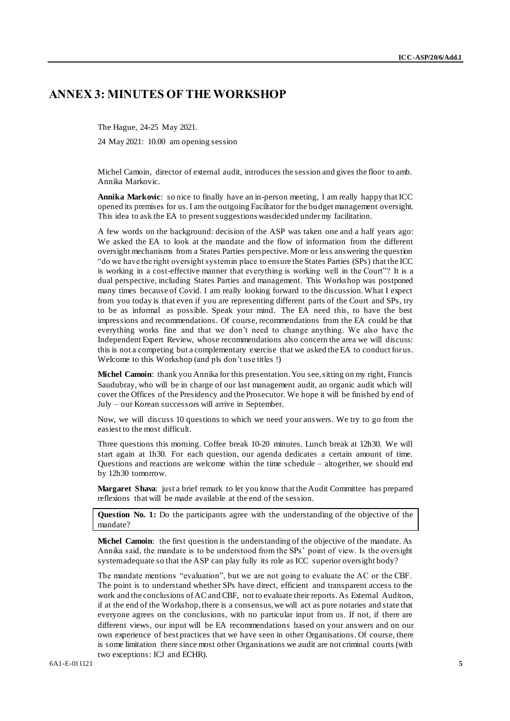# <span id="page-4-0"></span>**ANNEX 3: MINUTES OF THE WORKSHOP**

The Hague, 24-25 May 2021.

24 May 2021: 10.00 am opening session

Michel Camoin, director of external audit, introduces the session and gives the floor to amb. Annika Markovic.

**Annika Markovic**: so nice to finally have an in-person meeting, I am really happy that ICC opened its premises for us. I am the outgoing Faciltator for the budget management oversight. This idea to ask the EA to present suggestions wasdecided under my facilitation.

A few words on the background: decision of the ASP was taken one and a half years ago: We asked the EA to look at the mandate and the flow of information from the different oversight mechanisms from a States Parties perspective. More or less answering the question "do we have the right oversight system in place to ensure the States Parties (SPs) that the ICC is working in a cost-effective manner that everything is working well in the Court"? It is a dual perspective, including States Parties and management. This Workshop was postponed many times because of Covid. I am really looking forward to the discussion. What I expect from you today is that even if you are representing different parts of the Court and SPs, try to be as informal as possible. Speak your mind. The EA need this, to have the best impressions and recommendations. Of course, recommendations from the EA could be that everything works fine and that we don't need to change anything. We also have the Independent Expert Review, whose recommendations also concern the area we will discuss: this is not a competing but a complementary exercise that we asked the EA to conduct for us. Welcome to this Workshop (and pls don't use titles !)

**Michel Camoin**: thank you Annika for this presentation. You see, sitting on my right, Francis Saudubray, who will be in charge of our last management audit, an organic audit which will cover the Offices of the Presidency and the Prosecutor. We hope it will be finished by end of July – our Korean successors will arrive in September.

Now, we will discuss 10 questions to which we need your answers. We try to go from the easiest to the most difficult.

Three questions this morning. Coffee break 10-20 minutes. Lunch break at 12h30. We will start again at 1h30. For each question, our agenda dedicates a certain amount of time. Questions and reactions are welcome within the time schedule – altogether, we should end by 12h30 tomorrow.

**Margaret Shava**: just a brief remark to let you know that the Audit Committee has prepared reflexions that will be made available at the end of the session.

**Question No. 1:** Do the participants agree with the understanding of the objective of the mandate?

**Michel Camoin**: the first question is the understanding of the objective of the mandate. As Annika said, the mandate is to be understood from the SPs' point of view. Is the oversight system adequate so that the ASP can play fully its role as ICC superior oversight body?

The mandate mentions "evaluation", but we are not going to evaluate the AC or the CBF. The point is to understand whether SPs have direct, efficient and transparent access to the work and the conclusions of AC and CBF, not to evaluate their reports. As External Auditors, if at the end of the Workshop, there is a consensus, we will act as pure notaries and state that everyone agrees on the conclusions, with no particular input from us. If not, if there are different views, our input will be EA recommendations based on your answers and on our own experience of best practices that we have seen in other Organisations. Of course, there is some limitation there since most other Organisations we audit are not criminal courts (with two exceptions: ICJ and ECHR).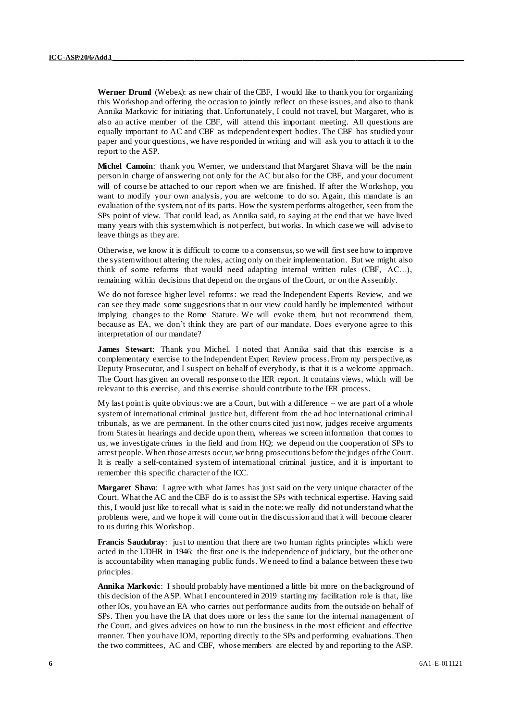**Werner Druml** (Webex): as new chair of the CBF, I would like to thank you for organizing this Workshop and offering the occasion to jointly reflect on these issues, and also to thank Annika Markovic for initiating that. Unfortunately, I could not travel, but Margaret, who is also an active member of the CBF, will attend this important meeting. All questions are equally important to AC and CBF as independent expert bodies. The CBF has studied your paper and your questions, we have responded in writing and will ask you to attach it to the report to the ASP.

**Michel Camoin**: thank you Werner, we understand that Margaret Shava will be the main person in charge of answering not only for the AC but also for the CBF, and your document will of course be attached to our report when we are finished. If after the Workshop, you want to modify your own analysis, you are welcome to do so. Again, this mandate is an evaluation of the system, not of its parts. How the system performs altogether, seen from the SPs point of view. That could lead, as Annika said, to saying at the end that we have lived many years with this system which is not perfect, but works. In which case we will advise to leave things as they are.

Otherwise, we know it is difficult to come to a consensus, so we will first see how to improve the system without altering the rules, acting only on their implementation. But we might also think of some reforms that would need adapting internal written rules (CBF, AC…), remaining within decisions that depend on the organs of the Court, or on the Assembly.

We do not foresee higher level reforms: we read the Independent Experts Review, and we can see they made some suggestions that in our view could hardly be implemented without implying changes to the Rome Statute. We will evoke them, but not recommend them, because as EA, we don't think they are part of our mandate. Does everyone agree to this interpretation of our mandate?

**James Stewart**: Thank you Michel. I noted that Annika said that this exercise is a complementary exercise to the Independent Expert Review process. From my perspective, as Deputy Prosecutor, and I suspect on behalf of everybody, is that it is a welcome approach. The Court has given an overall response to the IER report. It contains views, which will be relevant to this exercise, and this exercise should contribute to the IER process.

My last point is quite obvious: we are a Court, but with a difference – we are part of a whole system of international criminal justice but, different from the ad hoc international criminal tribunals, as we are permanent. In the other courts cited just now, judges receive arguments from States in hearings and decide upon them, whereas we screen information that comes to us, we investigate crimes in the field and from HQ; we depend on the cooperation of SPs to arrest people. When those arrests occur, we bring prosecutions before the judges of the Court. It is really a self-contained system of international criminal justice, and it is important to remember this specific character of the ICC.

**Margaret Shava**: I agree with what James has just said on the very unique character of the Court. What the AC and the CBF do is to assist the SPs with technical expertise. Having said this, I would just like to recall what is said in the note: we really did not understand what the problems were, and we hope it will come out in the discussion and that it will become clearer to us during this Workshop.

**Francis Saudubray**: just to mention that there are two human rights principles which were acted in the UDHR in 1946: the first one is the independence of judiciary, but the other one is accountability when managing public funds. We need to find a balance between these two principles.

**Annika Markovic**: I should probably have mentioned a little bit more on the background of this decision of the ASP. What I encountered in 2019 starting my facilitation role is that, like other IOs, you have an EA who carries out performance audits from the outside on behalf of SPs. Then you have the IA that does more or less the same for the internal management of the Court, and gives advices on how to run the business in the most efficient and effective manner. Then you have IOM, reporting directly to the SPs and performing evaluations. Then the two committees, AC and CBF, whose members are elected by and reporting to the ASP.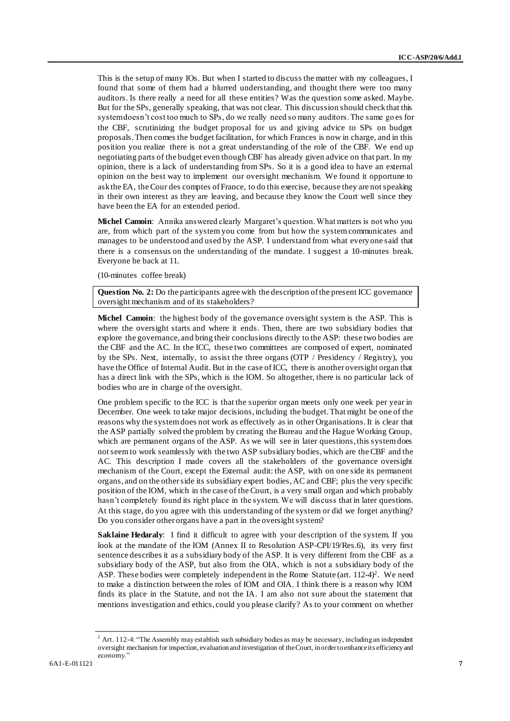This is the setup of many IOs. But when I started to discuss the matter with my colleagues, I found that some of them had a blurred understanding, and thought there were too many auditors. Is there really a need for all these entities? Was the question some asked. Maybe. But for the SPs, generally speaking, that was not clear. This discussion should check that this system doesn't cost too much to SPs, do we really need so many auditors. The same go es for the CBF, scrutinizing the budget proposal for us and giving advice to SPs on budget proposals. Then comes the budget facilitation, for which Frances is now in charge, and in this position you realize there is not a great understanding of the role of the CBF. We end up negotiating parts of the budget even though CBF has already given advice on that part. In my opinion, there is a lack of understanding from SPs. So it is a good idea to have an external opinion on the best way to implement our oversight mechanism. We found it opportune to ask the EA, the Cour des comptes of France, to do this exercise, because they are not speaking in their own interest as they are leaving, and because they know the Court well since they have been the EA for an extended period.

**Michel Camoin**: Annika answered clearly Margaret's question. What matters is not who you are, from which part of the system you come from but how the system communicates and manages to be understood and used by the ASP. I understand from what every one said that there is a consensus on the understanding of the mandate. I suggest a 10-minutes break. Everyone be back at 11.

(10-minutes coffee break)

**Question No. 2:** Do the participants agree with the description of the present ICC governance oversight mechanism and of its stakeholders?

**Michel Camoin**: the highest body of the governance oversight system is the ASP. This is where the oversight starts and where it ends. Then, there are two subsidiary bodies that explore the governance, and bring their conclusions directly to the ASP: these two bodies are the CBF and the AC. In the ICC, these two committees are composed of expert, nominated by the SPs. Next, internally, to assist the three organs (OTP / Presidency / Registry), you have the Office of Internal Audit. But in the case of ICC, there is another oversight organ that has a direct link with the SPs, which is the IOM. So altogether, there is no particular lack of bodies who are in charge of the oversight.

One problem specific to the ICC is that the superior organ meets only one week per year in December. One week to take major decisions, including the budget. That might be one of the reasons why the system does not work as effectively as in other Organisations. It is clear that the ASP partially solved the problem by creating the Bureau and the Hague Working Group, which are permanent organs of the ASP. As we will see in later questions, this system does not seem to work seamlessly with the two ASP subsidiary bodies, which are the CBF and the AC. This description I made covers all the stakeholders of the governance oversight mechanism of the Court, except the External audit: the ASP, with on one side its permanent organs, and on the other side its subsidiary expert bodies, AC and CBF; plus the very specific position of the IOM, which in the case of the Court, is a very small organ and which probably hasn't completely found its right place in the system. We will discuss that in later questions. At this stage, do you agree with this understanding of the system or did we forget anything? Do you consider other organs have a part in the oversight system?

**Saklaine Hedaraly**: I find it difficult to agree with your description of the system. If you look at the mandate of the IOM (Annex II to Resolution ASP-CPI/19/Res.6), its very first sentence describes it as a subsidiary body of the ASP. It is very different from the CBF as a subsidiary body of the ASP, but also from the OIA, which is not a subsidiary body of the ASP. These bodies were completely independent in the Rome Statute (art. 112-4)<sup>2</sup>. We need to make a distinction between the roles of IOM and OIA. I think there is a reason why IOM finds its place in the Statute, and not the IA. I am also not sure about the statement that mentions investigation and ethics, could you please clarify? As to your comment on whether

<sup>2</sup> Art. 112-4: "The Assembly may establish such subsidiary bodies as may be necessary, including an independent oversight mechanism for inspection, evaluation and investigation of the Court, in order to enhance its efficiency and economy."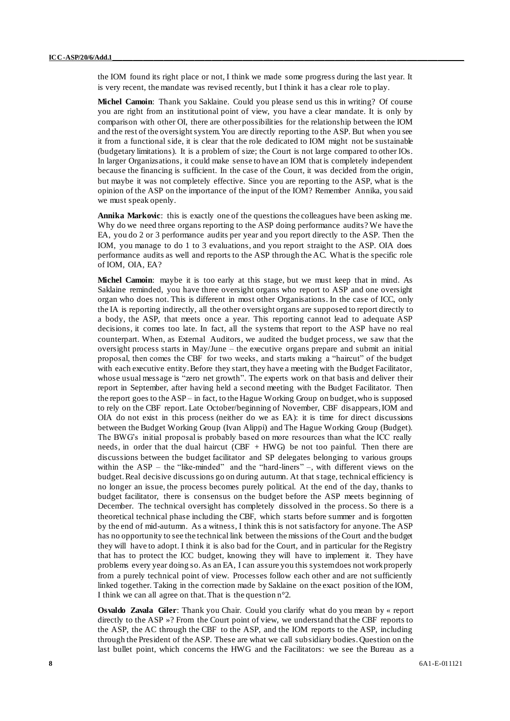the IOM found its right place or not, I think we made some progress during the last year. It is very recent, the mandate was revised recently, but I think it has a clear role to play.

**Michel Camoin**: Thank you Saklaine. Could you please send us this in writing? Of course you are right from an institutional point of view, you have a clear mandate. It is only by comparison with other OI, there are other possibilities for the relationship between the IOM and the rest of the oversight system. You are directly reporting to the ASP. But when you see it from a functional side, it is clear that the role dedicated to IOM might not be sustainable (budgetary limitations). It is a problem of size; the Court is not large compared to other IOs. In larger Organizsations, it could make sense to have an IOM that is completely independent because the financing is sufficient. In the case of the Court, it was decided from the origin, but maybe it was not completely effective. Since you are reporting to the ASP, what is the opinion of the ASP on the importance of the input of the IOM? Remember Annika, you said we must speak openly.

**Annika Markovic**: this is exactly one of the questions the colleagues have been asking me. Why do we need three organs reporting to the ASP doing performance audits? We have the EA, you do 2 or 3 performance audits per year and you report directly to the ASP. Then the IOM, you manage to do 1 to 3 evaluations, and you report straight to the ASP. OIA does performance audits as well and reports to the ASP through the AC. What is the specific role of IOM, OIA, EA?

**Michel Camoin**: maybe it is too early at this stage, but we must keep that in mind. As Saklaine reminded, you have three oversight organs who report to ASP and one oversight organ who does not. This is different in most other Organisations. In the case of ICC, only the IA is reporting indirectly, all the other oversight organs are supposed to report directly to a body, the ASP, that meets once a year. This reporting cannot lead to adequate ASP decisions, it comes too late. In fact, all the systems that report to the ASP have no real counterpart. When, as External Auditors, we audited the budget process, we saw that the oversight process starts in May/June – the executive organs prepare and submit an initial proposal, then comes the CBF for two weeks, and starts making a "haircut" of the budget with each executive entity. Before they start, they have a meeting with the Budget Facilitator, whose usual message is "zero net growth". The experts work on that basis and deliver their report in September, after having held a second meeting with the Budget Facilitator. Then the report goes to the ASP – in fact, to the Hague Working Group on budget, who is supposed to rely on the CBF report. Late October/beginning of November, CBF disappears, IOM and OIA do not exist in this process (neither do we as EA): it is time for direct discussions between the Budget Working Group (Ivan Alippi) and The Hague Working Group (Budget). The BWG's initial proposal is probably based on more resources than what the ICC really needs, in order that the dual haircut (CBF + HWG) be not too painful. Then there are discussions between the budget facilitator and SP delegates belonging to various groups within the ASP – the "like-minded" and the "hard-liners" –, with different views on the budget. Real decisive discussions go on during autumn. At that stage, technical efficiency is no longer an issue, the process becomes purely political. At the end of the day, thanks to budget facilitator, there is consensus on the budget before the ASP meets beginning of December. The technical oversight has completely dissolved in the process. So there is a theoretical technical phase including the CBF, which starts before summer and is forgotten by the end of mid-autumn. As a witness, I think this is not satisfactory for anyone. The ASP has no opportunity to see the technical link between the missions of the Court and the budget they will have to adopt. I think it is also bad for the Court, and in particular for the Registry that has to protect the ICC budget, knowing they will have to implement it. They have problems every year doing so. As an EA, I can assure you this system does not work properly from a purely technical point of view. Processes follow each other and are not sufficiently linked together. Taking in the correction made by Saklaine on the exact position of the IOM, I think we can all agree on that. That is the question n°2.

**Osvaldo Zavala Giler**: Thank you Chair. Could you clarify what do you mean by « report directly to the ASP »? From the Court point of view, we understand that the CBF reports to the ASP, the AC through the CBF to the ASP, and the IOM reports to the ASP, including through the President of the ASP. These are what we call subsidiary bodies. Question on the last bullet point, which concerns the HWG and the Facilitators: we see the Bureau as a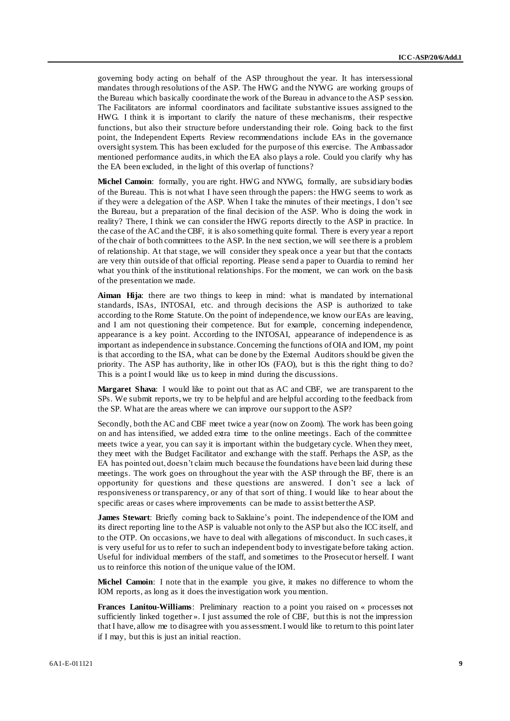governing body acting on behalf of the ASP throughout the year. It has intersessional mandates through resolutions of the ASP. The HWG and the NYWG are working groups of the Bureau which basically coordinate the work of the Bureau in advance to the ASP session. The Facilitators are informal coordinators and facilitate substantive issues assigned to the HWG. I think it is important to clarify the nature of these mechanisms, their respective functions, but also their structure before understanding their role. Going back to the first point, the Independent Experts Review recommendations include EAs in the governance oversight system. This has been excluded for the purpose of this exercise. The Ambassador mentioned performance audits, in which the EA also plays a role. Could you clarify why has the EA been excluded, in the light of this overlap of functions?

**Michel Camoin**: formally, you are right. HWG and NYWG, formally, are subsidiary bodies of the Bureau. This is not what I have seen through the papers: the HWG seems to work as if they were a delegation of the ASP. When I take the minutes of their meetings, I don't see the Bureau, but a preparation of the final decision of the ASP. Who is doing the work in reality? There, I think we can consider the HWG reports directly to the ASP in practice. In the case of the AC and the CBF, it is also something quite formal. There is every year a report of the chair of both committees to the ASP. In the next section, we will see there is a problem of relationship. At that stage, we will consider they speak once a year but that the contacts are very thin outside of that official reporting. Please send a paper to Ouardia to remind her what you think of the institutional relationships. For the moment, we can work on the basis of the presentation we made.

**Aiman Hija**: there are two things to keep in mind: what is mandated by international standards, ISAs, INTOSAI, etc. and through decisions the ASP is authorized to take according to the Rome Statute. On the point of independence, we know our EAs are leaving, and I am not questioning their competence. But for example, concerning independence, appearance is a key point. According to the INTOSAI, appearance of independence is as important as independence in substance. Concerning the functions of OIA and IOM, my point is that according to the ISA, what can be done by the External Auditors should be given the priority. The ASP has authority, like in other IOs (FAO), but is this the right thing to do? This is a point I would like us to keep in mind during the discussions.

**Margaret Shava**: I would like to point out that as AC and CBF, we are transparent to the SPs. We submit reports, we try to be helpful and are helpful according to the feedback from the SP. What are the areas where we can improve our support to the ASP?

Secondly, both the AC and CBF meet twice a year (now on Zoom). The work has been going on and has intensified, we added extra time to the online meetings. Each of the committee meets twice a year, you can say it is important within the budgetary cycle. When they meet, they meet with the Budget Facilitator and exchange with the staff. Perhaps the ASP, as the EA has pointed out, doesn't claim much because the foundations have been laid during these meetings. The work goes on throughout the year with the ASP through the BF, there is an opportunity for questions and these questions are answered. I don't see a lack of responsiveness or transparency, or any of that sort of thing. I would like to hear about the specific areas or cases where improvements can be made to assist better the ASP.

**James Stewart**: Briefly coming back to Saklaine's point. The independence of the IOM and its direct reporting line to the ASP is valuable not only to the ASP but also the ICC itself, and to the OTP. On occasions, we have to deal with allegations of misconduct. In such cases, it is very useful for us to refer to such an independent body to investigate before taking action. Useful for individual members of the staff, and sometimes to the Prosecutor herself. I want us to reinforce this notion of the unique value of the IOM.

**Michel Camoin**: I note that in the example you give, it makes no difference to whom the IOM reports, as long as it does the investigation work you mention.

**Frances Lanitou-Williams**: Preliminary reaction to a point you raised on « processes not sufficiently linked together ». I just assumed the role of CBF, but this is not the impression that I have, allow me to disagree with you assessment. I would like to return to this point later if I may, but this is just an initial reaction.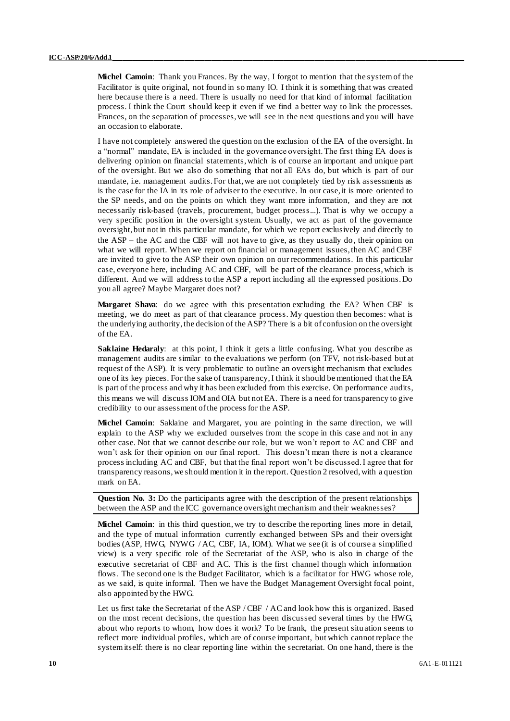**Michel Camoin**: Thank you Frances. By the way, I forgot to mention that the system of the Facilitator is quite original, not found in so many IO. I think it is something that was created here because there is a need. There is usually no need for that kind of informal facilitation process. I think the Court should keep it even if we find a better way to link the processes. Frances, on the separation of processes, we will see in the next questions and you will have an occasion to elaborate.

I have not completely answered the question on the exclusion of the EA of the oversight. In a "normal" mandate, EA is included in the governance oversight. The first thing EA does is delivering opinion on financial statements, which is of course an important and unique part of the oversight. But we also do something that not all EAs do, but which is part of our mandate, i.e. management audits. For that, we are not completely tied by risk assessments as is the case for the IA in its role of adviser to the executive. In our case, it is more oriented to the SP needs, and on the points on which they want more information, and they are not necessarily risk-based (travels, procurement, budget process...). That is why we occupy a very specific position in the oversight system. Usually, we act as part of the governance oversight, but not in this particular mandate, for which we report exclusively and directly to the ASP – the AC and the CBF will not have to give, as they usually do, their opinion on what we will report. When we report on financial or management issues, then AC and CBF are invited to give to the ASP their own opinion on our recommendations. In this particular case, everyone here, including AC and CBF, will be part of the clearance process, which is different. And we will address to the ASP a report including all the expressed positions. Do you all agree? Maybe Margaret does not?

**Margaret Shava**: do we agree with this presentation excluding the EA? When CBF is meeting, we do meet as part of that clearance process. My question then becomes: what is the underlying authority, the decision of the ASP? There is a bit of confusion on the oversight of the EA.

**Saklaine Hedaraly:** at this point, I think it gets a little confusing. What you describe as management audits are similar to the evaluations we perform (on TFV, not risk-based but at request of the ASP). It is very problematic to outline an oversight mechanism that excludes one of its key pieces. For the sake of transparency, I think it should be mentioned that the EA is part of the process and why it has been excluded from this exercise. On performance audits, this means we will discuss IOM and OIA but not EA. There is a need for transparency to give credibility to our assessment of the process for the ASP.

**Michel Camoin**: Saklaine and Margaret, you are pointing in the same direction, we will explain to the ASP why we excluded ourselves from the scope in this case and not in any other case. Not that we cannot describe our role, but we won't report to AC and CBF and won't ask for their opinion on our final report. This doesn't mean there is not a clearance process including AC and CBF, but that the final report won't be discussed. I agree that for transparency reasons, we should mention it in the report. Question 2 resolved, with a question mark on EA.

**Question No. 3:** Do the participants agree with the description of the present relationships between the ASP and the ICC governance oversight mechanism and their weaknesses?

**Michel Camoin**: in this third question, we try to describe the reporting lines more in detail, and the type of mutual information currently exchanged between SPs and their oversight bodies (ASP, HWG, NYWG / AC, CBF, IA, IOM). What we see (it is of course a simplified view) is a very specific role of the Secretariat of the ASP, who is also in charge of the executive secretariat of CBF and AC. This is the first channel though which information flows. The second one is the Budget Facilitator, which is a facilitator for HWG whose role, as we said, is quite informal. Then we have the Budget Management Oversight focal point, also appointed by the HWG.

Let us first take the Secretariat of the ASP / CBF / AC and look how this is organized. Based on the most recent decisions, the question has been discussed several times by the HWG, about who reports to whom, how does it work? To be frank, the present situation seems to reflect more individual profiles, which are of course important, but which cannot replace the system itself: there is no clear reporting line within the secretariat. On one hand, there is the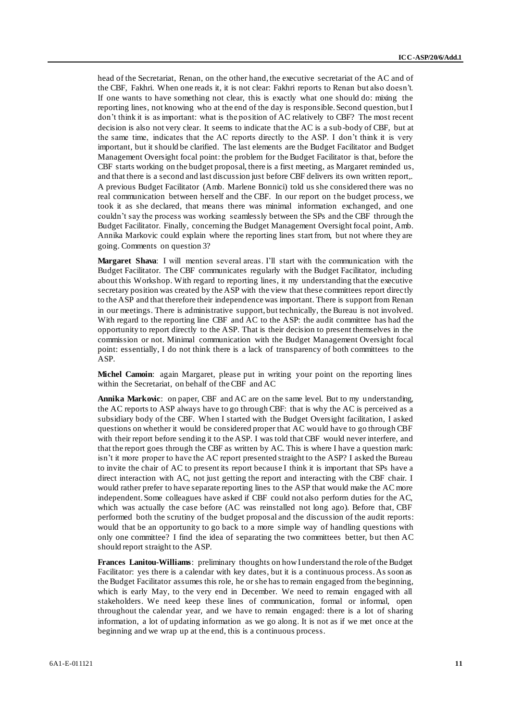head of the Secretariat, Renan, on the other hand, the executive secretariat of the AC and of the CBF, Fakhri. When one reads it, it is not clear: Fakhri reports to Renan but also doesn't. If one wants to have something not clear, this is exactly what one should do: mixing the reporting lines, not knowing who at the end of the day is responsible. Second question, but I don't think it is as important: what is the position of AC relatively to CBF? The most recent decision is also not very clear. It seems to indicate that the AC is a sub-body of CBF, but at the same time, indicates that the AC reports directly to the ASP. I don't think it is very important, but it should be clarified. The last elements are the Budget Facilitator and Budget Management Oversight focal point: the problem for the Budget Facilitator is that, before the CBF starts working on the budget proposal, there is a first meeting, as Margaret reminded us, and that there is a second and last discussion just before CBF delivers its own written report,. A previous Budget Facilitator (Amb. Marlene Bonnici) told us she considered there was no real communication between herself and the CBF. In our report on the budget process, we took it as she declared, that means there was minimal information exchanged, and one couldn't say the process was working seamlessly between the SPs and the CBF through the Budget Facilitator. Finally, concerning the Budget Management Oversight focal point, Amb. Annika Markovic could explain where the reporting lines start from, but not where they are going. Comments on question 3?

**Margaret Shava**: I will mention several areas. I'll start with the communication with the Budget Facilitator. The CBF communicates regularly with the Budget Facilitator, including about this Workshop. With regard to reporting lines, it my understanding that the executive secretary position was created by the ASP with the view that these committees report directly to the ASP and that therefore their independence was important. There is support from Renan in our meetings. There is administrative support, but technically, the Bureau is not involved. With regard to the reporting line CBF and AC to the ASP: the audit committee has had the opportunity to report directly to the ASP. That is their decision to present themselves in the commission or not. Minimal communication with the Budget Management Oversight focal point: essentially, I do not think there is a lack of transparency of both committees to the ASP.

**Michel Camoin**: again Margaret, please put in writing your point on the reporting lines within the Secretariat, on behalf of the CBF and AC

**Annika Markovic**: on paper, CBF and AC are on the same level. But to my understanding, the AC reports to ASP always have to go through CBF: that is why the AC is perceived as a subsidiary body of the CBF. When I started with the Budget Oversight facilitation, I asked questions on whether it would be considered proper that AC would have to go through CBF with their report before sending it to the ASP. I was told that CBF would never interfere, and that the report goes through the CBF as written by AC. This is where I have a question mark: isn't it more proper to have the AC report presented straight to the ASP? I asked the Bureau to invite the chair of AC to present its report because I think it is important that SPs have a direct interaction with AC, not just getting the report and interacting with the CBF chair. I would rather prefer to have separate reporting lines to the ASP that would make the AC more independent. Some colleagues have asked if CBF could not also perform duties for the AC, which was actually the case before (AC was reinstalled not long ago). Before that, CBF performed both the scrutiny of the budget proposal and the discussion of the audit reports: would that be an opportunity to go back to a more simple way of handling questions with only one committee? I find the idea of separating the two committees better, b ut then AC should report straight to the ASP.

**Frances Lanitou-Williams**: preliminary thoughts on how I understand the role of the Budget Facilitator: yes there is a calendar with key dates, but it is a continuous process. As soon as the Budget Facilitator assumes this role, he or she has to remain engaged from the beginning, which is early May, to the very end in December. We need to remain engaged with all stakeholders. We need keep these lines of communication, formal or informal, open throughout the calendar year, and we have to remain engaged: there is a lot of sharing information, a lot of updating information as we go along. It is not as if we met once at the beginning and we wrap up at the end, this is a continuous process.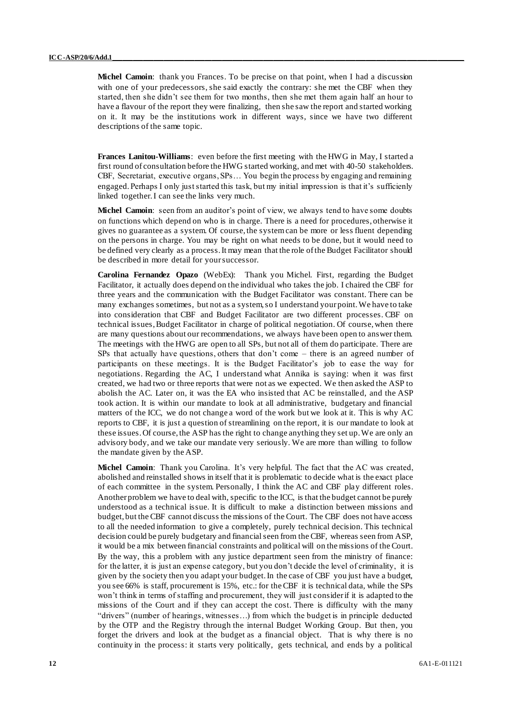**Michel Camoin**: thank you Frances. To be precise on that point, when I had a discussion with one of your predecessors, she said exactly the contrary: she met the CBF when they started, then she didn't see them for two months, then she met them again half an hour to have a flavour of the report they were finalizing, then she saw the report and started working on it. It may be the institutions work in different ways, since we have two different descriptions of the same topic.

**Frances Lanitou-Williams**: even before the first meeting with the HWG in May, I started a first round of consultation before the HWG started working, and met with 40-50 stakeholders. CBF, Secretariat, executive organs, SPs… You begin the process by engaging and remaining engaged. Perhaps I only just started this task, but my initial impression is that it's sufficienly linked together. I can see the links very much.

**Michel Camoin**: seen from an auditor's point of view, we always tend to have some doubts on functions which depend on who is in charge. There is a need for procedures, otherwise it gives no guarantee as a system. Of course, the system can be more or less fluent depending on the persons in charge. You may be right on what needs to be done, but it would need to be defined very clearly as a process. It may mean that the role of the Budget Facilitator should be described in more detail for your successor.

**Carolina Fernandez Opazo** (WebEx): Thank you Michel. First, regarding the Budget Facilitator, it actually does depend on the individual who takes the job. I chaired the CBF for three years and the communication with the Budget Facilitator was constant. There can be many exchanges sometimes, but not as a system, so I understand your point. We have to take into consideration that CBF and Budget Facilitator are two different processes. CBF on technical issues, Budget Facilitator in charge of political negotiation. Of course, when there are many questions about our recommendations, we always have been open to answer them. The meetings with the HWG are open to all SPs, but not all of them do participate. There are SPs that actually have questions, others that don't come – there is an agreed number of participants on these meetings. It is the Budget Facilitator's job to ease the way for negotiations. Regarding the AC, I understand what Annika is saying: when it was first created, we had two or three reports that were not as we expected. We then asked the ASP to abolish the AC. Later on, it was the EA who insisted that AC be reinstalled, and the ASP took action. It is within our mandate to look at all administrative, budgetary and financial matters of the ICC, we do not change a word of the work but we look at it. This is why AC reports to CBF, it is just a question of streamlining on the report, it is our mandate to look at these issues. Of course, the ASP has the right to change anything they set up. We are only an advisory body, and we take our mandate very seriously. We are more than willing to follow the mandate given by the ASP.

**Michel Camoin**: Thank you Carolina. It's very helpful. The fact that the AC was created, abolished and reinstalled shows in itself that it is problematic to decide what is the exact place of each committee in the system. Personally, I think the AC and CBF play different roles. Another problem we have to deal with, specific to the ICC, is that the budget cannot be purely understood as a technical issue. It is difficult to make a distinction between missions and budget, but the CBF cannot discuss the missions of the Court. The CBF does not have access to all the needed information to give a completely, purely technical decision. This technical decision could be purely budgetary and financial seen from the CBF, whereas seen from ASP, it would be a mix between financial constraints and political will on the missions of the Court. By the way, this a problem with any justice department seen from the ministry of finance: for the latter, it is just an expense category, but you don't decide the level of criminality, it is given by the society then you adapt your budget. In the case of CBF you just have a budget, you see 66% is staff, procurement is 15%, etc.: for the CBF it is technical data, while the SPs won't think in terms of staffing and procurement, they will just consider if it is adapted to the missions of the Court and if they can accept the cost. There is difficulty with the many "drivers" (number of hearings, witnesses…) from which the budget is in principle deducted by the OTP and the Registry through the internal Budget Working Group. But then, you forget the drivers and look at the budget as a financial object. That is why there is no continuity in the process: it starts very politically, gets technical, and ends by a political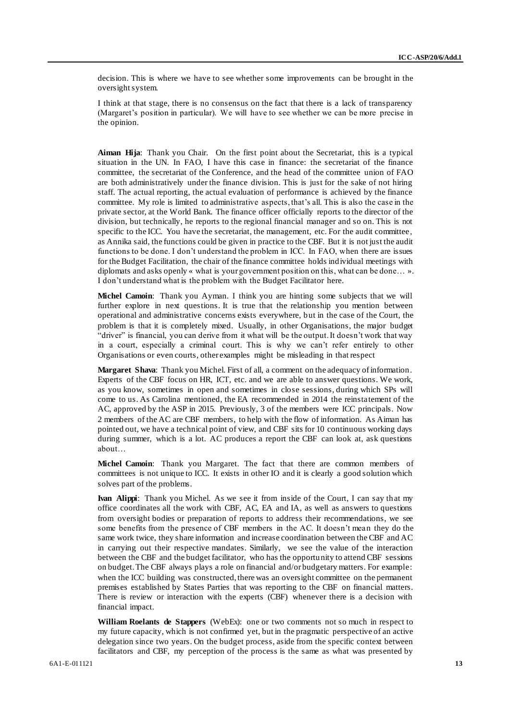decision. This is where we have to see whether some improvements can be brought in the oversight system.

I think at that stage, there is no consensus on the fact that there is a lack of transparency (Margaret's position in particular). We will have to see whether we can be more precise in the opinion.

**Aiman Hija**: Thank you Chair. On the first point about the Secretariat, this is a typical situation in the UN. In FAO, I have this case in finance: the secretariat of the finance committee, the secretariat of the Conference, and the head of the committee union of FAO are both administratively under the finance division. This is just for the sake of not hiring staff. The actual reporting, the actual evaluation of performance is achieved by the finance committee. My role is limited to administrative aspects, that's all. This is also the case in the private sector, at the World Bank. The finance officer officially reports to the director of the division, but technically, he reports to the regional financial manager and so on. This is not specific to the ICC. You have the secretariat, the management, etc. For the audit committee, as Annika said, the functions could be given in practice to the CBF. But it is not just the audit functions to be done. I don't understand the problem in ICC. In FAO, when there are issues for the Budget Facilitation, the chair of the finance committee holds individual meetings with diplomats and asks openly « what is your government position on this, what can be done… ». I don't understand what is the problem with the Budget Facilitator here.

**Michel Camoin**: Thank you Ayman. I think you are hinting some subjects that we will further explore in next questions. It is true that the relationship you mention between operational and administrative concerns exists everywhere, but in the case of the Court, the problem is that it is completely mixed. Usually, in other Organisations, the major budget "driver" is financial, you can derive from it what will be the output. It doesn't work that way in a court, especially a criminal court. This is why we can't refer entirely to other Organisations or even courts, other examples might be misleading in that respect

**Margaret Shava**: Thank you Michel. First of all, a comment on the adequacy of information. Experts of the CBF focus on HR, ICT, etc. and we are able to answer questions. We work, as you know, sometimes in open and sometimes in close sessions, during which SPs will come to us. As Carolina mentioned, the EA recommended in 2014 the reinstatement of the AC, approved by the ASP in 2015. Previously, 3 of the members were ICC principals. Now 2 members of the AC are CBF members, to help with the flow of information. As Aiman has pointed out, we have a technical point of view, and CBF sits for 10 continuous working days during summer, which is a lot. AC produces a report the CBF can look at, ask questions about…

**Michel Camoin**: Thank you Margaret. The fact that there are common members of committees is not unique to ICC. It exists in other IO and it is clearly a good solution which solves part of the problems.

**Ivan Alippi**: Thank you Michel. As we see it from inside of the Court, I can say that my office coordinates all the work with CBF, AC, EA and IA, as well as answers to questions from oversight bodies or preparation of reports to address their recommendations, we see some benefits from the presence of CBF members in the AC. It doesn't mean they do the same work twice, they share information and increase coordination between the CBF and AC in carrying out their respective mandates. Similarly, we see the value of the interaction between the CBF and the budget facilitator, who has the opportunity to attend CBF sessions on budget. The CBF always plays a role on financial and/or budgetary matters. For example: when the ICC building was constructed, there was an oversight committee on the permanent premises established by States Parties that was reporting to the CBF on financial matters. There is review or interaction with the experts (CBF) whenever there is a decision with financial impact.

**William Roelants de Stappers** (WebEx): one or two comments not so much in respect to my future capacity, which is not confirmed yet, but in the pragmatic perspective of an active delegation since two years. On the budget process, aside from the specific context between facilitators and CBF, my perception of the process is the same as what was presented by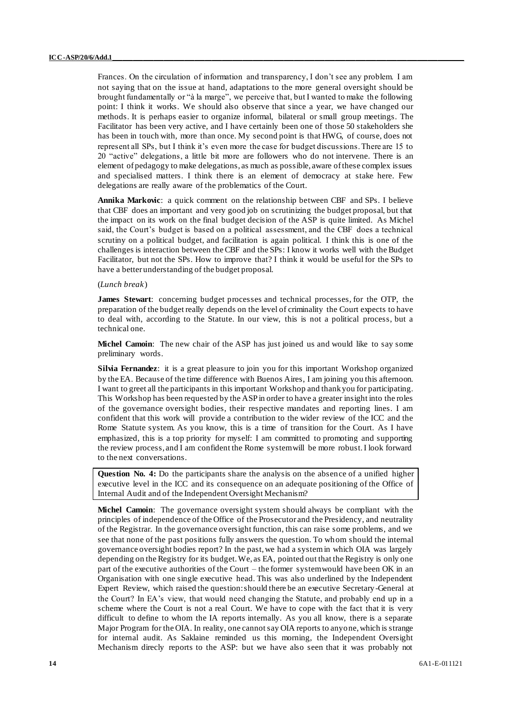Frances. On the circulation of information and transparency, I don't see any problem. I am not saying that on the issue at hand, adaptations to the more general oversight should be brought fundamentally or "à la marge", we perceive that, but I wanted to make the following point: I think it works. We should also observe that since a year, we have changed our methods. It is perhaps easier to organize informal, bilateral or small group meetings. The Facilitator has been very active, and I have certainly been one of those 50 stakeholders she has been in touch with, more than once. My second point is that HWG, of course, does not represent all SPs, but I think it's even more the case for budget discussions. There are 15 to 20 "active" delegations, a little bit more are followers who do not intervene. There is an element of pedagogy to make delegations, as much as possible, aware of these complex issues and specialised matters. I think there is an element of democracy at stake here. Few delegations are really aware of the problematics of the Court.

**Annika Markovic**: a quick comment on the relationship between CBF and SPs. I believe that CBF does an important and very good job on scrutinizing the budget proposal, but that the impact on its work on the final budget decision of the ASP is quite limited. As Michel said, the Court's budget is based on a political assessment, and the CBF does a technical scrutiny on a political budget, and facilitation is again political. I think this is one of the challenges is interaction between the CBF and the SPs: I know it works well with the Budget Facilitator, but not the SPs. How to improve that? I think it would be useful for the SPs to have a better understanding of the budget proposal.

#### (*Lunch break*)

**James Stewart**: concerning budget processes and technical processes, for the OTP, the preparation of the budget really depends on the level of criminality the Court expects to have to deal with, according to the Statute. In our view, this is not a political process, but a technical one.

**Michel Camoin**: The new chair of the ASP has just joined us and would like to say some preliminary words.

**Silvia Fernandez**: it is a great pleasure to join you for this important Workshop organized by the EA. Because of the time difference with Buenos Aires, I am joining you this afternoon. I want to greet all the participants in this important Workshop and thank you for participating. This Workshop has been requested by the ASP in order to have a greater insight into the roles of the governance oversight bodies, their respective mandates and reporting lines. I am confident that this work will provide a contribution to the wider review of the ICC and the Rome Statute system. As you know, this is a time of transition for the Court. As I have emphasized, this is a top priority for myself: I am committed to promoting and supporting the review process, and I am confident the Rome system will be more robust. I look forward to the next conversations.

**Question No. 4:** Do the participants share the analysis on the absence of a unified higher executive level in the ICC and its consequence on an adequate positioning of the Office of Internal Audit and of the Independent Oversight Mechanism?

**Michel Camoin**: The governance oversight system should always be compliant with the principles of independence of the Office of the Prosecutor and the Presidency, and neutrality of the Registrar. In the governance oversight function, this can raise some problems, and we see that none of the past positions fully answers the question. To whom should the internal governance oversight bodies report? In the past, we had a system in which OIA was largely depending on the Registry for its budget. We, as EA, pointed out that the Registry is only one part of the executive authorities of the Court – the former system would have been OK in an Organisation with one single executive head. This was also underlined by the Independent Expert Review, which raised the question: should there be an executive Secretary-General at the Court? In EA's view, that would need changing the Statute, and probably end up in a scheme where the Court is not a real Court. We have to cope with the fact that it is very difficult to define to whom the IA reports internally. As you all know, there is a separate Major Program for the OIA. In reality, one cannot say OIA reports to anyone, which is strange for internal audit. As Saklaine reminded us this morning, the Independent Oversight Mechanism direcly reports to the ASP: but we have also seen that it was probably not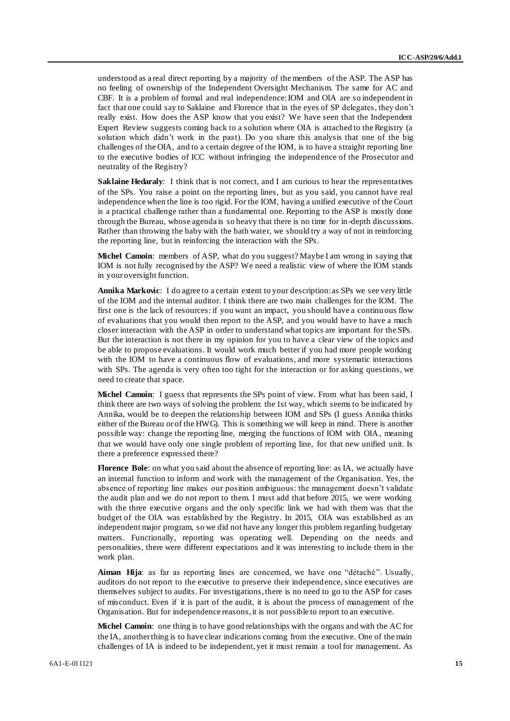understood as a real direct reporting by a majority of the members of the ASP. The ASP has no feeling of ownership of the Independent Oversight Mechanism. The same for AC and CBF. It is a problem of formal and real independence: IOM and OIA are so independent in fact that one could say to Saklaine and Florence that in the eyes of SP delegates, they don't really exist. How does the ASP know that you exist? We have seen that the Independent Expert Review suggests coming back to a solution where OIA is attached to the Registry (a solution which didn't work in the past). Do you share this analysis that one of the big challenges of the OIA, and to a certain degree of the IOM, is to have a straight reporting line to the executive bodies of ICC without infringing the independence of the Prosecutor and neutrality of the Registry?

**Saklaine Hedaraly**: I think that is not correct, and I am curious to hear the representatives of the SPs. You raise a point on the reporting lines, but as you said, you cannot have real independence when the line is too rigid. For the IOM, having a unified executive of the Court is a practical challenge rather than a fundamental one. Reporting to the ASP is mostly done through the Bureau, whose agenda is so heavy that there is no time for in-depth discussions. Rather than throwing the baby with the bath water, we should try a way of not in reinforcing the reporting line, but in reinforcing the interaction with the SPs.

**Michel Camoin**: members of ASP, what do you suggest? Maybe I am wrong in saying that IOM is not fully recognised by the ASP? We need a realistic view of where the IOM stands in your oversight function.

**Annika Markovic**: I do agree to a certain extent to your description: as SPs we see very little of the IOM and the internal auditor. I think there are two main challenges for the IOM. The first one is the lack of resources: if you want an impact, you should have a continu ous flow of evaluations that you would then report to the ASP, and you would have to have a much closer interaction with the ASP in order to understand what topics are important for the SPs. But the interaction is not there in my opinion for you to have a clear view of the topics and be able to propose evaluations. It would work much better if you had more people working with the IOM to have a continuous flow of evaluations, and more systematic interactions with SPs. The agenda is very often too tight for the interaction or for asking questions, we need to create that space.

**Michel Camoin**: I guess that represents the SPs point of view. From what has been said, I think there are two ways of solving the problem: the 1st way, which seems to be indicated by Annika, would be to deepen the relationship between IOM and SPs (I guess Annika thinks either of the Bureau or of the HWG). This is something we will keep in mind. There is another possible way: change the reporting line, merging the functions of IOM with OIA, meaning that we would have only one single problem of reporting line, for that new unified unit. Is there a preference expressed there?

**Florence Bole**: on what you said about the absence of reporting line: as IA, we actually have an internal function to inform and work with the management of the Organisation. Yes, the absence of reporting line makes our position ambiguous: the management doesn't validate the audit plan and we do not report to them. I must add that before 2015, we were working with the three executive organs and the only specific link we had with them was that the budget of the OIA was established by the Registry. In 2015, OIA was established as an independent major program, so we did not have any longer this problem regarding budgetary matters. Functionally, reporting was operating well. Depending on the needs and personalities, there were different expectations and it was interesting to include them in the work plan.

**Aiman Hija**: as far as reporting lines are concerned, we have one "détaché". Usually, auditors do not report to the executive to preserve their independence, since executives are themselves subject to audits. For investigations, there is no need to go to the ASP for cases of misconduct. Even if it is part of the audit, it is about the process of management of the Organisation. But for independence reasons, it is not possible to report to an executive.

**Michel Camoin:** one thing is to have good relationships with the organs and with the AC for the IA, another thing is to have clear indications coming from the executive. One of the main challenges of IA is indeed to be independent, yet it must remain a tool for management. As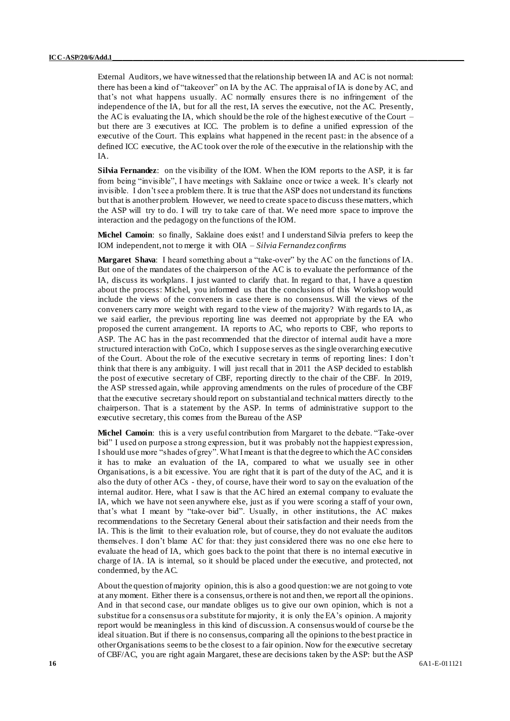External Auditors, we have witnessed that the relationship between IA and AC is not normal: there has been a kind of "takeover" on IA by the AC. The appraisal of IA is done by AC, and that's not what happens usually. AC normally ensures there is no infringement of the independence of the IA, but for all the rest, IA serves the executive, not the AC. Presently, the AC is evaluating the IA, which should be the role of the highest executive of the Court – but there are 3 executives at ICC. The problem is to define a unified expression of the executive of the Court. This explains what happened in the recent past: in the absence of a defined ICC executive, the AC took over the role of the executive in the relationship with the IA.

**Silvia Fernandez**: on the visibility of the IOM. When the IOM reports to the ASP, it is far from being "invisible", I have meetings with Saklaine once or twice a week. It's clearly not invisible. I don't see a problem there. It is true that the ASP does not understand its functions but that is another problem. However, we need to create space to discuss these matters, which the ASP will try to do. I will try to take care of that. We need more space to improve the interaction and the pedagogy on the functions of the IOM.

**Michel Camoin**: so finally, Saklaine does exist! and I understand Silvia prefers to keep the IOM independent, not to merge it with OIA – *Silvia Fernandez confirms*

**Margaret Shava**: I heard something about a "take-over" by the AC on the functions of IA. But one of the mandates of the chairperson of the AC is to evaluate the performance of the IA, discuss its workplans. I just wanted to clarify that. In regard to that, I have a question about the process: Michel, you informed us that the conclusions of this Workshop would include the views of the conveners in case there is no consensus. Will the views of the conveners carry more weight with regard to the view of the majority? With regards to IA, as we said earlier, the previous reporting line was deemed not appropriate by the EA who proposed the current arrangement. IA reports to AC, who reports to CBF, who reports to ASP. The AC has in the past recommended that the director of internal audit have a more structured interaction with CoCo, which I suppose serves as the single overarching executive of the Court. About the role of the executive secretary in terms of reporting lines: I don't think that there is any ambiguity. I will just recall that in 2011 the ASP decided to establish the post of executive secretary of CBF, reporting directly to the chair of the CBF. In 2019, the ASP stressed again, while approving amendments on the rules of procedure of the CBF that the executive secretary should report on substantial and technical matters directly to the chairperson. That is a statement by the ASP. In terms of administrative support to the executive secretary, this comes from the Bureau of the ASP

**Michel Camoin**: this is a very useful contribution from Margaret to the debate. "Take-over bid" I used on purpose a strong expression, but it was probably not the happiest expression, I should use more "shades of grey". What I meant is that the degree to which the AC considers it has to make an evaluation of the IA, compared to what we usually see in other Organisations, is a bit excessive. You are right that it is part of the duty of the AC, and it is also the duty of other ACs - they, of course, have their word to say on the evaluation of the internal auditor. Here, what I saw is that the AC hired an external company to evaluate the IA, which we have not seen anywhere else, just as if you were scoring a staff of your own, that's what I meant by "take-over bid". Usually, in other institutions, the AC makes recommendations to the Secretary General about their satisfaction and their needs from the IA. This is the limit to their evaluation role, but of course, they do not evaluate the auditors themselves. I don't blame AC for that: they just considered there was no one else here to evaluate the head of IA, which goes back to the point that there is no internal executive in charge of IA. IA is internal, so it should be placed under the executive, and protected, not condemned, by the AC.

About the question of majority opinion, this is also a good question: we are not going to vote at any moment. Either there is a consensus, or there is not and then, we report all the opinions. And in that second case, our mandate obliges us to give our own opinion, which is not a substitue for a consensus or a substitute for majority, it is only the EA's opinion. A majority report would be meaningless in this kind of discussion. A consensus would of course be t he ideal situation. But if there is no consensus, comparing all the opinions to the best practice in other Organisations seems to be the closest to a fair opinion. Now for the executive secretary of CBF/AC, you are right again Margaret, these are decisions taken by the ASP: but the ASP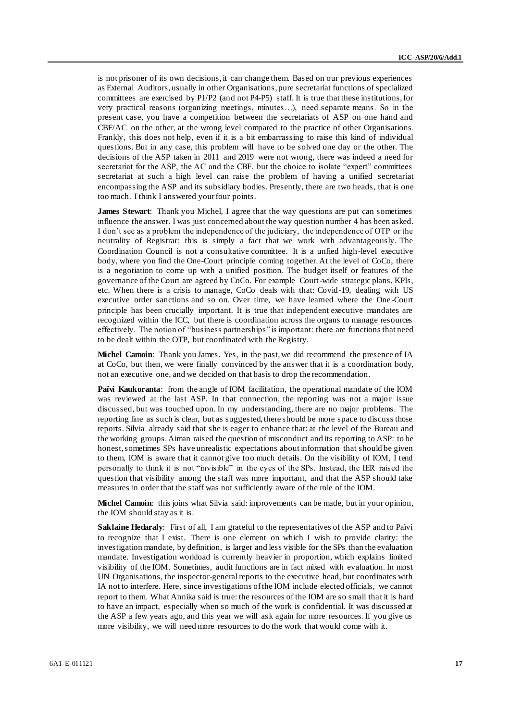is not prisoner of its own decisions, it can change them. Based on our previous experiences as External Auditors, usually in other Organisations, pure secretariat functions of specialized committees are exercised by P1/P2 (and not P4-P5) staff. It is true that these institutions, for very practical reasons (organizing meetings, minutes…), need separate means. So in the present case, you have a competition between the secretariats of ASP on one hand and CBF/AC on the other, at the wrong level compared to the practice of other Organisations. Frankly, this does not help, even if it is a bit embarrassing to raise this kind of individual questions. But in any case, this problem will have to be solved one day or the other. The decisions of the ASP taken in 2011 and 2019 were not wrong, there was indeed a need for secretariat for the ASP, the AC and the CBF, but the choice to isolate "expert" committees secretariat at such a high level can raise the problem of having a unified secretariat encompassing the ASP and its subsidiary bodies. Presently, there are two heads, that is one too much. I think I answered your four points.

**James Stewart:** Thank you Michel, I agree that the way questions are put can sometimes influence the answer. I was just concerned about the way question number 4 has been asked. I don't see as a problem the independence of the judiciary, the independence of OTP or the neutrality of Registrar: this is simply a fact that we work with advantageously. The Coordination Council is not a consultative committee. It is a unfied high-level executive body, where you find the One-Court principle coming together. At the level of CoCo, there is a negotiation to come up with a unified position. The budget itself or features of the governance of the Court are agreed by CoCo. For example Court-wide strategic plans, KPIs, etc. When there is a crisis to manage, CoCo deals with that: Covid-19, dealing with US executive order sanctions and so on. Over time, we have learned where the One -Court principle has been crucially important. It is true that independent executive mandates are recognized within the ICC, but there is coordination across the organs to manage resources effectively. The notion of "business partnerships" is important: there are functions that need to be dealt within the OTP, but coordinated with the Registry.

**Michel Camoin**: Thank you James. Yes, in the past, we did recommend the presence of IA at CoCo, but then, we were finally convinced by the answer that it is a coordination body, not an executive one, and we decided on that basis to drop the recommendation.

**Païvi Kaukoranta**: from the angle of IOM facilitation, the operational mandate of the IOM was reviewed at the last ASP. In that connection, the reporting was not a major issue discussed, but was touched upon. In my understanding, there are no major problems. The reporting line as such is clear, but as suggested, there should be more space to discuss those reports. Silvia already said that she is eager to enhance that: at the level of the Bureau and the working groups. Aiman raised the question of misconduct and its reporting to ASP: to be honest, sometimes SPs have unrealistic expectations about information that should be given to them, IOM is aware that it cannot give too much details. On the visibility of IOM, I tend personally to think it is not "invisible" in the eyes of the SPs. Instead, the IER raised the question that visibility among the staff was more important, and that the ASP should take measures in order that the staff was not sufficiently aware of the role of the IOM.

**Michel Camoin**: this joins what Silvia said: improvements can be made, but in your opinion, the IOM should stay as it is.

**Saklaine Hedaraly**: First of all, I am grateful to the representatives of the ASP and to Païvi to recognize that I exist. There is one element on which I wish to provide clarity: the investigation mandate, by definition, is larger and less visible for the SPs than the evaluation mandate. Investigation workload is currently heavier in proportion, which explains limited visibility of the IOM. Sometimes, audit functions are in fact mixed with evaluation. In most UN Organisations, the inspector-general reports to the executive head, but coordinates with IA not to interfere. Here, since investigations of the IOM include elected officials, we cannot report to them. What Annika said is true: the resources of the IOM are so small that it is hard to have an impact, especially when so much of the work is confidential. It was discussed at the ASP a few years ago, and this year we will ask again for more resources. If you give us more visibility, we will need more resources to do the work that would come with it.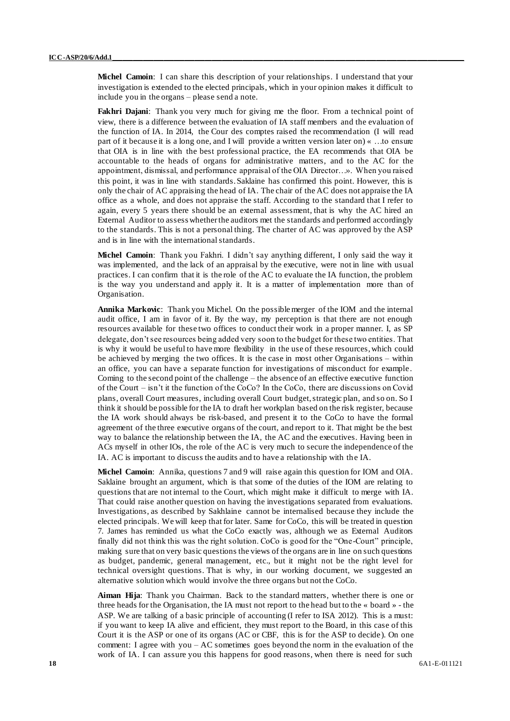**Michel Camoin**: I can share this description of your relationships. I understand that your investigation is extended to the elected principals, which in your opinion makes it difficult to include you in the organs – please send a note.

**Fakhri Dajani**: Thank you very much for giving me the floor. From a technical point of view, there is a difference between the evaluation of IA staff members and the evaluation of the function of IA. In 2014, the Cour des comptes raised the recommendation (I will read part of it because it is a long one, and I will provide a written version later on) « …to ensure that OIA is in line with the best professional practice, the EA recommends that OIA be accountable to the heads of organs for administrative matters, and to the AC for the appointment, dismissal, and performance appraisal of the OIA Director…». When you raised this point, it was in line with standards. Saklaine has confirmed this point. However, this is only the chair of AC appraising the head of IA. The chair of the AC does not appraise the IA office as a whole, and does not appraise the staff. According to the standard that I refer to again, every 5 years there should be an external assessment, that is why the AC hired an External Auditor to assess whether the auditors met the standards and performed accordingly to the standards. This is not a personal thing. The charter of AC was approved by the ASP and is in line with the international standards.

**Michel Camoin**: Thank you Fakhri. I didn't say anything different, I only said the way it was implemented, and the lack of an appraisal by the executive, were not in line with usual practices. I can confirm that it is the role of the AC to evaluate the IA function, the problem is the way you understand and apply it. It is a matter of implementation more than of Organisation.

**Annika Markovic**: Thank you Michel. On the possible merger of the IOM and the internal audit office, I am in favor of it. By the way, my perception is that there are not enough resources available for these two offices to conduct their work in a proper manner. I, as SP delegate, don't see resources being added very soon to the budget for these two entities. That is why it would be useful to have more flexibility in the use of these resources, which could be achieved by merging the two offices. It is the case in most other Organisations – within an office, you can have a separate function for investigations of misconduct for example. Coming to the second point of the challenge – the absence of an effective executive function of the Court – isn't it the function of the CoCo? In the CoCo, there are discussions on Covid plans, overall Court measures, including overall Court budget, strategic plan, and so on. So I think it should be possible for the IA to draft her workplan based on the risk register, because the IA work should always be risk-based, and present it to the CoCo to have the formal agreement of the three executive organs of the court, and report to it. That might be the best way to balance the relationship between the IA, the AC and the executives. Having been in ACs myself in other IOs, the role of the AC is very much to secure the independence of the IA. AC is important to discuss the audits and to have a relationship with the IA.

**Michel Camoin**: Annika, questions 7 and 9 will raise again this question for IOM and OIA. Saklaine brought an argument, which is that some of the duties of the IOM are relating to questions that are not internal to the Court, which might make it difficult to merge with IA. That could raise another question on having the investigations separated from evaluations. Investigations, as described by Sakhlaine cannot be internalised because they include the elected principals. We will keep that for later. Same for CoCo, this will be treated in question 7. James has reminded us what the CoCo exactly was, although we as External Auditors finally did not think this was the right solution. CoCo is good for the "One-Court" principle, making sure that on very basic questions the views of the organs are in line on such questions as budget, pandemic, general management, etc., but it might not be the right level for technical oversight questions. That is why, in our working document, we suggested an alternative solution which would involve the three organs but not the CoCo.

**Aiman Hija**: Thank you Chairman. Back to the standard matters, whether there is one or three heads for the Organisation, the IA must not report to the head but to the « board » - the ASP. We are talking of a basic principle of accounting (I refer to ISA 2012). This is a must: if you want to keep IA alive and efficient, they must report to the Board, in this case of this Court it is the ASP or one of its organs (AC or CBF, this is for the ASP to decide). On one comment: I agree with you – AC sometimes goes beyond the norm in the evaluation of the work of IA. I can assure you this happens for good reasons, when there is need for such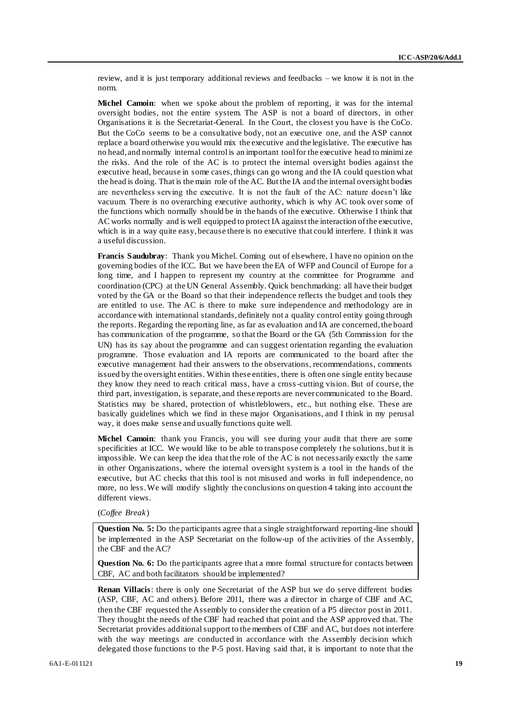review, and it is just temporary additional reviews and feedbacks – we know it is not in the norm.

**Michel Camoin**: when we spoke about the problem of reporting, it was for the internal oversight bodies, not the entire system. The ASP is not a board of directors, in other Organisations it is the Secretariat-General. In the Court, the closest you have is the CoCo. But the CoCo seems to be a consultative body, not an executive one, and the ASP cannot replace a board otherwise you would mix the executive and the legislative. The executive has no head, and normally internal control is an important tool for the executive head to minimi ze the risks. And the role of the AC is to protect the internal oversight bodies against the executive head, because in some cases, things can go wrong and the IA could question what the head is doing. That is the main role of the AC. But the IA and the internal oversight bodies are nevertheless serving the executive. It is not the fault of the AC: nature doesn't like vacuum. There is no overarching executive authority, which is why AC took over some of the functions which normally should be in the hands of the executive. Otherwise I think that AC works normally and is well equipped to protect IA against the interaction of the executive, which is in a way quite easy, because there is no executive that could interfere. I think it was a useful discussion.

**Francis Saudubray**: Thank you Michel. Coming out of elsewhere, I have no opinion on the governing bodies of the ICC. But we have been the EA of WFP and Council of Europe for a long time, and I happen to represent my country at the committee for Programme and coordination (CPC) at the UN General Assembly. Quick benchmarking: all have their budget voted by the GA or the Board so that their independence reflects the budget and tools they are entitled to use. The AC is there to make sure independence and methodology are in accordance with international standards, definitely not a quality control entity going through the reports. Regarding the reporting line, as far as evaluation and IA are concerned, the board has communication of the programme, so that the Board or the GA (5th Commission for the UN) has its say about the programme and can suggest orientation regarding the evaluation programme. Those evaluation and IA reports are communicated to the board after the executive management had their answers to the observations, recommendations, comments issued by the oversight entities. Within these entities, there is often one single entity because they know they need to reach critical mass, have a cross-cutting vision. But of course, the third part, investigation, is separate, and these reports are never communicated to the Board. Statistics may be shared, protection of whistleblowers, etc., but nothing else. These are basically guidelines which we find in these major Organisations, and I think in my perusal way, it does make sense and usually functions quite well.

**Michel Camoin**: thank you Francis, you will see during your audit that there are some specificities at ICC. We would like to be able to transpose completely the solutions, but it is impossible. We can keep the idea that the role of the AC is not necessarily exactly the same in other Organiszations, where the internal oversight system is a tool in the hands of the executive, but AC checks that this tool is not misused and works in full independence, no more, no less. We will modify slightly the conclusions on question 4 taking into account the different views.

(*Coffee Break*)

**Question No. 5:** Do the participants agree that a single straightforward reporting-line should be implemented in the ASP Secretariat on the follow-up of the activities of the Assembly, the CBF and the AC?

**Question No. 6:** Do the participants agree that a more formal structure for contacts between CBF, AC and both facilitators should be implemented?

**Renan Villacis**: there is only one Secretariat of the ASP but we do serve different bodies (ASP, CBF, AC and others). Before 2011, there was a director in charge of CBF and AC, then the CBF requested the Assembly to consider the creation of a P5 director post in 2011. They thought the needs of the CBF had reached that point and the ASP approved that. The Secretariat provides additional support to the members of CBF and AC, but does not interfere with the way meetings are conducted in accordance with the Assembly decision which delegated those functions to the P-5 post. Having said that, it is important to note that the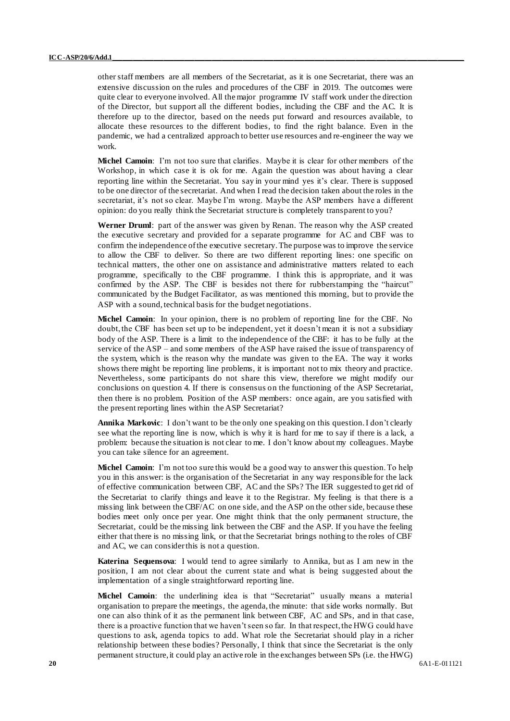other staff members are all members of the Secretariat, as it is one Secretariat, there was an extensive discussion on the rules and procedures of the CBF in 2019. The outcomes were quite clear to everyone involved. All the major programme IV staff work under the direction of the Director, but support all the different bodies, including the CBF and the AC. It is therefore up to the director, based on the needs put forward and resources available, to allocate these resources to the different bodies, to find the right balance. Even in the pandemic, we had a centralized approach to better use resources and re-engineer the way we work.

**Michel Camoin**: I'm not too sure that clarifies. Maybe it is clear for other members of the Workshop, in which case it is ok for me. Again the question was about having a clear reporting line within the Secretariat. You say in your mind yes it's clear. There is supposed to be one director of the secretariat. And when I read the decision taken about the roles in the secretariat, it's not so clear. Maybe I'm wrong. Maybe the ASP members have a different opinion: do you really think the Secretariat structure is completely transparent to you?

**Werner Druml**: part of the answer was given by Renan. The reason why the ASP created the executive secretary and provided for a separate programme for AC and CBF was to confirm the independence of the executive secretary. The purpose was to improve the service to allow the CBF to deliver. So there are two different reporting lines: one specific on technical matters, the other one on assistance and administrative matters related to each programme, specifically to the CBF programme. I think this is appropriate, and it was confirmed by the ASP. The CBF is besides not there for rubberstamping the "haircut" communicated by the Budget Facilitator, as was mentioned this morning, but to provide the ASP with a sound, technical basis for the budget negotiations.

**Michel Camoin**: In your opinion, there is no problem of reporting line for the CBF. No doubt, the CBF has been set up to be independent, yet it doesn't mean it is not a subsidiary body of the ASP. There is a limit to the independence of the CBF: it has to be fully at the service of the ASP – and some members of the ASP have raised the issue of transparency of the system, which is the reason why the mandate was given to the EA. The way it works shows there might be reporting line problems, it is important not to mix theory and practice. Nevertheless, some participants do not share this view, therefore we might modify our conclusions on question 4. If there is consensus on the functioning of the ASP Secretariat, then there is no problem. Position of the ASP members: once again, are you satisfied with the present reporting lines within the ASP Secretariat?

**Annika Markovic**: I don't want to be the only one speaking on this question.I don't clearly see what the reporting line is now, which is why it is hard for me to say if there is a lack, a problem: because the situation is not clear to me. I don't know about my colleagues. Maybe you can take silence for an agreement.

**Michel Camoin**: I'm not too sure this would be a good way to answer this question. To help you in this answer: is the organisation of the Secretariat in any way responsible for the lack of effective communication between CBF, AC and the SPs? The IER suggested to get rid of the Secretariat to clarify things and leave it to the Registrar. My feeling is that there is a missing link between the CBF/AC on one side, and the ASP on the other side, because these bodies meet only once per year. One might think that the only permanent structure, the Secretariat, could be the missing link between the CBF and the ASP. If you have the feeling either that there is no missing link, or that the Secretariat brings nothing to the roles of CBF and AC, we can consider this is not a question.

**Katerina Sequensova**: I would tend to agree similarly to Annika, but as I am new in the position, I am not clear about the current state and what is being suggested about the implementation of a single straightforward reporting line.

**Michel Camoin**: the underlining idea is that "Secretariat" usually means a material organisation to prepare the meetings, the agenda, the minute: that side works normally. But one can also think of it as the permanent link between CBF, AC and SPs, and in that case, there is a proactive function that we haven't seen so far. In that respect, the HWG could have questions to ask, agenda topics to add. What role the Secretariat should play in a richer relationship between these bodies? Personally, I think that since the Secretariat is the only permanent structure, it could play an active role in the exchanges between SPs (i.e. the HWG)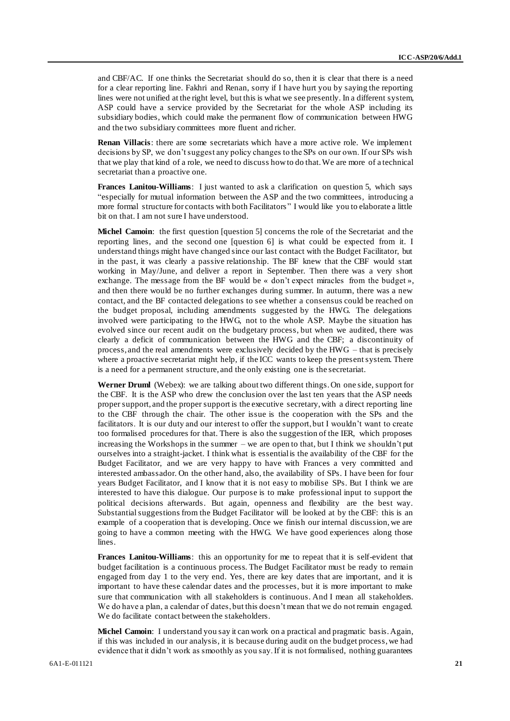and CBF/AC. If one thinks the Secretariat should do so, then it is clear that there is a need for a clear reporting line. Fakhri and Renan, sorry if I have hurt you by saying the reporting lines were not unified at the right level, but this is what we see presently. In a different system, ASP could have a service provided by the Secretariat for the whole ASP including its subsidiary bodies, which could make the permanent flow of communication between HWG and the two subsidiary committees more fluent and richer.

**Renan Villacis**: there are some secretariats which have a more active role. We implement decisions by SP, we don't suggest any policy changes to the SPs on our own. If our SPs wish that we play that kind of a role, we need to discuss how to do that. We are more of a technical secretariat than a proactive one.

**Frances Lanitou-Williams**: I just wanted to ask a clarification on question 5, which says "especially for mutual information between the ASP and the two committees, introducing a more formal structure for contacts with both Facilitators" I would like you to elaborate a little bit on that. I am not sure I have understood.

**Michel Camoin:** the first question [question 5] concerns the role of the Secretariat and the reporting lines, and the second one [question 6] is what could be expected from it. I understand things might have changed since our last contact with the Budget Facilitator, but in the past, it was clearly a passive relationship. The BF knew that the CBF would start working in May/June, and deliver a report in September. Then there was a very short exchange. The message from the BF would be « don't expect miracles from the budget », and then there would be no further exchanges during summer. In autumn, there was a new contact, and the BF contacted delegations to see whether a consensus could be reached on the budget proposal, including amendments suggested by the HWG. The delegations involved were participating to the HWG, not to the whole ASP. Maybe the situation has evolved since our recent audit on the budgetary process, but when we audited, there was clearly a deficit of communication between the HWG and the CBF; a discontinuity of process, and the real amendments were exclusively decided by the HWG – that is precisely where a proactive secretariat might help, if the ICC wants to keep the present system. There is a need for a permanent structure, and the only existing one is the secretariat.

**Werner Druml** (Webex): we are talking about two different things. On one side, support for the CBF. It is the ASP who drew the conclusion over the last ten years that the ASP needs proper support, and the proper support is the executive secretary, with a direct reporting line to the CBF through the chair. The other issue is the cooperation with the SPs and the facilitators. It is our duty and our interest to offer the support, but I wouldn't want to create too formalised procedures for that. There is also the suggestion of the IER, which proposes increasing the Workshops in the summer – we are open to that, but I think we shouldn't put ourselves into a straight-jacket. I think what is essential is the availability of the CBF for the Budget Facilitator, and we are very happy to have with Frances a very committed and interested ambassador. On the other hand, also, the availability of SPs. I have been for four years Budget Facilitator, and I know that it is not easy to mobilise SPs. But I think we are interested to have this dialogue. Our purpose is to make professional input to support the political decisions afterwards. But again, openness and flexibility are the best way. Substantial suggestions from the Budget Facilitator will be looked at by the CBF: this is an example of a cooperation that is developing. Once we finish our internal discussion, we are going to have a common meeting with the HWG. We have good experiences along those lines.

**Frances Lanitou-Williams**: this an opportunity for me to repeat that it is self-evident that budget facilitation is a continuous process. The Budget Facilitator must be ready to remain engaged from day 1 to the very end. Yes, there are key dates that are important, and it is important to have these calendar dates and the processes, but it is more important to make sure that communication with all stakeholders is continuous. And I mean all stakeholders. We do have a plan, a calendar of dates, but this doesn't mean that we do not remain engaged. We do facilitate contact between the stakeholders.

**Michel Camoin**: I understand you say it can work on a practical and pragmatic basis. Again, if this was included in our analysis, it is because during audit on the budget process, we had evidence that it didn't work as smoothly as you say. If it is not formalised, nothing guarantees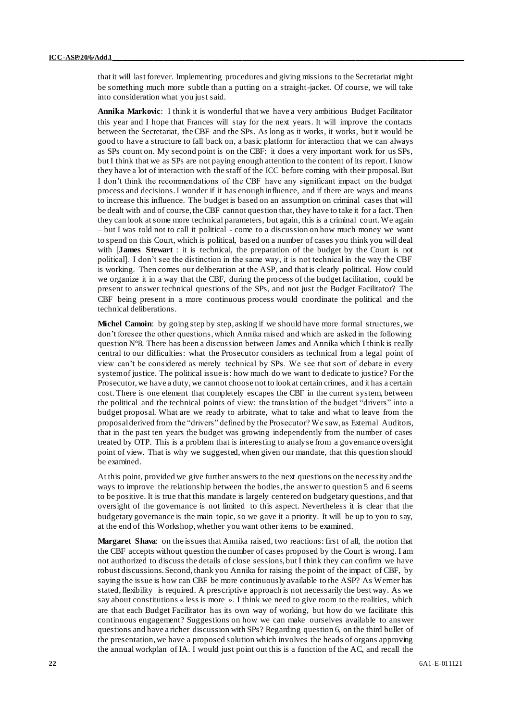that it will last forever. Implementing procedures and giving missions to the Secretariat might be something much more subtle than a putting on a straight-jacket. Of course, we will take into consideration what you just said.

**Annika Markovic**: I think it is wonderful that we have a very ambitious Budget Facilitator this year and I hope that Frances will stay for the next years. It will improve the contacts between the Secretariat, the CBF and the SPs. As long as it works, it works, but it would be good to have a structure to fall back on, a basic platform for interaction that we can always as SPs count on. My second point is on the CBF: it does a very important work for us SPs, but I think that we as SPs are not paying enough attention to the content of its report. I know they have a lot of interaction with the staff of the ICC before coming with their proposal. But I don't think the recommendations of the CBF have any significant impact on the budget process and decisions. I wonder if it has enough influence, and if there are ways and means to increase this influence. The budget is based on an assumption on criminal cases that will be dealt with and of course, the CBF cannot question that, they have to take it for a fact. Then they can look at some more technical parameters, but again, this is a criminal court. We again – but I was told not to call it political - come to a discussion on how much money we want to spend on this Court, which is political, based on a number of cases you think you will deal with [**James Stewart** : it is technical, the preparation of the budget by the Court is not political]. I don't see the distinction in the same way, it is not technical in the way the CBF is working. Then comes our deliberation at the ASP, and that is clearly political. How could we organize it in a way that the CBF, during the process of the budget facilitation, could be present to answer technical questions of the SPs, and not just the Budget Facilitator? The CBF being present in a more continuous process would coordinate the political and the technical deliberations.

**Michel Camoin**: by going step by step, asking if we should have more formal structures, we don't foresee the other questions, which Annika raised and which are asked in the following question  $N^{\circ}8$ . There has been a discussion between James and Annika which I think is really central to our difficulties: what the Prosecutor considers as technical from a legal point of view can't be considered as merely technical by SPs. We see that sort of debate in every system of justice. The political issue is: how much do we want to dedicate to justice? For the Prosecutor, we have a duty, we cannot choose not to look at certain crimes, and it has a certain cost. There is one element that completely escapes the CBF in the current system, between the political and the technical points of view: the translation of the budget "drivers" into a budget proposal. What are we ready to arbitrate, what to take and what to leave from the proposal derived from the "drivers" defined by the Prosecutor? We saw, as External Auditors, that in the past ten years the budget was growing independently from the number of cases treated by OTP. This is a problem that is interesting to analyse from a governance oversight point of view. That is why we suggested, when given our mandate, that this question should be examined.

At this point, provided we give further answers to the next questions on the necessity and the ways to improve the relationship between the bodies, the answer to question 5 and 6 seems to be positive. It is true that this mandate is largely centered on budgetary questions, and that oversight of the governance is not limited to this aspect. Nevertheless it is clear that the budgetary governance is the main topic, so we gave it a priority. It will be up to you to say, at the end of this Workshop, whether you want other items to be examined.

**Margaret Shava**: on the issues that Annika raised, two reactions: first of all, the notion that the CBF accepts without question the number of cases proposed by the Court is wrong. I am not authorized to discuss the details of close sessions, but I think they can confirm we have robust discussions. Second, thank you Annika for raising the point of the impact of CBF, by saying the issue is how can CBF be more continuously available to the ASP? As Werner has stated, flexibility is required. A prescriptive approach is not necessarily the best way. As we say about constitutions « less is more ». I think we need to give room to the realities, which are that each Budget Facilitator has its own way of working, but how do we facilitate this continuous engagement? Suggestions on how we can make ourselves available to answer questions and have a richer discussion with SPs? Regarding question 6, on the third bullet of the presentation, we have a proposed solution which involves the heads of organs approving the annual workplan of IA. I would just point out this is a function of the AC, and recall the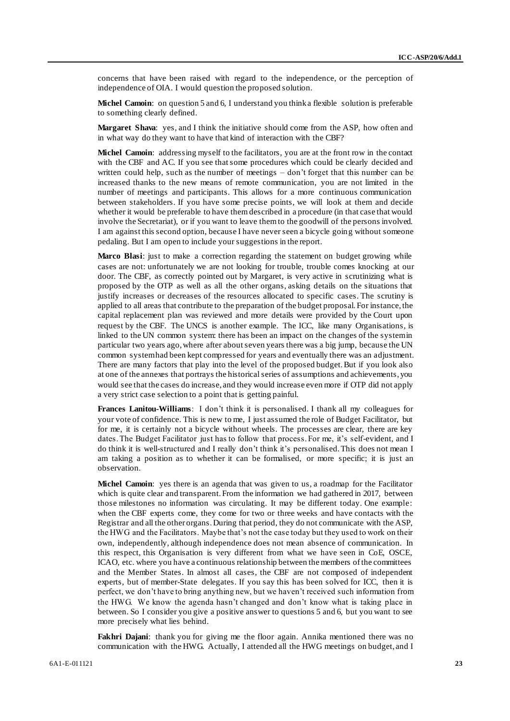concerns that have been raised with regard to the independence, or the perception of independence of OIA. I would question the proposed solution.

**Michel Camoin:** on question 5 and 6, I understand you think a flexible solution is preferable to something clearly defined.

**Margaret Shava**: yes, and I think the initiative should come from the ASP, how often and in what way do they want to have that kind of interaction with the CBF?

**Michel Camoin:** addressing myself to the facilitators, you are at the front row in the contact with the CBF and AC. If you see that some procedures which could be clearly decided and written could help, such as the number of meetings – don't forget that this number can be increased thanks to the new means of remote communication, you are not limited in the number of meetings and participants. This allows for a more continuous communication between stakeholders. If you have some precise points, we will look at them and decide whether it would be preferable to have them described in a procedure (in that case that would involve the Secretariat), or if you want to leave them to the goodwill of the persons involved. I am against this second option, because I have never seen a bicycle going without someone pedaling. But I am open to include your suggestions in the report.

**Marco Blasi**: just to make a correction regarding the statement on budget growing while cases are not: unfortunately we are not looking for trouble, trouble comes knocking at our door. The CBF, as correctly pointed out by Margaret, is very active in scrutinizing what is proposed by the OTP as well as all the other organs, asking details on the situations that justify increases or decreases of the resources allocated to specific cases. The scrutiny is applied to all areas that contribute to the preparation of the budget proposal. For instance, the capital replacement plan was reviewed and more details were provided by the Court upon request by the CBF. The UNCS is another example. The ICC, like many Organisations, is linked to the UN common system: there has been an impact on the changes of the system in particular two years ago, where after about seven years there was a big jump, because the UN common system had been kept compressed for years and eventually there was an adjustment. There are many factors that play into the level of the proposed budget. But if you look also at one of the annexes that portrays the historical series of assumptions and achievements, you would see that the cases do increase, and they would increase even more if OTP did not apply a very strict case selection to a point that is getting painful.

**Frances Lanitou-Williams**: I don't think it is personalised. I thank all my colleagues for your vote of confidence. This is new to me, I just assumed the role of Budget Facilitator, but for me, it is certainly not a bicycle without wheels. The processes are clear, there are key dates. The Budget Facilitator just has to follow that process. For me, it's self-evident, and I do think it is well-structured and I really don't think it's personalised. This does not mean I am taking a position as to whether it can be formalised, or more specific; it is just an observation.

**Michel Camoin**: yes there is an agenda that was given to us, a roadmap for the Facilitator which is quite clear and transparent. From the information we had gathered in 2017, between those milestones no information was circulating. It may be different today. One example: when the CBF experts come, they come for two or three weeks and have contacts with the Registrar and all the other organs. During that period, they do not communicate with the ASP, the HWG and the Facilitators. Maybe that's not the case today but they used to work on their own, independently, although independence does not mean absence of communication. In this respect, this Organisation is very different from what we have seen in CoE, OSCE, ICAO, etc. where you have a continuous relationship between the members of the committees and the Member States. In almost all cases, the CBF are not composed of independent experts, but of member-State delegates. If you say this has been solved for ICC, then it is perfect, we don't have to bring anything new, but we haven't received such information from the HWG. We know the agenda hasn't changed and don't know what is taking place in between. So I consider you give a positive answer to questions 5 and 6, but you want to see more precisely what lies behind.

**Fakhri Dajani**: thank you for giving me the floor again. Annika mentioned there was no communication with the HWG. Actually, I attended all the HWG meetings on budget, and I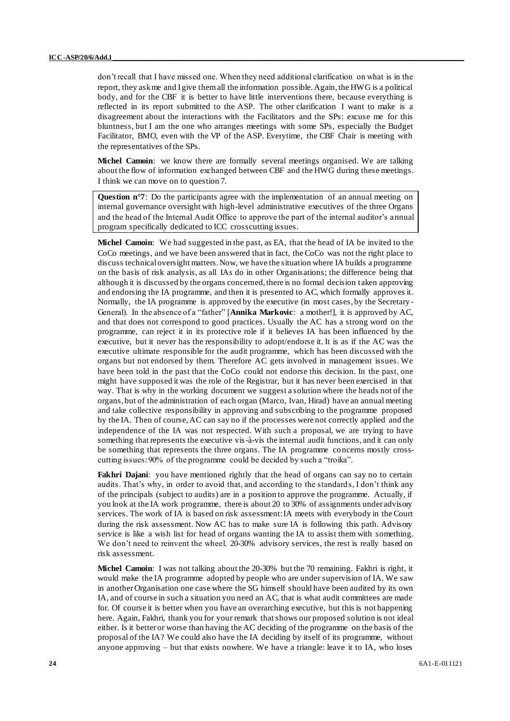don't recall that I have missed one. When they need additional clarification on what is in the report, they ask me and I give them all the information possible. Again, the HWG is a political body, and for the CBF it is better to have little interventions there, because everything is reflected in its report submitted to the ASP. The other clarification I want to make is a disagreement about the interactions with the Facilitators and the SPs: excuse me for this bluntness, but I am the one who arranges meetings with some SPs, especially the Budget Facilitator, BMO, even with the VP of the ASP. Everytime, the CBF Chair is meeting with the representatives of the SPs.

**Michel Camoin**: we know there are formally several meetings organised. We are talking about the flow of information exchanged between CBF and the HWG during these meetings. I think we can move on to question 7.

**Question n°7**: Do the participants agree with the implementation of an annual meeting on internal governance oversight with high-level administrative executives of the three Organs and the head of the Internal Audit Office to approve the part of the internal auditor's annual program specifically dedicated to ICC crosscutting issues.

**Michel Camoin**: We had suggested in the past, as EA, that the head of IA be invited to the CoCo meetings, and we have been answered that in fact, the CoCo was not the right place to discuss technical oversight matters. Now, we have the situation where IA builds a programme on the basis of risk analysis, as all IAs do in other Organisations; the difference being that although it is discussed by the organs concerned, there is no formal decision t aken approving and endorsing the IA programme, and then it is presented to AC, which formally approves it. Normally, the IA programme is approved by the executive (in most cases, by the Secretary - General). In the absence of a "father" [**Annika Markovic**: a mother!], it is approved by AC, and that does not correspond to good practices. Usually the AC has a strong word on the programme, can reject it in its protective role if it believes IA has been influenced by the executive, but it never has the responsibility to adopt/endorse it. It is as if the AC was the executive ultimate responsible for the audit programme, which has been discussed with the organs but not endorsed by them. Therefore AC gets involved in management issues. We have been told in the past that the CoCo could not endorse this decision. In the past, one might have supposed it was the role of the Registrar, but it has never been exercised in that way. That is why in the working document we suggest a solution where the heads not of the organs, but of the administration of each organ (Marco, Ivan, Hirad) have an annual meeting and take collective responsibility in approving and subscribing to the programme proposed by the IA. Then of course, AC can say no if the processes were not correctly applied and the independence of the IA was not respected. With such a proposal, we are trying to have something that represents the executive vis-à-vis the internal audit functions, and it can only be something that represents the three organs. The IA programme concerns mostly crosscutting issues: 90% of the programme could be decided by such a "troika".

**Fakhri Dajani**: you have mentioned rightly that the head of organs can say no to certain audits. That's why, in order to avoid that, and according to the standards, I don't think any of the principals (subject to audits) are in a position to approve the programme. Actually, if you look at the IA work programme, there is about 20 to 30% of assignments under advisory services. The work of IA is based on risk assessment: IA meets with everybody in the Court during the risk assessment. Now AC has to make sure IA is following this path. Advisory service is like a wish list for head of organs wanting the IA to assist them with something. We don't need to reinvent the wheel. 20-30% advisory services, the rest is really based on risk assessment.

**Michel Camoin**: I was not talking about the 20-30% but the 70 remaining. Fakhri is right, it would make the IA programme adopted by people who are under supervision of IA. We saw in another Organisation one case where the SG himself should have been audited by its own IA, and of course in such a situation you need an AC, that is what audit committees are made for. Of course it is better when you have an overarching executive, but this is not happening here. Again, Fakhri, thank you for your remark that shows our proposed solution is not ideal either. Is it better or worse than having the AC deciding of the programme on the basis of the proposal of the IA? We could also have the IA deciding by itself of its programme, without anyone approving – but that exists nowhere. We have a triangle: leave it to IA, who loses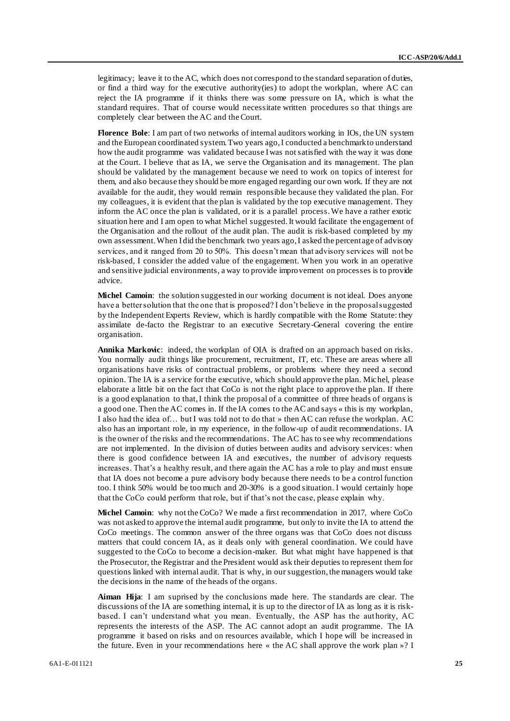legitimacy; leave it to the AC, which does not correspond to the standard separation of duties, or find a third way for the executive authority(ies) to adopt the workplan, where AC can reject the IA programme if it thinks there was some pressure on IA, which is what the standard requires. That of course would necessitate written procedures so that things are completely clear between the AC and the Court.

**Florence Bole**: I am part of two networks of internal auditors working in IOs, the UN system and the European coordinated system. Two years ago, I conducted a benchmark to understand how the audit programme was validated because I was not satisfied with the way it was done at the Court. I believe that as IA, we serve the Organisation and its management. The plan should be validated by the management because we need to work on topics of interest for them, and also because they should be more engaged regarding our own work. If they are not available for the audit, they would remain responsible because they validated the plan. For my colleagues, it is evident that the plan is validated by the top executive management. They inform the AC once the plan is validated, or it is a parallel process. We have a rather exotic situation here and I am open to what Michel suggested. It would facilitate the engagement of the Organisation and the rollout of the audit plan. The audit is risk-based completed by my own assessment. When I did the benchmark two years ago, I asked the percentage of advisory services, and it ranged from 20 to 50%. This doesn't mean that advisory services will not be risk-based, I consider the added value of the engagement. When you work in an operative and sensitive judicial environments, a way to provide improvement on processes is to provide advice.

**Michel Camoin**: the solution suggested in our working document is not ideal. Does anyone have a better solution that the one that is proposed? I don't believe in the proposal suggested by the Independent Experts Review, which is hardly compatible with the Rome Statute: they assimilate de-facto the Registrar to an executive Secretary-General covering the entire organisation.

**Annika Markovic**: indeed, the workplan of OIA is drafted on an approach based on risks. You normally audit things like procurement, recruitment, IT, etc. These are areas where all organisations have risks of contractual problems, or problems where they need a second opinion. The IA is a service for the executive, which should approve the plan. Michel, please elaborate a little bit on the fact that CoCo is not the right place to approve the plan. If there is a good explanation to that, I think the proposal of a committee of three heads of organs is a good one.Then the AC comes in. If the IA comes to the AC and says « this is my workplan, I also had the idea of… but I was told not to do that » then AC can refuse the workplan. AC also has an important role, in my experience, in the follow-up of audit recommendations. IA is the owner of the risks and the recommendations. The AC has to see why recommendations are not implemented. In the division of duties between audits and advisory services: when there is good confidence between IA and executives, the number of advisory requests increases. That's a healthy result, and there again the AC has a role to play and must ensure that IA does not become a pure advisory body because there needs to be a control function too. I think 50% would be too much and 20-30% is a good situation. I would certainly hope that the CoCo could perform that role, but if that's not the case, please explain why.

**Michel Camoin**: why not the CoCo? We made a first recommendation in 2017, where CoCo was not asked to approve the internal audit programme, but only to invite the IA to attend the CoCo meetings. The common answer of the three organs was that CoCo does not discuss matters that could concern IA, as it deals only with general coordination. We could have suggested to the CoCo to become a decision-maker. But what might have happened is that the Prosecutor, the Registrar and the President would ask their deputies to represent them for questions linked with internal audit. That is why, in our suggestion, the managers would take the decisions in the name of the heads of the organs.

**Aiman Hija**: I am suprised by the conclusions made here. The standards are clear. The discussions of the IA are something internal, it is up to the director of IA as long as it is riskbased. I can't understand what you mean. Eventually, the ASP has the authority, AC represents the interests of the ASP. The AC cannot adopt an audit programme. The IA programme it based on risks and on resources available, which I hope will be increased in the future. Even in your recommendations here « the AC shall approve the work plan »? I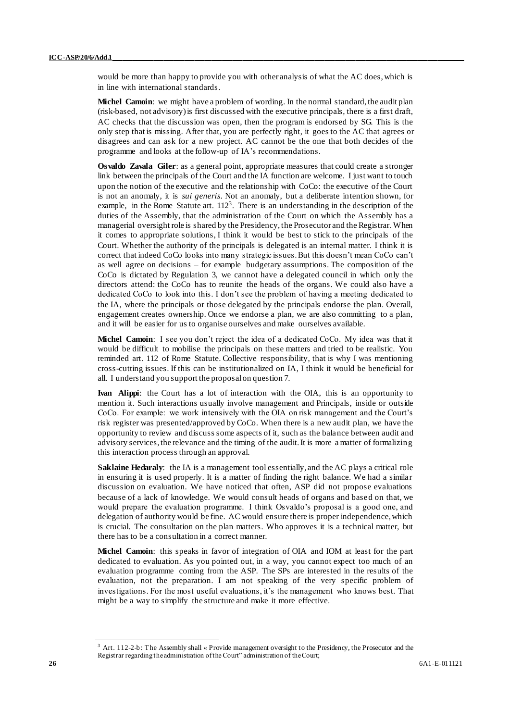would be more than happy to provide you with other analysis of what the AC does, which is in line with international standards.

**Michel Camoin**: we might have a problem of wording. In the normal standard, the audit plan (risk-based, not advisory) is first discussed with the executive principals, there is a first draft, AC checks that the discussion was open, then the program is endorsed by SG. This is the only step that is missing. After that, you are perfectly right, it goes to the AC that agrees or disagrees and can ask for a new project. AC cannot be the one that both decides of the programme and looks at the follow-up of IA's recommendations.

**Osvaldo Zavala Giler**: as a general point, appropriate measures that could create a stronger link between the principals of the Court and the IA function are welcome. I just want to touch upon the notion of the executive and the relationship with CoCo: the executive of the Court is not an anomaly, it is *sui generis*. Not an anomaly, but a deliberate intention shown, for example, in the Rome Statute art.  $112<sup>3</sup>$ . There is an understanding in the description of the duties of the Assembly, that the administration of the Court on which the Assembly has a managerial oversight role is shared by the Presidency, the Prosecutor and the Registrar. When it comes to appropriate solutions, I think it would be best to stick to the principals of the Court. Whether the authority of the principals is delegated is an internal matter. I think it is correct that indeed CoCo looks into many strategic issues. But this doesn't mean CoCo can't as well agree on decisions – for example budgetary assumptions. The composition of the CoCo is dictated by Regulation 3, we cannot have a delegated council in which only the directors attend: the CoCo has to reunite the heads of the organs. We could also have a dedicated CoCo to look into this. I don't see the problem of having a meeting dedicated to the IA, where the principals or those delegated by the principals endorse the plan. Overall, engagement creates ownership. Once we endorse a plan, we are also committing to a plan, and it will be easier for us to organise ourselves and make ourselves available.

**Michel Camoin**: I see you don't reject the idea of a dedicated CoCo. My idea was that it would be difficult to mobilise the principals on these matters and tried to be realistic. You reminded art. 112 of Rome Statute. Collective responsibility, that is why I was mentioning cross-cutting issues. If this can be institutionalized on IA, I think it would be beneficial for all. I understand you support the proposal on question 7.

**Ivan Alippi**: the Court has a lot of interaction with the OIA, this is an opportunity to mention it. Such interactions usually involve management and Principals, inside or outside CoCo. For example: we work intensively with the OIA on risk management and the Court's risk register was presented/approved by CoCo. When there is a new audit plan, we have the opportunity to review and discuss some aspects of it, such as the balance between audit and advisory services, the relevance and the timing of the audit. It is more a matter of formalizing this interaction process through an approval.

**Saklaine Hedaraly:** the IA is a management tool essentially, and the AC plays a critical role in ensuring it is used properly. It is a matter of finding the right balance. We had a similar discussion on evaluation. We have noticed that often, ASP did not propose evaluations because of a lack of knowledge. We would consult heads of organs and based on that, we would prepare the evaluation programme. I think Osvaldo's proposal is a good one, and delegation of authority would be fine. AC would ensure there is proper independence, which is crucial. The consultation on the plan matters. Who approves it is a technical matter, but there has to be a consultation in a correct manner.

**Michel Camoin**: this speaks in favor of integration of OIA and IOM at least for the part dedicated to evaluation. As you pointed out, in a way, you cannot expect too much of an evaluation programme coming from the ASP. The SPs are interested in the results of the evaluation, not the preparation. I am not speaking of the very specific problem of investigations. For the most useful evaluations, it's the management who knows best. That might be a way to simplify the structure and make it more effective.

<sup>&</sup>lt;sup>3</sup> Art. 112-2-b: The Assembly shall « Provide management oversight to the Presidency, the Prosecutor and the Registrar regarding the administration of the Court" administration of the Court;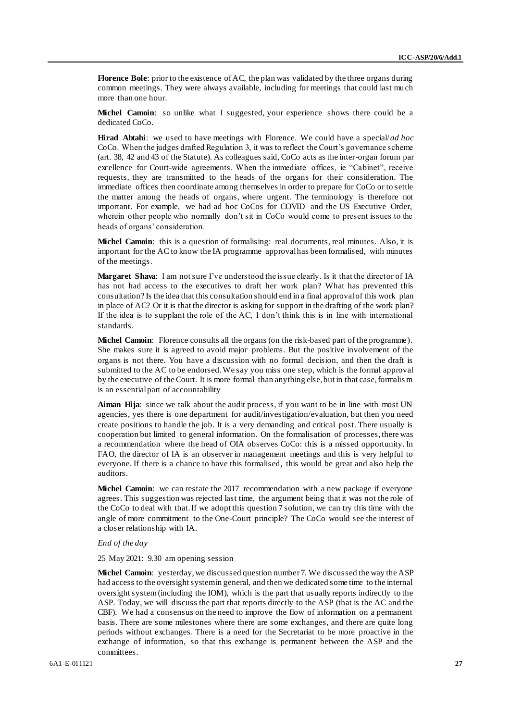**Florence Bole**: prior to the existence of AC, the plan was validated by the three organs during common meetings. They were always available, including for meetings that could last mu ch more than one hour.

**Michel Camoin**: so unlike what I suggested, your experience shows there could be a dedicated CoCo.

**Hirad Abtahi**: we used to have meetings with Florence. We could have a special/*ad hoc* CoCo. When the judges drafted Regulation 3, it was to reflect the Court's governance scheme (art. 38, 42 and 43 of the Statute). As colleagues said, CoCo acts as the inter-organ forum par excellence for Court-wide agreements. When the immediate offices, ie "Cabinet", receive requests, they are transmitted to the heads of the organs for their consideration. The immediate offices then coordinate among themselves in order to prepare for CoCo or to settle the matter among the heads of organs, where urgent. The terminology is therefore not important. For example, we had ad hoc CoCos for COVID and the US Executive Order, wherein other people who normally don't sit in CoCo would come to present issues to the heads of organs' consideration.

Michel Camoin: this is a question of formalising: real documents, real minutes. Also, it is important for the AC to know the IA programme approval has been formalised, with minutes of the meetings.

**Margaret Shava**: I am not sure I've understood the issue clearly. Is it that the director of IA has not had access to the executives to draft her work plan? What has prevented this consultation? Is the idea that this consultation should end in a final approval of this work plan in place of AC? Or it is that the director is asking for support in the drafting of the work plan? If the idea is to supplant the role of the AC, I don't think this is in line with international standards.

**Michel Camoin**: Florence consults all the organs (on the risk-based part of the programme). She makes sure it is agreed to avoid major problems. But the positive involvement of the organs is not there. You have a discussion with no formal decision, and then the draft is submitted to the AC to be endorsed. We say you miss one step, which is the formal approval by the executive of the Court. It is more formal than anything else, but in that case, formalis m is an essential part of accountability

**Aiman Hija**: since we talk about the audit process, if you want to be in line with most UN agencies, yes there is one department for audit/investigation/evaluation, but then you need create positions to handle the job. It is a very demanding and critical post. There usually is cooperation but limited to general information. On the formalisation of processes, there was a recommendation where the head of OIA observes CoCo: this is a missed opportunity. In FAO, the director of IA is an observer in management meetings and this is very helpful to everyone. If there is a chance to have this formalised, this would be great and also help the auditors.

**Michel Camoin**: we can restate the 2017 recommendation with a new package if everyone agrees. This suggestion was rejected last time, the argument being that it was not the role of the CoCo to deal with that. If we adopt this question 7 solution, we can try this time with the angle of more commitment to the One-Court principle? The CoCo would see the interest of a closer relationship with IA.

### *End of the day*

25 May 2021: 9.30 am opening session

**Michel Camoin**: yesterday, we discussed question number 7. We discussed the way the ASP had access to the oversight system in general, and then we dedicated some time to the internal oversight system (including the IOM), which is the part that usually reports indirectly to the ASP. Today, we will discuss the part that reports directly to the ASP (that is the AC and the CBF). We had a consensus on the need to improve the flow of information on a permanent basis. There are some milestones where there are some exchanges, and there are quite long periods without exchanges. There is a need for the Secretariat to be more proactive in the exchange of information, so that this exchange is permanent between the ASP and the committees.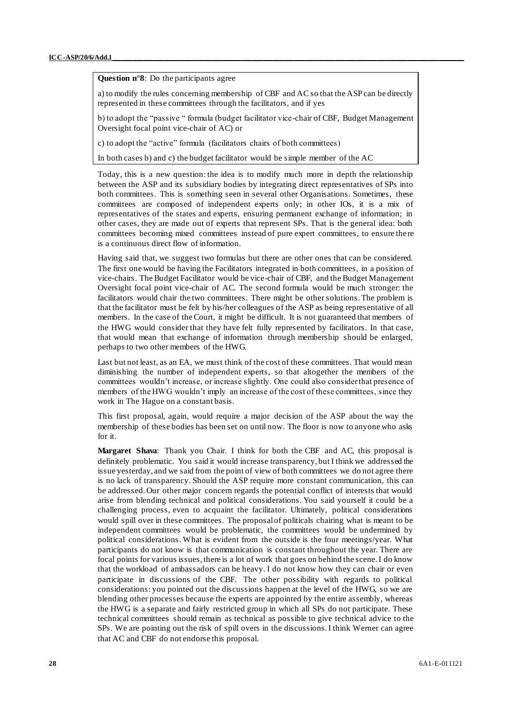**Question n°8**: Do the participants agree

a) to modify the rules concerning membership of CBF and AC so that the ASP can be directly represented in these committees through the facilitators, and if yes

b) to adopt the "passive " formula (budget facilitator vice-chair of CBF, Budget Management Oversight focal point vice-chair of AC) or

c) to adopt the "active" formula (facilitators chairs of both committees)

In both cases b) and c) the budget facilitator would be simple member of the AC

Today, this is a new question: the idea is to modify much more in depth the relationship between the ASP and its subsidiary bodies by integrating direct representatives of SPs into both committees. This is something seen in several other Organisations. Sometimes, these committees are composed of independent experts only; in other IOs, it is a mix of representatives of the states and experts, ensuring permanent exchange of information; in other cases, they are made out of experts that represent SPs. That is the general idea: both committees becoming mixed committees instead of pure expert committees, to ensure the re is a continuous direct flow of information.

Having said that, we suggest two formulas but there are other ones that can be considered. The first one would be having the Facilitators integrated in both committees, in a position of vice-chairs. The Budget Facilitator would be vice-chair of CBF, and the Budget Management Oversight focal point vice-chair of AC. The second formula would be much stronger: the facilitators would chair the two committees. There might be other solutions. The problem is that the facilitator must be felt by his/her colleagues of the ASP as being representative of all members. In the case of the Court, it might be difficult. It is not guaranteed that members of the HWG would consider that they have felt fully represented by facilitators. In that case, that would mean that exchange of information through membership should be enlarged, perhaps to two other members of the HWG.

Last but not least, as an EA, we must think of the cost of these committees. That would mean diminishing the number of independent experts, so that altogether the members of the committees wouldn't increase, or increase slightly. One could also consider that presence of members of the HWG wouldn't imply an increase of the cost of these committees, since they work in The Hague on a constant basis.

This first proposal, again, would require a major decision of the ASP about the way the membership of these bodies has been set on until now. The floor is now to anyone who asks for it.

**Margaret Shava**: Thank you Chair. I think for both the CBF and AC, this proposal is definitely problematic. You said it would increase transparency, but I think we addressed the issue yesterday, and we said from the point of view of both committees we do not agree there is no lack of transparency. Should the ASP require more constant communication, this can be addressed. Our other major concern regards the potential conflict of interests that would arise from blending technical and political considerations. You said yourself it could be a challenging process, even to acquaint the facilitator. Ultimately, political considerations would spill over in these committees. The proposal of politicals chairing what is meant to be independent committees would be problematic, the committees would be undermined by political considerations. What is evident from the outside is the four meetings/year. What participants do not know is that communication is constant throughout the year. There are focal points for various issues, there is a lot of work that goes on behind the scene. I do know that the workload of ambassadors can be heavy. I do not know how they can chair or even participate in discussions of the CBF. The other possibility with regards to political considerations: you pointed out the discussions happen at the level of the HWG, so we are blending other processes because the experts are appointed by the entire assembly, whereas the HWG is a separate and fairly restricted group in which all SPs do not participate. These technical committees should remain as technical as possible to give technical advice to the SPs. We are pointing out the risk of spill overs in the discussions. I think Werner can agree that AC and CBF do not endorse this proposal.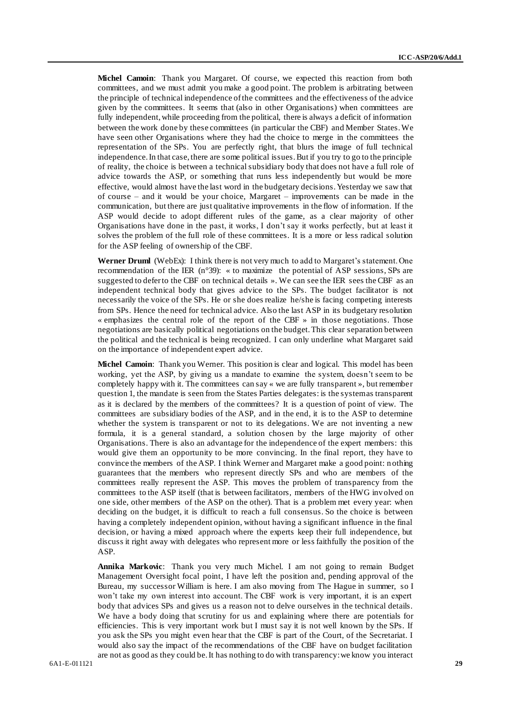**Michel Camoin**: Thank you Margaret. Of course, we expected this reaction from both committees, and we must admit you make a good point. The problem is arbitrating between the principle of technical independence of the committees and the effectiveness of the advice given by the committees. It seems that (also in other Organisations) when committees are fully independent, while proceeding from the political, there is always a deficit of information between the work done by these committees (in particular the CBF) and Member States. We have seen other Organisations where they had the choice to merge in the committees the representation of the SPs. You are perfectly right, that blurs the image of full technical independence. In that case, there are some political issues. But if you try to go to the principle of reality, the choice is between a technical subsidiary body that does not have a full role of advice towards the ASP, or something that runs less independently but would be more effective, would almost have the last word in the budgetary decisions. Yesterday we saw that of course – and it would be your choice, Margaret – improvements can be made in the communication, but there are just qualitative improvements in the flow of information. If the ASP would decide to adopt different rules of the game, as a clear majority of other Organisations have done in the past, it works, I don't say it works perfectly, but at least it solves the problem of the full role of these committees. It is a more or less radical solution for the ASP feeling of ownership of the CBF.

**Werner Druml** (WebEx): I think there is not very much to add to Margaret's statement. One recommendation of the IER (n°39): « to maximize the potential of ASP sessions, SPs are suggested to defer to the CBF on technical details ». We can see the IER sees the CBF as an independent technical body that gives advice to the SPs. The budget facilitator is not necessarily the voice of the SPs. He or she does realize he/she is facing competing interests from SPs. Hence the need for technical advice. Also the last ASP in its budgetary resolution « emphasizes the central role of the report of the CBF » in those negotiations. Those negotiations are basically political negotiations on the budget. This clear separation between the political and the technical is being recognized. I can only underline what Margaret said on the importance of independent expert advice.

**Michel Camoin**: Thank you Werner. This position is clear and logical. This model has been working, yet the ASP, by giving us a mandate to examine the system, doesn't seem to be completely happy with it. The committees can say « we are fully transparent », but remember question 1, the mandate is seen from the States Parties delegates: is the system as transparent as it is declared by the members of the committees? It is a question of point of view. The committees are subsidiary bodies of the ASP, and in the end, it is to the ASP to determine whether the system is transparent or not to its delegations. We are not inventing a new formula, it is a general standard, a solution chosen by the large majority of other Organisations. There is also an advantage for the independence of the expert members: this would give them an opportunity to be more convincing. In the final report, they have to convince the members of the ASP. I think Werner and Margaret make a good point: n othing guarantees that the members who represent directly SPs and who are members of the committees really represent the ASP. This moves the problem of transparency from the committees to the ASP itself (that is between facilitators, members of the HWG involved on one side, other members of the ASP on the other). That is a problem met every year: when deciding on the budget, it is difficult to reach a full consensus. So the choice is between having a completely independent opinion, without having a significant influence in the final decision, or having a mixed approach where the experts keep their full independence, but discuss it right away with delegates who represent more or less faithfully the position of the ASP.

**Annika Markovic**: Thank you very much Michel. I am not going to remain Budget Management Oversight focal point, I have left the position and, pending approval of the Bureau, my successor William is here. I am also moving from The Hague in summer, so I won't take my own interest into account. The CBF work is very important, it is an expert body that advices SPs and gives us a reason not to delve ourselves in the technical details. We have a body doing that scrutiny for us and explaining where there are potentials for efficiencies. This is very important work but I must say it is not well known by the SPs. If you ask the SPs you might even hear that the CBF is part of the Court, of the Secretariat. I would also say the impact of the recommendations of the CBF have on budget facilitation are not as good as they could be. It has nothing to do with transparency: we know you interact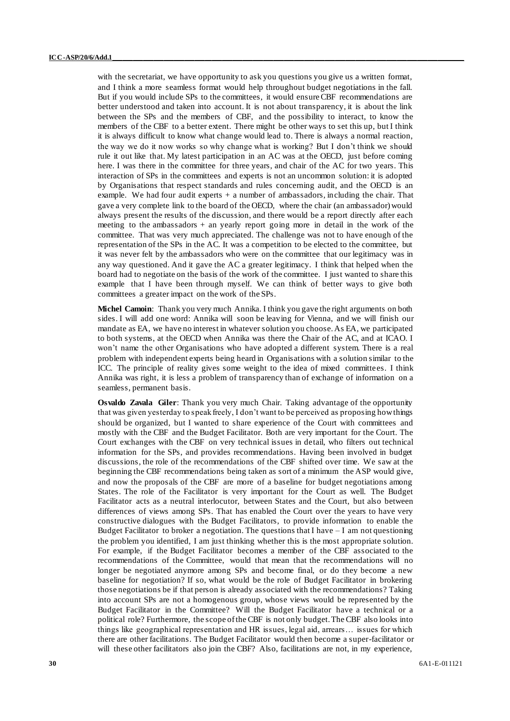with the secretariat, we have opportunity to ask you questions you give us a written format, and I think a more seamless format would help throughout budget negotiations in the fall. But if you would include SPs to the committees, it would ensure CBF recommendations are better understood and taken into account. It is not about transparency, it is about the link between the SPs and the members of CBF, and the possibility to interact, to know the members of the CBF to a better extent. There might be other ways to set this up, but I think it is always difficult to know what change would lead to. There is always a normal reaction, the way we do it now works so why change what is working? But I don't think we should rule it out like that. My latest participation in an AC was at the OECD, just before coming here. I was there in the committee for three years, and chair of the AC for two years. This interaction of SPs in the committees and experts is not an uncommon solution: it is adopted by Organisations that respect standards and rules concerning audit, and the OECD is an example. We had four audit experts + a number of ambassadors, including the chair. That gave a very complete link to the board of the OECD, where the chair (an ambassador) would always present the results of the discussion, and there would be a report directly after each meeting to the ambassadors + an yearly report going more in detail in the work of the committee. That was very much appreciated. The challenge was not to have enough of the representation of the SPs in the AC. It was a competition to be elected to the committee, but it was never felt by the ambassadors who were on the committee that our legitimacy was in any way questioned. And it gave the AC a greater legitimacy. I think that helped when the board had to negotiate on the basis of the work of the committee. I just wanted to share this example that I have been through myself. We can think of better ways to give both committees a greater impact on the work of the SPs.

**Michel Camoin**: Thank you very much Annika. I think you gave the right arguments on both sides. I will add one word: Annika will soon be leaving for Vienna, and we will finish our mandate as EA, we have no interest in whatever solution you choose. As EA, we participated to both systems, at the OECD when Annika was there the Chair of the AC, and at ICAO. I won't name the other Organisations who have adopted a different system. There is a real problem with independent experts being heard in Organisations with a solution similar to the ICC. The principle of reality gives some weight to the idea of mixed committees. I think Annika was right, it is less a problem of transparency than of exchange of information on a seamless, permanent basis.

**Osvaldo Zavala Giler**: Thank you very much Chair. Taking advantage of the opportunity that was given yesterday to speak freely, I don't want to be perceived as proposing how things should be organized, but I wanted to share experience of the Court with committees and mostly with the CBF and the Budget Facilitator. Both are very important for the Court. The Court exchanges with the CBF on very technical issues in detail, who filters out technical information for the SPs, and provides recommendations. Having been involved in budget discussions, the role of the recommendations of the CBF shifted over time. We saw at the beginning the CBF recommendations being taken as sort of a minimum the ASP would give, and now the proposals of the CBF are more of a baseline for budget negotiations among States. The role of the Facilitator is very important for the Court as well. The Budget Facilitator acts as a neutral interlocutor, between States and the Court, but also between differences of views among SPs. That has enabled the Court over the years to have very constructive dialogues with the Budget Facilitators, to provide information to enable the Budget Facilitator to broker a negotiation. The questions that I have  $-I$  am not questioning the problem you identified, I am just thinking whether this is the most appropriate solution. For example, if the Budget Facilitator becomes a member of the CBF associated to the recommendations of the Committee, would that mean that the recommendations will no longer be negotiated anymore among SPs and become final, or do they become a new baseline for negotiation? If so, what would be the role of Budget Facilitator in brokering those negotiations be if that person is already associated with the recommendations? Taking into account SPs are not a homogenous group, whose views would be represented by the Budget Facilitator in the Committee? Will the Budget Facilitator have a technical or a political role? Furthermore, the scope of the CBF is not only budget. The CBF also looks into things like geographical representation and HR issues, legal aid, arrears… issues for which there are other facilitations. The Budget Facilitator would then become a super-facilitator or will these other facilitators also join the CBF? Also, facilitations are not, in my experience,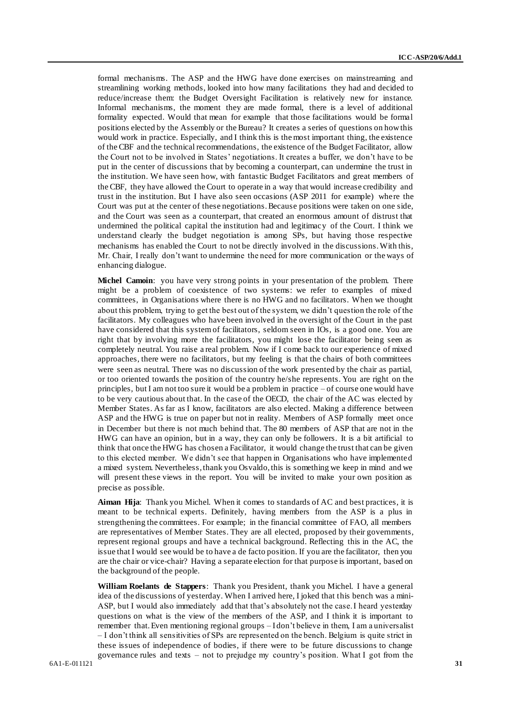formal mechanisms. The ASP and the HWG have done exercises on mainstreaming and streamlining working methods, looked into how many facilitations they had and decided to reduce/increase them: the Budget Oversight Facilitation is relatively new for instance. Informal mechanisms, the moment they are made formal, there is a level of additional formality expected. Would that mean for example that those facilitations would be formal positions elected by the Assembly or the Bureau? It creates a series of questions on how this would work in practice. Especially, and I think this is the most important thing, the existence of the CBF and the technical recommendations, the existence of the Budget Facilitator, allow the Court not to be involved in States' negotiations. It creates a buffer, we don't have to be put in the center of discussions that by becoming a counterpart, can undermine the trust in the institution. We have seen how, with fantastic Budget Facilitators and great members of the CBF, they have allowed the Court to operate in a way that would increase credibility and trust in the institution. But I have also seen occasions (ASP 2011 for example) where the Court was put at the center of these negotiations. Because positions were taken on one side, and the Court was seen as a counterpart, that created an enormous amount of distrust that undermined the political capital the institution had and legitimacy of the Court. I think we understand clearly the budget negotiation is among SPs, but having those respective mechanisms has enabled the Court to not be directly involved in the discussions. With this, Mr. Chair, I really don't want to undermine the need for more communication or the ways of enhancing dialogue.

**Michel Camoin**: you have very strong points in your presentation of the problem. There might be a problem of coexistence of two systems: we refer to examples of mixed committees, in Organisations where there is no HWG and no facilitators. When we thought about this problem, trying to get the best out of the system, we didn't question the role of the facilitators. My colleagues who have been involved in the oversight of the Court in the past have considered that this system of facilitators, seldom seen in IOs, is a good one. You are right that by involving more the facilitators, you might lose the facilitator being seen as completely neutral. You raise a real problem. Now if I come back to our experience of mixed approaches, there were no facilitators, but my feeling is that the chairs of both committees were seen as neutral. There was no discussion of the work presented by the chair as partial, or too oriented towards the position of the country he/she represents. You are right on the principles, but I am not too sure it would be a problem in practice – of course one would have to be very cautious about that. In the case of the OECD, the chair of the AC was elected by Member States. As far as I know, facilitators are also elected. Making a difference between ASP and the HWG is true on paper but not in reality. Members of ASP formally meet once in December but there is not much behind that. The 80 members of ASP that are not in the HWG can have an opinion, but in a way, they can only be followers. It is a bit artificial to think that once the HWG has chosen a Facilitator, it would change the trust that can be given to this elected member. We didn't see that happen in Organisations who have implemented a mixed system. Nevertheless, thank you Osvaldo, this is something we keep in mind and we will present these views in the report. You will be invited to make your own position as precise as possible.

**Aiman Hija**: Thank you Michel. When it comes to standards of AC and best practices, it is meant to be technical experts. Definitely, having members from the ASP is a plus in strengthening the committees. For example; in the financial committee of FAO, all members are representatives of Member States. They are all elected, proposed by their governments, represent regional groups and have a technical background. Reflecting this in the AC, the issue that I would see would be to have a de facto position. If you are the facilitator, then you are the chair or vice-chair? Having a separate election for that purpose is important, based on the background of the people.

6A1-E-011121 **31 William Roelants de Stappers**: Thank you President, thank you Michel. I have a general idea of the discussions of yesterday. When I arrived here, I joked that this bench was a mini-ASP, but I would also immediately add that that's absolutely not the case. I heard yesterday questions on what is the view of the members of the ASP, and I think it is important to remember that. Even mentioning regional groups – I don't believe in them, I am a universalist – I don't think all sensitivities of SPs are represented on the bench. Belgium is quite strict in these issues of independence of bodies, if there were to be future discussions to change governance rules and texts – not to prejudge my country's position. What I got from the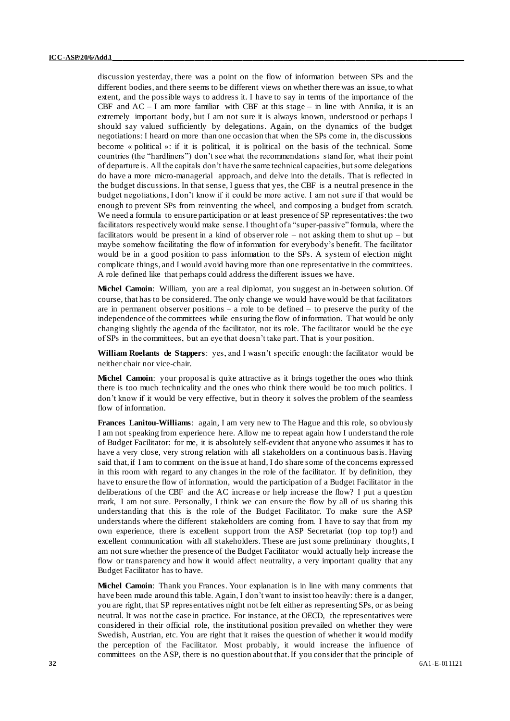discussion yesterday, there was a point on the flow of information between SPs and the different bodies, and there seems to be different views on whether there was an issue, to what extent, and the possible ways to address it. I have to say in terms of the importance of the CBF and  $AC - I$  am more familiar with CBF at this stage – in line with Annika, it is an extremely important body, but I am not sure it is always known, understood or perhaps I should say valued sufficiently by delegations. Again, on the dynamics of the budget negotiations: I heard on more than one occasion that when the SPs come in, the discussions become « political »: if it is political, it is political on the basis of the technical. Some countries (the "hardliners") don't see what the recommendations stand for, what their point of departure is. All the capitals don't have the same technical capacities, but some delegations do have a more micro-managerial approach, and delve into the details. That is reflected in the budget discussions. In that sense, I guess that yes, the CBF is a neutral presence in the budget negotiations, I don't know if it could be more active. I am not sure if that would be enough to prevent SPs from reinventing the wheel, and composing a budget from scratch. We need a formula to ensure participation or at least presence of SP representatives: the two facilitators respectively would make sense. I thought of a "super-passive" formula, where the facilitators would be present in a kind of observer role – not asking them to shut up – but maybe somehow facilitating the flow of information for everybody's benefit. The facilitator would be in a good position to pass information to the SPs. A system of election might complicate things, and I would avoid having more than one representative in the committees. A role defined like that perhaps could address the different issues we have.

**Michel Camoin**: William, you are a real diplomat, you suggest an in-between solution. Of course, that has to be considered. The only change we would have would be that facilitators are in permanent observer positions – a role to be defined – to preserve the purity of the independence of the committees while ensuring the flow of information. That would be only changing slightly the agenda of the facilitator, not its role. The facilitator would be the eye of SPs in the committees, but an eye that doesn't take part. That is your position.

**William Roelants de Stappers**: yes, and I wasn't specific enough: the facilitator would be neither chair nor vice-chair.

**Michel Camoin**: your proposal is quite attractive as it brings together the ones who think there is too much technicality and the ones who think there would be too much politics. I don't know if it would be very effective, but in theory it solves the problem of the seamless flow of information.

**Frances Lanitou-Williams**: again, I am very new to The Hague and this role, so obviously I am not speaking from experience here. Allow me to repeat again how I understand the role of Budget Facilitator: for me, it is absolutely self-evident that anyone who assumes it has to have a very close, very strong relation with all stakeholders on a continuous basis. Having said that, if I am to comment on the issue at hand, I do share some of the concerns expressed in this room with regard to any changes in the role of the facilitator. If by definition, they have to ensure the flow of information, would the participation of a Budget Facilitator in the deliberations of the CBF and the AC increase or help increase the flow? I put a question mark, I am not sure. Personally, I think we can ensure the flow by all of us sharing this understanding that this is the role of the Budget Facilitator. To make sure the ASP understands where the different stakeholders are coming from. I have to say that from my own experience, there is excellent support from the ASP Secretariat (top top top!) and excellent communication with all stakeholders. These are just some preliminary thoughts, I am not sure whether the presence of the Budget Facilitator would actually help increase the flow or transparency and how it would affect neutrality, a very important quality that any Budget Facilitator has to have.

**Michel Camoin**: Thank you Frances. Your explanation is in line with many comments that have been made around this table. Again, I don't want to insist too heavily: there is a danger, you are right, that SP representatives might not be felt either as representing SPs, or as being neutral. It was not the case in practice. For instance, at the OECD, the representatives were considered in their official role, the institutional position prevailed on whether they were Swedish, Austrian, etc. You are right that it raises the question of whether it wou ld modify the perception of the Facilitator. Most probably, it would increase the influence of committees on the ASP, there is no question about that. If you consider that the principle of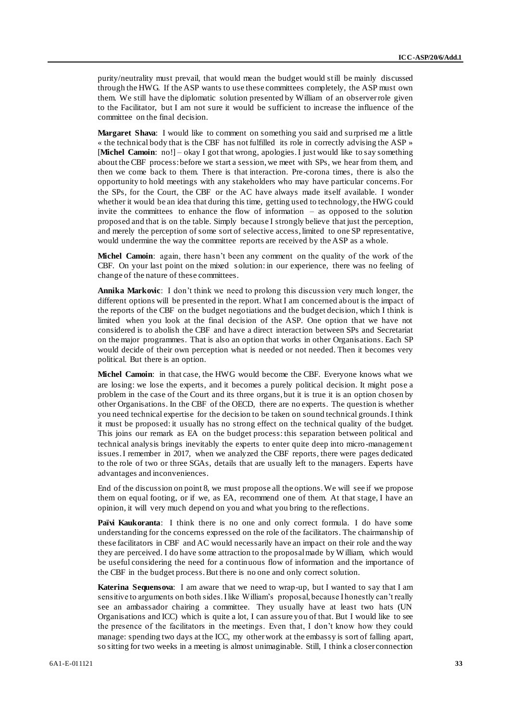purity/neutrality must prevail, that would mean the budget would still be mainly discussed through the HWG. If the ASP wants to use these committees completely, the ASP must own them. We still have the diplomatic solution presented by William of an observer role given to the Facilitator, but I am not sure it would be sufficient to increase the influence of the committee on the final decision.

**Margaret Shava**: I would like to comment on something you said and surprised me a little « the technical body that is the CBF has not fulfilled its role in correctly advising the ASP » [Michel Camoin: no!] – okay I got that wrong, apologies. I just would like to say something about the CBF process: before we start a session, we meet with SPs, we hear from them, and then we come back to them. There is that interaction. Pre-corona times, there is also the opportunity to hold meetings with any stakeholders who may have particular concerns. For the SPs, for the Court, the CBF or the AC have always made itself available. I wonder whether it would be an idea that during this time, getting used to technology, the HWG could invite the committees to enhance the flow of information – as opposed to the solution proposed and that is on the table. Simply because I strongly believe that just the perception, and merely the perception of some sort of selective access, limited to one SP representative, would undermine the way the committee reports are received by the ASP as a whole.

**Michel Camoin**: again, there hasn't been any comment on the quality of the work of the CBF. On your last point on the mixed solution: in our experience, there was no feeling of change of the nature of these committees.

**Annika Markovic**: I don't think we need to prolong this discussion very much longer, the different options will be presented in the report. What I am concerned about is the impact of the reports of the CBF on the budget negotiations and the budget decision, which I think is limited when you look at the final decision of the ASP. One option that we have not considered is to abolish the CBF and have a direct interaction between SPs and Secretariat on the major programmes. That is also an option that works in other Organisations. Each SP would decide of their own perception what is needed or not needed. Then it becomes very political. But there is an option.

**Michel Camoin**: in that case, the HWG would become the CBF. Everyone knows what we are losing: we lose the experts, and it becomes a purely political decision. It might pose a problem in the case of the Court and its three organs, but it is true it is an option chosen by other Organisations. In the CBF of the OECD, there are no experts. The question is whether you need technical expertise for the decision to be taken on sound technical grounds. I think it must be proposed: it usually has no strong effect on the technical quality of the budget. This joins our remark as EA on the budget process: this separation between political and technical analysis brings inevitably the experts to enter quite deep into micro -management issues. I remember in 2017, when we analyzed the CBF reports, there were pages dedicated to the role of two or three SGAs, details that are usually left to the managers. Experts have advantages and inconveniences.

End of the discussion on point 8, we must propose all the options. We will see if we propose them on equal footing, or if we, as EA, recommend one of them. At that stage, I have an opinion, it will very much depend on you and what you bring to the reflections.

**Païvi Kaukoranta**: I think there is no one and only correct formula. I do have some understanding for the concerns expressed on the role of the facilitators. The chairmanship of these facilitators in CBF and AC would necessarily have an impact on their role and the way they are perceived. I do have some attraction to the proposal made by William, which would be useful considering the need for a continuous flow of information and the importance of the CBF in the budget process. But there is no one and only correct solution.

**Katerina Sequensova**: I am aware that we need to wrap-up, but I wanted to say that I am sensitive to arguments on both sides. I like William's proposal, because I honestly can't really see an ambassador chairing a committee. They usually have at least two hats (UN Organisations and ICC) which is quite a lot, I can assure you of that. But I would like to see the presence of the facilitators in the meetings. Even that, I don't know how they could manage: spending two days at the ICC, my other work at the embassy is sort of falling apart, so sitting for two weeks in a meeting is almost unimaginable. Still, I think a closer connection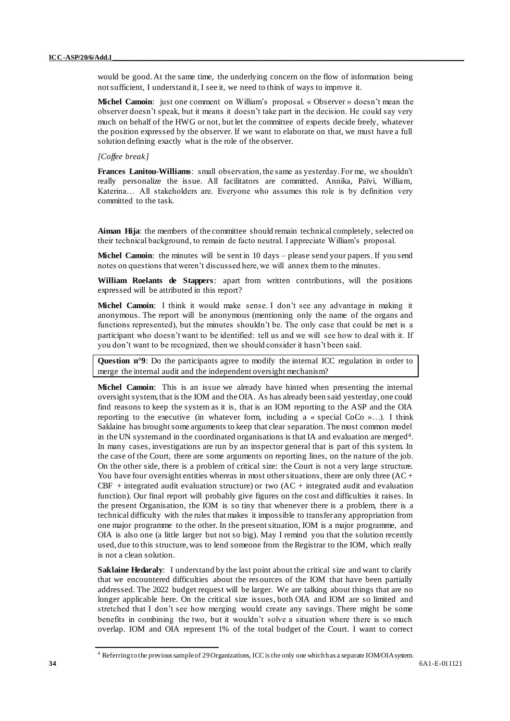would be good. At the same time, the underlying concern on the flow of information being not sufficient, I understand it, I see it, we need to think of ways to improve it.

**Michel Camoin**: just one comment on William's proposal. « Observer » doesn't mean the observer doesn't speak, but it means it doesn't take part in the decision. He could say very much on behalf of the HWG or not, but let the committee of experts decide freely, whatever the position expressed by the observer. If we want to elaborate on that, we must have a full solution defining exactly what is the role of the observer.

## *[Coffee break]*

**Frances Lanitou-Williams**: small observation, the same as yesterday. For me, we shouldn't really personalize the issue. All facilitators are committed. Annika, Païvi, William, Katerina… All stakeholders are. Everyone who assumes this role is by definition very committed to the task.

Aiman Hija: the members of the committee should remain technical completely, selected on their technical background, to remain de facto neutral. I appreciate William's proposal.

**Michel Camoin**: the minutes will be sent in 10 days – please send your papers. If you send notes on questions that weren't discussed here, we will annex them to the minutes.

**William Roelants de Stappers**: apart from written contributions, will the positions expressed will be attributed in this report?

**Michel Camoin**: I think it would make sense. I don't see any advantage in making it anonymous. The report will be anonymous (mentioning only the name of the organs and functions represented), but the minutes shouldn't be. The only case that could be met is a participant who doesn't want to be identified: tell us and we will see how to deal with it. If you don't want to be recognized, then we should consider it hasn't been said.

Question n°9: Do the participants agree to modify the internal ICC regulation in order to merge the internal audit and the independent oversight mechanism?

**Michel Camoin**: This is an issue we already have hinted when presenting the internal oversight system, that is the IOM and the OIA. As has already been said yesterday, one could find reasons to keep the system as it is, that is an IOM reporting to the ASP and the OIA reporting to the executive (in whatever form, including a « special CoCo »…). I think Saklaine has brought some arguments to keep that clear separation. The most common model in the UN system and in the coordinated organisations is that IA and evaluation are merged<sup>4</sup>. In many cases, investigations are run by an inspector general that is part of this system. In the case of the Court, there are some arguments on reporting lines, on the nature of the job. On the other side, there is a problem of critical size: the Court is not a very large structure. You have four oversight entities whereas in most other situations, there are only three (AC + CBF + integrated audit evaluation structure) or two  $(AC + integrated)$  audit and evaluation function). Our final report will probably give figures on the cost and difficulties it raises. In the present Organisation, the IOM is so tiny that whenever there is a problem, there is a technical difficulty with the rules that makes it impossible to transfer any appropriation from one major programme to the other. In the present situation, IOM is a major programme, and OIA is also one (a little larger but not so big). May I remind you that the solution recently used, due to this structure, was to lend someone from the Registrar to the IOM, which really is not a clean solution.

**Saklaine Hedaraly**: I understand by the last point about the critical size and want to clarify that we encountered difficulties about the res ources of the IOM that have been partially addressed. The 2022 budget request will be larger. We are talking about things that are no longer applicable here. On the critical size issues, both OIA and IOM are so limited and stretched that I don't see how merging would create any savings. There might be some benefits in combining the two, but it wouldn't solve a situation where there is so much overlap. IOM and OIA represent 1% of the total budget of the Court. I want to correct

<sup>4</sup> Referring to the previous sample of 29 Organizations, ICC is the only one which has a separate IOM/OIA system.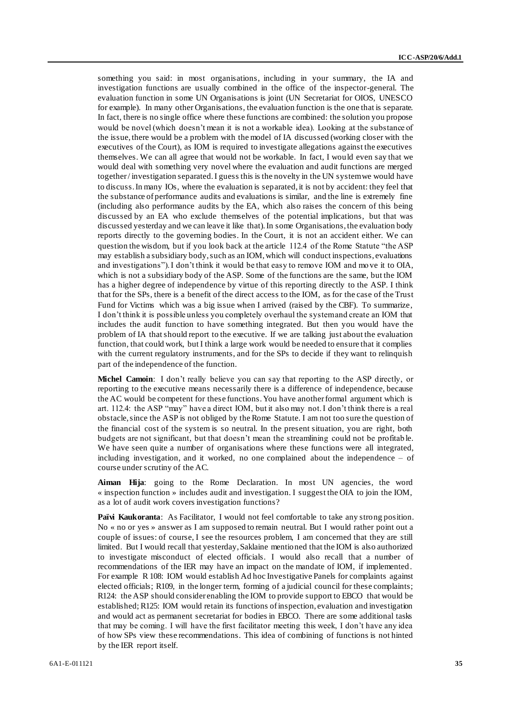something you said: in most organisations, including in your summary, the IA and investigation functions are usually combined in the office of the inspector-general. The evaluation function in some UN Organisations is joint (UN Secretariat for OIOS, UNESCO for example). In many other Organisations, the evaluation function is the one that is separate. In fact, there is no single office where these functions are combined: the solution you propose would be novel (which doesn't mean it is not a workable idea). Looking at the substance of the issue, there would be a problem with the model of IA discussed (working closer with the executives of the Court), as IOM is required to investigate allegations against the executives themselves. We can all agree that would not be workable. In fact, I would even say that we would deal with something very novel where the evaluation and audit functions are merged together / investigation separated. I guess this is the novelty in the UN system we would have to discuss. In many IOs, where the evaluation is separated, it is not by accident: they feel that the substance of performance audits and evaluations is similar, and the line is extremely fine (including also performance audits by the EA, which also raises the concern of this being discussed by an EA who exclude themselves of the potential implications, but that was discussed yesterday and we can leave it like that). In some Organisations, the evaluation body reports directly to the governing bodies. In the Court, it is not an accident either. We can question the wisdom, but if you look back at the article 112.4 of the Rome Statute "the ASP may establish a subsidiary body, such as an IOM, which will conduct inspections, evaluations and investigations"). I don't think it would be that easy to remove IOM and mo ve it to OIA, which is not a subsidiary body of the ASP. Some of the functions are the same, but the IOM has a higher degree of independence by virtue of this reporting directly to the ASP. I think that for the SPs, there is a benefit of the direct access to the IOM, as for the case of the Trust Fund for Victims which was a big issue when I arrived (raised by the CBF). To summarize, I don't think it is possible unless you completely overhaul the system and create an IOM that includes the audit function to have something integrated. But then you would have the problem of IA that should report to the executive. If we are talking just about the evaluation function, that could work, but I think a large work would be needed to ensure that it complies with the current regulatory instruments, and for the SPs to decide if they want to relinquish part of the independence of the function.

**Michel Camoin**: I don't really believe you can say that reporting to the ASP directly, or reporting to the executive means necessarily there is a difference of independence, because the AC would be competent for these functions. You have another formal argument which is art. 112.4: the ASP "may" have a direct IOM, but it also may not. I don't think there is a real obstacle, since the ASP is not obliged by the Rome Statute. I am not too sure the question of the financial cost of the system is so neutral. In the present situation, you are right, both budgets are not significant, but that doesn't mean the streamlining could not be profitab le. We have seen quite a number of organisations where these functions were all integrated, including investigation, and it worked, no one complained about the independence – of course under scrutiny of the AC.

Aiman Hija: going to the Rome Declaration. In most UN agencies, the word « inspection function » includes audit and investigation. I suggest the OIA to join the IOM, as a lot of audit work covers investigation functions?

**Païvi Kaukoranta**: As Facilitator, I would not feel comfortable to take any strong position. No « no or yes » answer as I am supposed to remain neutral. But I would rather point out a couple of issues: of course, I see the resources problem, I am concerned that they are still limited. But I would recall that yesterday, Saklaine mentioned that the IOM is also authorized to investigate misconduct of elected officials. I would also recall that a number of recommendations of the IER may have an impact on the mandate of IOM, if implemented. For example R 108: IOM would establish Ad hoc Investigative Panels for complaints against elected officials; R109, in the longer term, forming of a judicial council for these complaints; R124: the ASP should consider enabling the IOM to provide support to EBCO that would be established; R125: IOM would retain its functions of inspection, evaluation and investigation and would act as permanent secretariat for bodies in EBCO. There are some additional tasks that may be coming. I will have the first facilitator meeting this week, I don't have any idea of how SPs view these recommendations. This idea of combining of functions is not hinted by the IER report itself.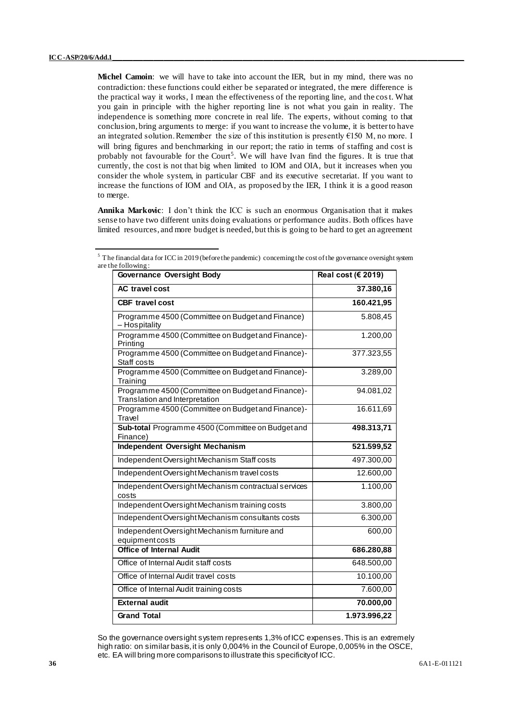**Michel Camoin**: we will have to take into account the IER, but in my mind, there was no contradiction: these functions could either be separated or integrated, the mere difference is the practical way it works, I mean the effectiveness of the reporting line, and the cost. What you gain in principle with the higher reporting line is not what you gain in reality. The independence is something more concrete in real life. The experts, without coming to that conclusion, bring arguments to merge: if you want to increase the volume, it is better to have an integrated solution. Remember the size of this institution is presently €150 M, no more. I will bring figures and benchmarking in our report; the ratio in terms of staffing and cost is probably not favourable for the Court<sup>5</sup>. We will have Ivan find the figures. It is true that currently, the cost is not that big when limited to IOM and OIA, but it increases when you consider the whole system, in particular CBF and its executive secretariat. If you want to increase the functions of IOM and OIA, as proposed by the IER, I think it is a good reason to merge.

**Annika Markovic**: I don't think the ICC is such an enormous Organisation that it makes sense to have two different units doing evaluations or performance audits. Both offices have limited resources, and more budget is needed, but this is going to be hard to get an agreement

| $\mathbf{u}$ . The rough with $\mathbf{g}$ .<br><b>Governance Oversight Body</b>    | Real cost ( $\epsilon$ 2019) |
|-------------------------------------------------------------------------------------|------------------------------|
| <b>AC</b> travel cost                                                               | 37.380,16                    |
| <b>CBF</b> travel cost                                                              | 160.421,95                   |
| Programme 4500 (Committee on Budget and Finance)<br>- Hospitality                   | 5.808,45                     |
| Programme 4500 (Committee on Budget and Finance)-<br>Printing                       | 1.200,00                     |
| Programme 4500 (Committee on Budget and Finance)-<br>Staff costs                    | 377.323,55                   |
| Programme 4500 (Committee on Budget and Finance)-<br>Training                       | 3.289,00                     |
| Programme 4500 (Committee on Budget and Finance)-<br>Translation and Interpretation | 94.081,02                    |
| Programme 4500 (Committee on Budget and Finance)-<br>Travel                         | 16.611,69                    |
| Sub-total Programme 4500 (Committee on Budget and<br>Finance)                       | 498.313,71                   |
| <b>Independent Oversight Mechanism</b>                                              | 521.599,52                   |
| Independent Oversight Mechanism Staff costs                                         | 497.300,00                   |
| Independent Oversight Mechanism travel costs                                        | 12.600,00                    |
| Independent Oversight Mechanism contractual services<br>costs                       | 1.100,00                     |
| Independent Oversight Mechanism training costs                                      | 3.800,00                     |
| Independent Oversight Mechanism consultants costs                                   | 6.300,00                     |
| Independent Oversight Mechanism furniture and<br>equipmentcosts                     | 600,00                       |
| <b>Office of Internal Audit</b>                                                     | 686.280,88                   |
| Office of Internal Audit staff costs                                                | 648.500,00                   |
| Office of Internal Audit travel costs                                               | 10.100,00                    |
| Office of Internal Audit training costs                                             | 7.600,00                     |
| <b>External audit</b>                                                               | 70.000,00                    |
| <b>Grand Total</b>                                                                  | 1.973.996,22                 |

 $5$  The financial data for ICC in 2019 (before the pandemic) concerning the cost of the governance oversight system are the following

So the governance oversight system represents 1,3% of ICC expenses. This is an extremely high ratio: on similar basis, it is only 0,004% in the Council of Europe, 0,005% in the OSCE, etc. EA will bring more comparisons to illustrate this specificity of ICC.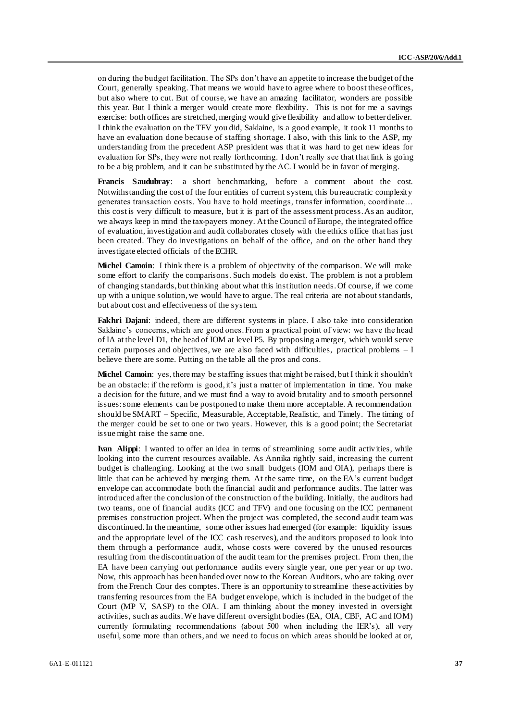on during the budget facilitation. The SPs don't have an appetite to increase the budget of the Court, generally speaking. That means we would have to agree where to boost these offices, but also where to cut. But of course, we have an amazing facilitator, wonders are possible this year. But I think a merger would create more flexibility. This is not for me a savings exercise: both offices are stretched, merging would give flexibility and allow to better deliver. I think the evaluation on the TFV you did, Saklaine, is a good example, it took 11 months to have an evaluation done because of staffing shortage. I also, with this link to the ASP, my understanding from the precedent ASP president was that it was hard to get new ideas for evaluation for SPs, they were not really forthcoming. I don't really see that that link is going to be a big problem, and it can be substituted by the AC. I would be in favor of merging.

**Francis Saudubray**: a short benchmarking, before a comment about the cost. Notwithstanding the cost of the four entities of current system, this bureaucratic complexity generates transaction costs. You have to hold meetings, transfer information, coordinate… this cost is very difficult to measure, but it is part of the assessment process. As an auditor, we always keep in mind the tax-payers money. At the Council of Europe, the integrated office of evaluation, investigation and audit collaborates closely with the ethics office that has just been created. They do investigations on behalf of the office, and on the other hand they investigate elected officials of the ECHR.

**Michel Camoin**: I think there is a problem of objectivity of the comparison. We will make some effort to clarify the comparisons. Such models do exist. The problem is not a problem of changing standards, but thinking about what this institution needs. Of course, if we come up with a unique solution, we would have to argue. The real criteria are not about standards, but about cost and effectiveness of the system.

**Fakhri Dajani**: indeed, there are different systems in place. I also take into consideration Saklaine's concerns, which are good ones. From a practical point of view: we have the head of IA at the level D1, the head of IOM at level P5. By proposing a merger, which would serve certain purposes and objectives, we are also faced with difficulties, practical problems – I believe there are some. Putting on the table all the pros and cons.

**Michel Camoin**: yes, there may be staffing issues that might be raised, but I think it shouldn't be an obstacle: if the reform is good, it's just a matter of implementation in time. You make a decision for the future, and we must find a way to avoid brutality and to smooth personnel issues: some elements can be postponed to make them more acceptable. A recommendation should be SMART – Specific, Measurable, Acceptable, Realistic, and Timely. The timing of the merger could be set to one or two years. However, this is a good point; the Secretariat issue might raise the same one.

**Ivan Alippi**: I wanted to offer an idea in terms of streamlining some audit activities, while looking into the current resources available. As Annika rightly said, increasing the current budget is challenging. Looking at the two small budgets (IOM and OIA), perhaps there is little that can be achieved by merging them. At the same time, on the EA's current budget envelope can accommodate both the financial audit and performance audits. The latter was introduced after the conclusion of the construction of the building. Initially, the auditors had two teams, one of financial audits (ICC and TFV) and one focusing on the ICC permanent premises construction project. When the project was completed, the second audit team was discontinued. In the meantime, some other issues had emerged (for example: liquidity issues and the appropriate level of the ICC cash reserves), and the auditors proposed to look into them through a performance audit, whose costs were covered by the unused resources resulting from the discontinuation of the audit team for the premises project. From then, the EA have been carrying out performance audits every single year, one per year or up two. Now, this approach has been handed over now to the Korean Auditors, who are taking over from the French Cour des comptes. There is an opportunity to streamline these activities by transferring resources from the EA budget envelope, which is included in the budget of the Court (MP V, SASP) to the OIA. I am thinking about the money invested in oversight activities, such as audits. We have different oversight bodies (EA, OIA, CBF, AC and IOM) currently formulating recommendations (about 500 when including the IER's), all very useful, some more than others, and we need to focus on which areas should be looked at or,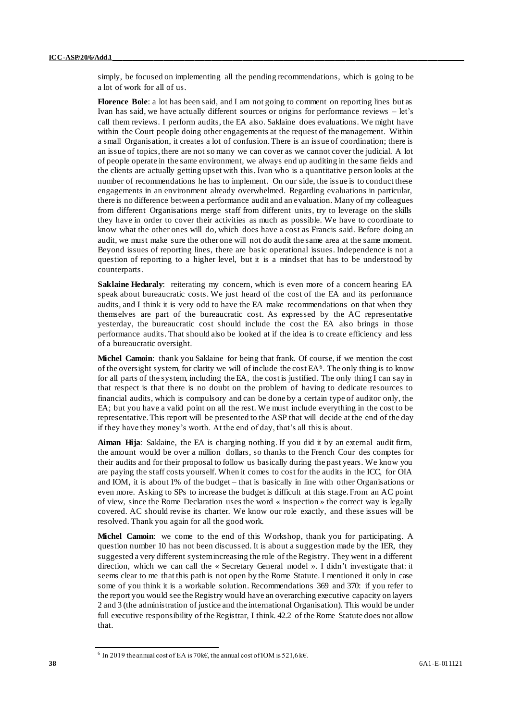simply, be focused on implementing all the pending recommendations, which is going to be a lot of work for all of us.

**Florence Bole**: a lot has been said, and I am not going to comment on reporting lines but as Ivan has said, we have actually different sources or origins for performance reviews – let's call them reviews. I perform audits, the EA also. Saklaine does evaluations. We might have within the Court people doing other engagements at the request of the management. Within a small Organisation, it creates a lot of confusion. There is an issue of coordination; there is an issue of topics, there are not so many we can cover as we cannot cover the judicial. A lot of people operate in the same environment, we always end up auditing in the same fields and the clients are actually getting upset with this. Ivan who is a quantitative person looks at the number of recommendations he has to implement. On our side, the issue is to conduct these engagements in an environment already overwhelmed. Regarding evaluations in particular, there is no difference between a performance audit and an evaluation. Many of my colleagues from different Organisations merge staff from different units, try to leverage on the skills they have in order to cover their activities as much as possible. We have to coordinate to know what the other ones will do, which does have a cost as Francis said. Before doing an audit, we must make sure the other one will not do audit the same area at the same moment. Beyond issues of reporting lines, there are basic operational issues. Independence is not a question of reporting to a higher level, but it is a mindset that has to be understood by counterparts.

**Saklaine Hedaraly**: reiterating my concern, which is even more of a concern hearing EA speak about bureaucratic costs. We just heard of the cost of the EA and its performance audits, and I think it is very odd to have the EA make recommendations on that when they themselves are part of the bureaucratic cost. As expressed by the AC representative yesterday, the bureaucratic cost should include the cost the EA also brings in those performance audits. That should also be looked at if the idea is to create efficiency and less of a bureaucratic oversight.

**Michel Camoin**: thank you Saklaine for being that frank. Of course, if we mention the cost of the oversight system, for clarity we will of include the cost EA<sup>6</sup>. The only thing is to know for all parts of the system, including the EA, the cost is justified. The only thing I can say in that respect is that there is no doubt on the problem of having to dedicate resources to financial audits, which is compulsory and can be done by a certain type of auditor only, the EA; but you have a valid point on all the rest. We must include everything in the cost to be representative. This report will be presented to the ASP that will decide at the end of the day if they have they money's worth. At the end of day, that's all this is about.

**Aiman Hija**: Saklaine, the EA is charging nothing. If you did it by an external audit firm, the amount would be over a million dollars, so thanks to the French Cour des comptes for their audits and for their proposal to follow us basically during the past years. We know you are paying the staff costs yourself. When it comes to cost for the audits in the ICC, for OIA and IOM, it is about 1% of the budget – that is basically in line with other Organisations or even more. Asking to SPs to increase the budget is difficult at this stage. From an AC point of view, since the Rome Declaration uses the word « inspection » the correct way is legally covered. AC should revise its charter. We know our role exactly, and these issues will be resolved. Thank you again for all the good work.

**Michel Camoin**: we come to the end of this Workshop, thank you for participating. A question number 10 has not been discussed. It is about a suggestion made by the IER, they suggested a very different system increasing the role of the Registry. They went in a different direction, which we can call the « Secretary General model ». I didn't investigate that: it seems clear to me that this path is not open by the Rome Statute. I mentioned it only in case some of you think it is a workable solution. Recommendations 369 and 370: if you refer to the report you would see the Registry would have an overarching executive capacity on layers 2 and 3 (the administration of justice and the international Organisation). This would be under full executive responsibility of the Registrar, I think. 42.2 of the Rome Statute does not allow that.

<sup>&</sup>lt;sup>6</sup> In 2019 the annual cost of EA is 70k€, the annual cost of IOM is 521,6 k€.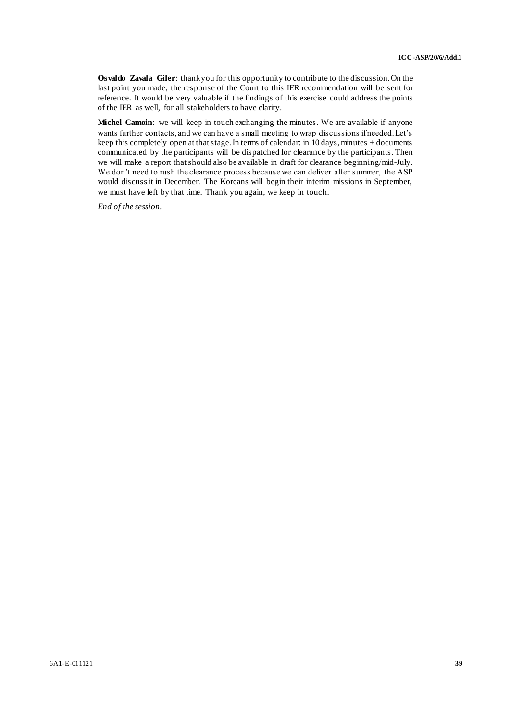**Osvaldo Zavala Giler**: thank you for this opportunity to contribute to the discussion. On the last point you made, the response of the Court to this IER recommendation will be sent for reference. It would be very valuable if the findings of this exercise could address the points of the IER as well, for all stakeholders to have clarity.

**Michel Camoin**: we will keep in touch exchanging the minutes. We are available if anyone wants further contacts, and we can have a small meeting to wrap discussions if needed. Let's keep this completely open at that stage. In terms of calendar: in 10 days, minutes + documents communicated by the participants will be dispatched for clearance by the participants. Then we will make a report that should also be available in draft for clearance beginning/mid-July. We don't need to rush the clearance process because we can deliver after summer, the ASP would discuss it in December. The Koreans will begin their interim missions in September, we must have left by that time. Thank you again, we keep in touch.

*End of the session.*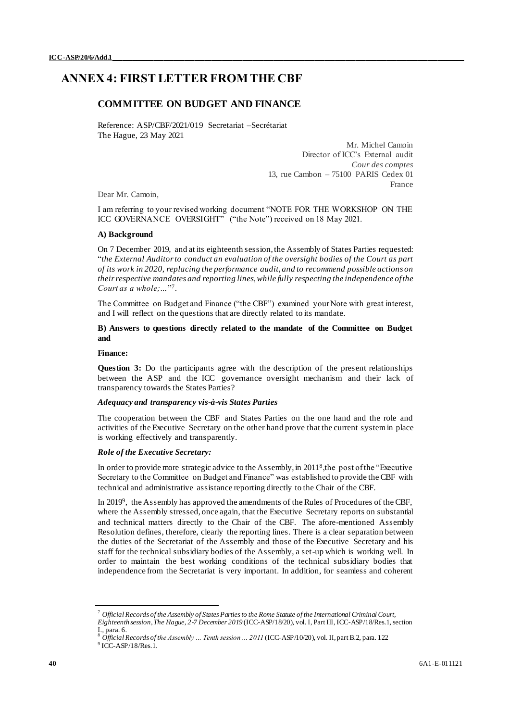# <span id="page-39-0"></span>**ANNEX 4: FIRST LETTER FROM THE CBF**

## **COMMITTEE ON BUDGET AND FINANCE**

Reference: ASP/CBF/2021/019 Secretariat –Secrétariat The Hague, 23 May 2021

> Mr. Michel Camoin Director of ICC's External audit *Cour des comptes* 13, rue Cambon – 75100 PARIS Cedex 01 France

Dear Mr. Camoin,

I am referring to your revised working document "NOTE FOR THE WORKSHOP ON THE ICC GOVERNANCE OVERSIGHT" ("the Note") received on 18 May 2021.

### **A) Background**

On 7 December 2019, and at its eighteenth session, the Assembly of States Parties requested: "*the External Auditor to conduct an evaluation of the oversight bodies of the Court as part of its work in 2020, replacing the performance audit, and to recommend possible actions on their respective mandates and reporting lines, while fully respecting the independence of the*  Court as a whole;..."<sup>7</sup>.

The Committee on Budget and Finance ("the CBF") examined your Note with great interest, and I will reflect on the questions that are directly related to its mandate.

## **B) Answers to questions directly related to the mandate of the Committee on Budget and**

#### **Finance:**

**Question 3:** Do the participants agree with the description of the present relationships between the ASP and the ICC governance oversight mechanism and their lack of transparency towards the States Parties?

### *Adequacy and transparency vis-à-vis States Parties*

The cooperation between the CBF and States Parties on the one hand and the role and activities of the Executive Secretary on the other hand prove that the current system in place is working effectively and transparently.

#### *Role of the Executive Secretary:*

In order to provide more strategic advice to the Assembly, in 2011<sup>8</sup>, the post of the "Executive Secretary to the Committee on Budget and Finance" was established to provide the CBF with technical and administrative assistance reporting directly to the Chair of the CBF.

In 2019<sup>9</sup>, the Assembly has approved the amendments of the Rules of Procedures of the CBF, where the Assembly stressed, once again, that the Executive Secretary reports on substantial and technical matters directly to the Chair of the CBF. The afore-mentioned Assembly Resolution defines, therefore, clearly the reporting lines. There is a clear separation between the duties of the Secretariat of the Assembly and those of the Executive Secretary and his staff for the technical subsidiary bodies of the Assembly, a set-up which is working well. In order to maintain the best working conditions of the technical subsidiary bodies that independence from the Secretariat is very important. In addition, for seamless and coherent

<sup>7</sup> *Official Records of the Assembly of States Parties to the Rome Statute of the International Criminal Court, Eighteenth session, The Hague, 2-7 December 2019* (ICC-ASP/18/20), vol. I, Part III, ICC-ASP/18/Res.1, section I., para. 6.

<sup>8</sup> *Official Records of the Assembly … Tenth session … 2011* (ICC-ASP/10/20), vol. II, part B.2, para. 122  $9$  ICC-ASP/18/Res.1.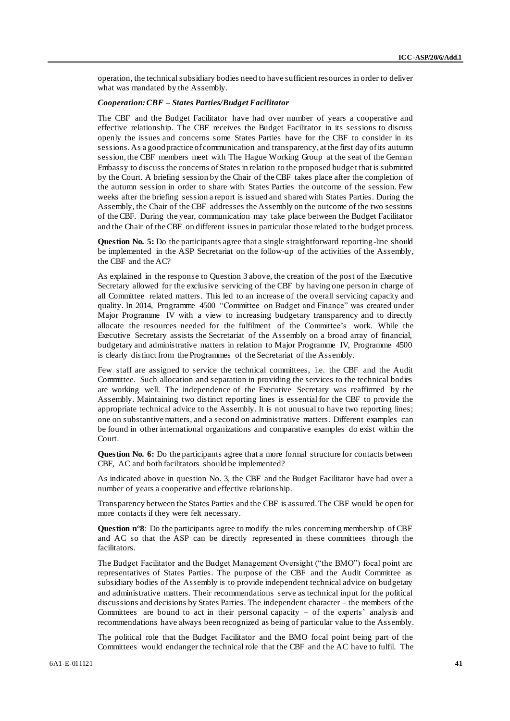operation, the technical subsidiary bodies need to have sufficient resources in order to deliver what was mandated by the Assembly.

#### *Cooperation: CBF – States Parties/Budget Facilitator*

The CBF and the Budget Facilitator have had over number of years a cooperative and effective relationship. The CBF receives the Budget Facilitator in its sessions to discuss openly the issues and concerns some States Parties have for the CBF to consider in its sessions. As a good practice of communication and transparency, at the first day of its autumn session, the CBF members meet with The Hague Working Group at the seat of the German Embassy to discuss the concerns of States in relation to the proposed budget that is submitted by the Court. A briefing session by the Chair of the CBF takes place after the completion of the autumn session in order to share with States Parties the outcome of the session. Few weeks after the briefing session a report is issued and shared with States Parties. During the Assembly, the Chair of the CBF addresses the Assembly on the outcome of the two sessions of the CBF. During the year, communication may take place between the Budget Facilitator and the Chair of the CBF on different issues in particular those related to the budget process.

**Question No. 5:** Do the participants agree that a single straightforward reporting-line should be implemented in the ASP Secretariat on the follow-up of the activities of the Assembly, the CBF and the AC?

As explained in the response to Question 3 above, the creation of the post of the Executive Secretary allowed for the exclusive servicing of the CBF by having one person in charge of all Committee related matters. This led to an increase of the overall servicing capacity and quality. In 2014, Programme 4500 "Committee on Budget and Finance" was created under Major Programme IV with a view to increasing budgetary transparency and to directly allocate the resources needed for the fulfilment of the Committee's work. While the Executive Secretary assists the Secretariat of the Assembly on a broad array of financial, budgetary and administrative matters in relation to Major Programme IV, Programme 4500 is clearly distinct from the Programmes of the Secretariat of the Assembly.

Few staff are assigned to service the technical committees, i.e. the CBF and the Audit Committee. Such allocation and separation in providing the services to the technical bodies are working well. The independence of the Executive Secretary was reaffirmed by the Assembly. Maintaining two distinct reporting lines is essential for the CBF to provide the appropriate technical advice to the Assembly. It is not unusual to have two reporting lines; one on substantive matters, and a second on administrative matters. Different examples can be found in other international organizations and comparative examples do exist within the Court.

Question No. 6: Do the participants agree that a more formal structure for contacts between CBF, AC and both facilitators should be implemented?

As indicated above in question No. 3, the CBF and the Budget Facilitator have had over a number of years a cooperative and effective relationship.

Transparency between the States Parties and the CBF is assured. The CBF would be open for more contacts if they were felt necessary.

**Question n°8**: Do the participants agree to modify the rules concerning membership of CBF and AC so that the ASP can be directly represented in these committees through the facilitators.

The Budget Facilitator and the Budget Management Oversight ("the BMO") focal point are representatives of States Parties. The purpose of the CBF and the Audit Committee as subsidiary bodies of the Assembly is to provide independent technical advice on budgetary and administrative matters. Their recommendations serve as technical input for the political discussions and decisions by States Parties. The independent character – the members of the Committees are bound to act in their personal capacity – of the experts' analysis and recommendations have always been recognized as being of particular value to the Assembly.

The political role that the Budget Facilitator and the BMO focal point being part of the Committees would endanger the technical role that the CBF and the AC have to fulfil. The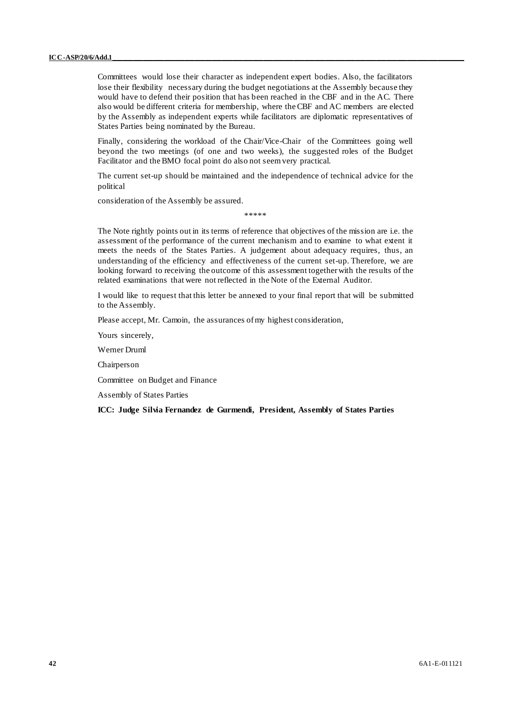Committees would lose their character as independent expert bodies. Also, the facilitators lose their flexibility necessary during the budget negotiations at the Assembly because they would have to defend their position that has been reached in the CBF and in the AC. There also would be different criteria for membership, where the CBF and AC members are elected by the Assembly as independent experts while facilitators are diplomatic representatives of States Parties being nominated by the Bureau.

Finally, considering the workload of the Chair/Vice-Chair of the Committees going well beyond the two meetings (of one and two weeks), the suggested roles of the Budget Facilitator and the BMO focal point do also not seem very practical.

The current set-up should be maintained and the independence of technical advice for the political

consideration of the Assembly be assured.

\*\*\*\*\*

The Note rightly points out in its terms of reference that objectives of the mission are i.e. the assessment of the performance of the current mechanism and to examine to what extent it meets the needs of the States Parties. A judgement about adequacy requires, thus, an understanding of the efficiency and effectiveness of the current set-up. Therefore, we are looking forward to receiving the outcome of this assessment together with the results of the related examinations that were not reflected in the Note of the External Auditor.

I would like to request that this letter be annexed to your final report that will be submitted to the Assembly.

Please accept, Mr. Camoin, the assurances of my highest consideration,

Yours sincerely,

Werner Druml

Chairperson

Committee on Budget and Finance

Assembly of States Parties

#### **ICC: Judge Silvia Fernandez de Gurmendi, President, Assembly of States Parties**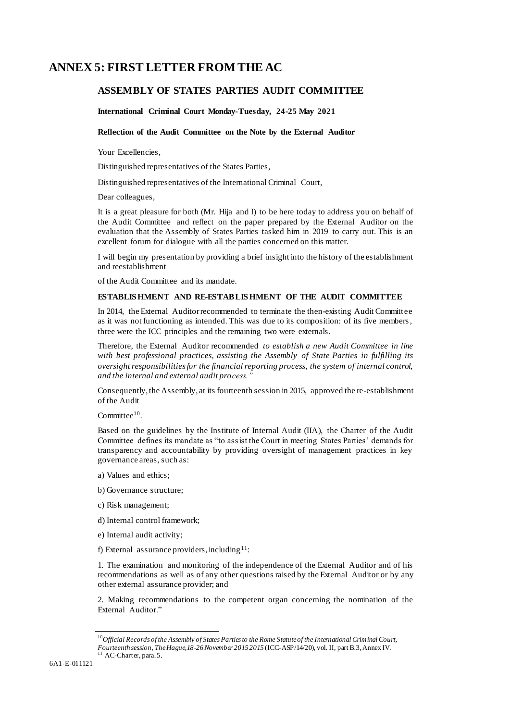# **ANNEX 5: FIRST LETTER FROM THE AC**

# **ASSEMBLY OF STATES PARTIES AUDIT COMMITTEE**

**International Criminal Court Monday-Tuesday, 24-25 May 2021**

### **Reflection of the Audit Committee on the Note by the External Auditor**

Your Excellencies,

Distinguished representatives of the States Parties,

Distinguished representatives of the International Criminal Court,

Dear colleagues,

It is a great pleasure for both (Mr. Hija and I) to be here today to address you on behalf of the Audit Committee and reflect on the paper prepared by the External Auditor on the evaluation that the Assembly of States Parties tasked him in 2019 to carry out. This is an excellent forum for dialogue with all the parties concerned on this matter.

I will begin my presentation by providing a brief insight into the history of the establishment and reestablishment

of the Audit Committee and its mandate.

## **ESTABLIS HMENT AND RE-ESTABLIS HMENT OF THE AUDIT COMMITTEE**

In 2014, the External Auditor recommended to terminate the then-existing Audit Committee as it was not functioning as intended. This was due to its composition: of its five members , three were the ICC principles and the remaining two were externals.

Therefore, the External Auditor recommended *to establish a new Audit Committee in line with best professional practices, assisting the Assembly of State Parties in fulfilling its oversight responsibilities for the financial reporting process, the system of internal control, and the internal and external audit process."*

Consequently, the Assembly, at its fourteenth session in 2015, approved the re-establishment of the Audit

Committee<sup>10</sup>.

Based on the guidelines by the Institute of Internal Audit (IIA), the Charter of the Audit Committee defines its mandate as "to assist the Court in meeting States Parties' demands for transparency and accountability by providing oversight of management practices in key governance areas, such as:

- a) Values and ethics;
- b) Governance structure;
- c) Risk management;
- d) Internal control framework;
- e) Internal audit activity;
- f) External assurance providers, including<sup>11</sup>:

1. The examination and monitoring of the independence of the External Auditor and of his recommendations as well as of any other questions raised by the External Auditor or by any other external assurance provider; and

2. Making recommendations to the competent organ concerning the nomination of the External Auditor."

<sup>10</sup>*Official Records of the Assembly of States Parties to the Rome Statute of the International Criminal Court, Fourteenth session, The Hague,18-26 November 2015 2015* (ICC-ASP/14/20), vol. II, part B.3, Annex IV.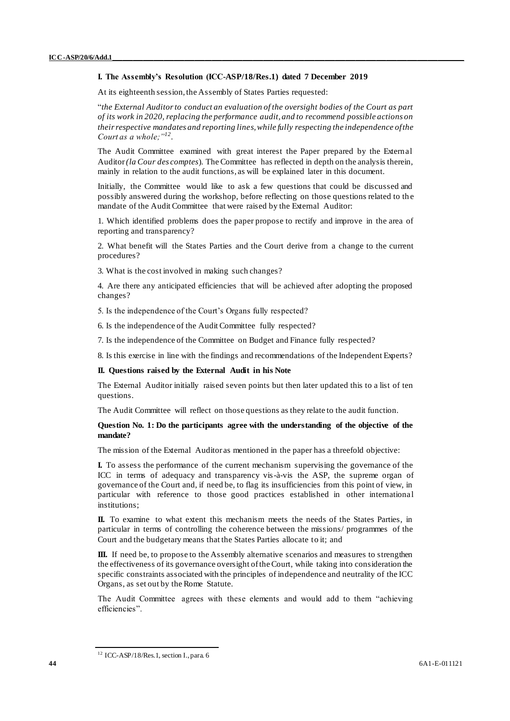### **I. The Assembly's Resolution (ICC-ASP/18/Res.1) dated 7 December 2019**

At its eighteenth session, the Assembly of States Parties requested:

"*the External Auditor to conduct an evaluation of the oversight bodies of the Court as part of its work in 2020, replacing the performance audit, and to recommend possible actions on their respective mandates and reporting lines, while fully respecting the independence of the Court as a whole;"<sup>12</sup>* .

The Audit Committee examined with great interest the Paper prepared by the External Auditor *(la Cour des comptes*). The Committee has reflected in depth on the analysis therein, mainly in relation to the audit functions, as will be explained later in this document.

Initially, the Committee would like to ask a few questions that could be discussed and possibly answered during the workshop, before reflecting on those questions related to th e mandate of the Audit Committee that were raised by the External Auditor:

1. Which identified problems does the paper propose to rectify and improve in the area of reporting and transparency?

2. What benefit will the States Parties and the Court derive from a change to the current procedures?

3. What is the cost involved in making such changes?

4. Are there any anticipated efficiencies that will be achieved after adopting the proposed changes?

5. Is the independence of the Court's Organs fully respected?

6. Is the independence of the Audit Committee fully respected?

7. Is the independence of the Committee on Budget and Finance fully respected?

8. Is this exercise in line with the findings and recommendations of the Independent Experts?

### **II. Questions raised by the External Audit in his Note**

The External Auditor initially raised seven points but then later updated this to a list of ten questions.

The Audit Committee will reflect on those questions as they relate to the audit function.

## **Question No. 1: Do the participants agree with the understanding of the objective of the mandate?**

The mission of the External Auditor as mentioned in the paper has a threefold objective:

**I.** To assess the performance of the current mechanism supervising the governance of the ICC in terms of adequacy and transparency vis-à-vis the ASP, the supreme organ of governance of the Court and, if need be, to flag its insufficiencies from this point of view, in particular with reference to those good practices established in other internationa l institutions;

**II.** To examine to what extent this mechanism meets the needs of the States Parties, in particular in terms of controlling the coherence between the missions/ programmes of the Court and the budgetary means that the States Parties allocate to it; and

**III.** If need be, to propose to the Assembly alternative scenarios and measures to strengthen the effectiveness of its governance oversight of the Court, while taking into consideration the specific constraints associated with the principles of independence and neutrality of the ICC Organs, as set out by the Rome Statute.

The Audit Committee agrees with these elements and would add to them "achieving efficiencies".

<sup>&</sup>lt;sup>12</sup> ICC-ASP/18/Res.1, section I., para. 6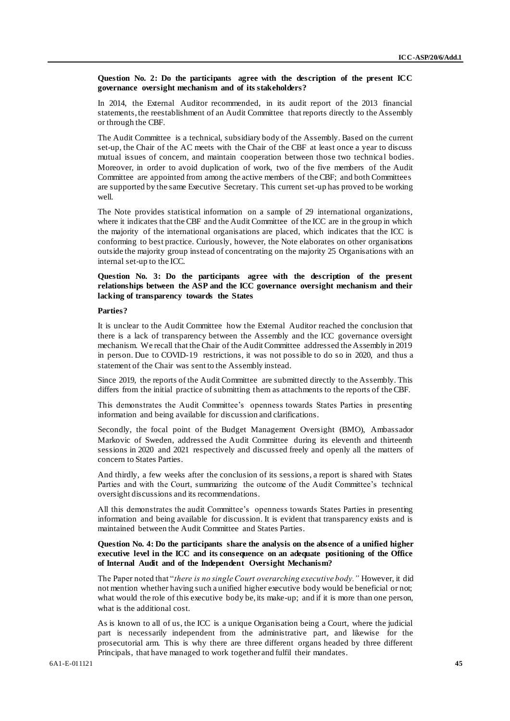**Question No. 2: Do the participants agree with the description of the present ICC governance oversight mechanism and of its stakeholders?**

In 2014, the External Auditor recommended, in its audit report of the 2013 financial statements, the reestablishment of an Audit Committee that reports directly to the Assembly or through the CBF.

The Audit Committee is a technical, subsidiary body of the Assembly. Based on the current set-up, the Chair of the AC meets with the Chair of the CBF at least once a year to discuss mutual issues of concern, and maintain cooperation between those two technical bodies. Moreover, in order to avoid duplication of work, two of the five members of the Audit Committee are appointed from among the active members of the CBF; and both Committees are supported by the same Executive Secretary. This current set-up has proved to be working well.

The Note provides statistical information on a sample of 29 international organizations, where it indicates that the CBF and the Audit Committee of the ICC are in the group in which the majority of the international organisations are placed, which indicates that the ICC is conforming to best practice. Curiously, however, the Note elaborates on other organisations outside the majority group instead of concentrating on the majority 25 Organisations with an internal set-up to the ICC.

## **Question No. 3: Do the participants agree with the description of the present relationships between the ASP and the ICC governance oversight mechanism and their lacking of transparency towards the States**

#### **Parties?**

It is unclear to the Audit Committee how the External Auditor reached the conclusion that there is a lack of transparency between the Assembly and the ICC governance oversight mechanism. We recall that the Chair of the Audit Committee addressed the Assembly in 2019 in person. Due to COVID-19 restrictions, it was not possible to do so in 2020, and thus a statement of the Chair was sent to the Assembly instead.

Since 2019, the reports of the Audit Committee are submitted directly to the Assembly. This differs from the initial practice of submitting them as attachments to the reports of the CBF.

This demonstrates the Audit Committee's openness towards States Parties in presenting information and being available for discussion and clarifications.

Secondly, the focal point of the Budget Management Oversight (BMO), Ambassador Markovic of Sweden, addressed the Audit Committee during its eleventh and thirteenth sessions in 2020 and 2021 respectively and discussed freely and openly all the matters of concern to States Parties.

And thirdly, a few weeks after the conclusion of its sessions, a report is shared with States Parties and with the Court, summarizing the outcome of the Audit Committee's technical oversight discussions and its recommendations.

All this demonstrates the audit Committee's openness towards States Parties in presenting information and being available for discussion. It is evident that transparency exists and is maintained between the Audit Committee and States Parties.

### **Question No. 4: Do the participants share the analysis on the absence of a unified higher executive level in the ICC and its consequence on an adequate positioning of the Office of Internal Audit and of the Independent Oversight Mechanism?**

The Paper noted that "*there is no single Court overarching executive body."* However, it did not mention whether having such a unified higher executive body would be beneficial or not; what would the role of this executive body be, its make-up; and if it is more than one person, what is the additional cost.

As is known to all of us, the ICC is a unique Organisation being a Court, where the judicial part is necessarily independent from the administrative part, and likewise for the prosecutorial arm. This is why there are three different organs headed by three different Principals, that have managed to work together and fulfil their mandates.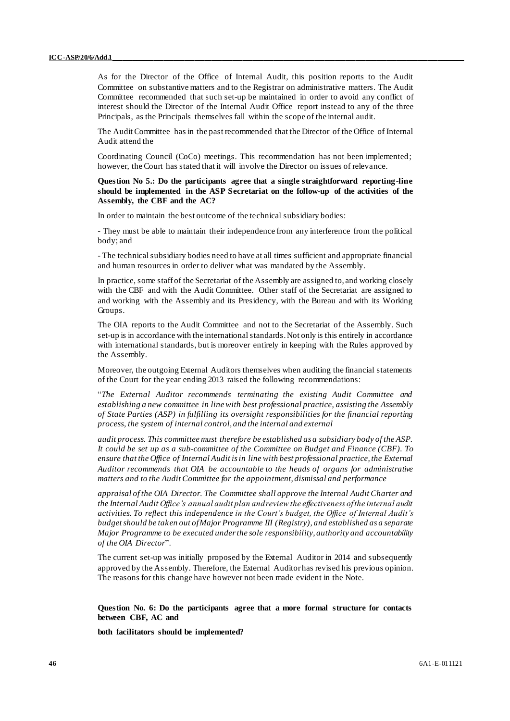As for the Director of the Office of Internal Audit, this position reports to the Audit Committee on substantive matters and to the Registrar on administrative matters. The Audit Committee recommended that such set-up be maintained in order to avoid any conflict of interest should the Director of the Internal Audit Office report instead to any of the three Principals, as the Principals themselves fall within the scope of the internal audit.

The Audit Committee has in the past recommended that the Director of the Office of Internal Audit attend the

Coordinating Council (CoCo) meetings. This recommendation has not been implemented; however, the Court has stated that it will involve the Director on issues of relevance.

**Question No 5.: Do the participants agree that a single straightforward reporting-line should be implemented in the ASP Secretariat on the follow-up of the activities of the Assembly, the CBF and the AC?**

In order to maintain the best outcome of the technical subsidiary bodies:

- They must be able to maintain their independence from any interference from the political body; and

- The technical subsidiary bodies need to have at all times sufficient and appropriate financial and human resources in order to deliver what was mandated by the Assembly.

In practice, some staff of the Secretariat of the Assembly are assigned to, and working closely with the CBF and with the Audit Committee. Other staff of the Secretariat are assigned to and working with the Assembly and its Presidency, with the Bureau and with its Working Groups.

The OIA reports to the Audit Committee and not to the Secretariat of the Assembly. Such set-up is in accordance with the international standards. Not only is this entirely in accordance with international standards, but is moreover entirely in keeping with the Rules approved by the Assembly.

Moreover, the outgoing External Auditors themselves when auditing the financial statements of the Court for the year ending 2013 raised the following recommendations:

"*The External Auditor recommends terminating the existing Audit Committee and establishing a new committee in line with best professional practice, assisting the Assembly of State Parties (ASP) in fulfilling its oversight responsibilities for the financial reporting process, the system of internal control, and the internal and external*

*audit process. This committee must therefore be established as a subsidiary body of the ASP. It could be set up as a sub-committee of the Committee on Budget and Finance (CBF). To ensure that the Office of Internal Audit is in line with best professional practice, the External Auditor recommends that OIA be accountable to the heads of organs for administrative matters and to the Audit Committee for the appointment, dismissal and performance*

*appraisal of the OIA Director. The Committee shall approve the Internal Audit Charter and the Internal Audit Office's annual audit plan and review the effectiveness of the internal audit activities. To reflect this independence in the Court's budget, the Office of Internal Audit's budget should be taken out of Major Programme III (Registry), and established as a separate Major Programme to be executed under the sole responsibility, authority and accountability of the OIA Director*".

The current set-up was initially proposed by the External Auditor in 2014 and subsequently approved by the Assembly. Therefore, the External Auditor has revised his previous opinion. The reasons for this change have however not been made evident in the Note.

### **Question No. 6: Do the participants agree that a more formal structure for contacts between CBF, AC and**

**both facilitators should be implemented?**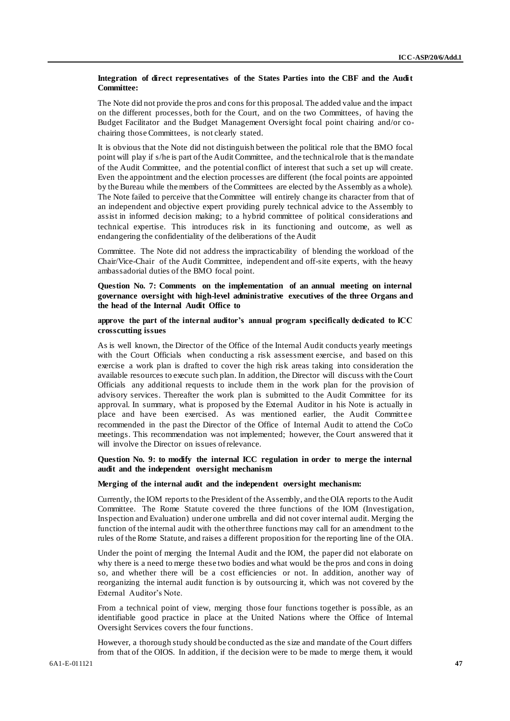### **Integration of direct representatives of the States Parties into the CBF and the Audit Committee:**

The Note did not provide the pros and cons for this proposal. The added value and the impact on the different processes, both for the Court, and on the two Committees, of having the Budget Facilitator and the Budget Management Oversight focal point chairing and/or cochairing those Committees, is not clearly stated.

It is obvious that the Note did not distinguish between the political role that the BMO focal point will play if s/he is part of the Audit Committee, and the technical role that is the mandate of the Audit Committee, and the potential conflict of interest that such a set up will create. Even the appointment and the election processes are different (the focal points are appointed by the Bureau while the members of the Committees are elected by the Assembly as a whole). The Note failed to perceive that the Committee will entirely change its character from that of an independent and objective expert providing purely technical advice to the Assembly to assist in informed decision making; to a hybrid committee of political considerations and technical expertise. This introduces risk in its functioning and outcome, as well as endangering the confidentiality of the deliberations of the Audit

Committee. The Note did not address the impracticability of blending the workload of the Chair/Vice-Chair of the Audit Committee, independent and off-site experts, with the heavy ambassadorial duties of the BMO focal point.

**Question No. 7: Comments on the implementation of an annual meeting on internal governance oversight with high-level administrative executives of the three Organs and the head of the Internal Audit Office to**

**approve the part of the internal auditor's annual program specifically dedicated to ICC crosscutting issues**

As is well known, the Director of the Office of the Internal Audit conducts yearly meetings with the Court Officials when conducting a risk assessment exercise, and based on this exercise a work plan is drafted to cover the high risk areas taking into consideration the available resources to execute such plan. In addition, the Director will discuss with the Court Officials any additional requests to include them in the work plan for the provision of advisory services. Thereafter the work plan is submitted to the Audit Committee for its approval. In summary, what is proposed by the External Auditor in his Note is actually in place and have been exercised. As was mentioned earlier, the Audit Committee recommended in the past the Director of the Office of Internal Audit to attend the CoCo meetings. This recommendation was not implemented; however, the Court answered that it will involve the Director on issues of relevance.

## **Question No. 9: to modify the internal ICC regulation in order to merge the internal audit and the independent oversight mechanism**

## **Merging of the internal audit and the independent oversight mechanism:**

Currently, the IOM reports to the President of the Assembly, and the OIA reports to the Audit Committee. The Rome Statute covered the three functions of the IOM (Investigation, Inspection and Evaluation) under one umbrella and did not cover internal audit. Merging the function of the internal audit with the other three functions may call for an amendment to the rules of the Rome Statute, and raises a different proposition for the reporting line of the OIA.

Under the point of merging the Internal Audit and the IOM, the paper did not elaborate on why there is a need to merge these two bodies and what would be the pros and cons in doing so, and whether there will be a cost efficiencies or not. In addition, another way of reorganizing the internal audit function is by outsourcing it, which was not covered by the External Auditor's Note.

From a technical point of view, merging those four functions together is possible, as an identifiable good practice in place at the United Nations where the Office of Internal Oversight Services covers the four functions.

However, a thorough study should be conducted as the size and mandate of the Court differs from that of the OIOS. In addition, if the decision were to be made to merge them, it would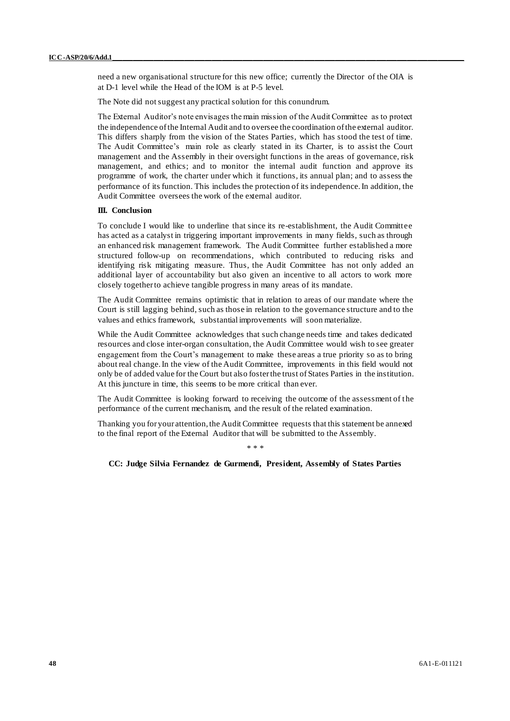need a new organisational structure for this new office; currently the Director of the OIA is at D-1 level while the Head of the IOM is at P-5 level.

The Note did not suggest any practical solution for this conundrum.

The External Auditor's note envisages the main mission of the Audit Committee as to protect the independence of the Internal Audit and to oversee the coordination of the external auditor. This differs sharply from the vision of the States Parties, which has stood the test of time. The Audit Committee's main role as clearly stated in its Charter, is to assist the Court management and the Assembly in their oversight functions in the areas of governance, risk management, and ethics; and to monitor the internal audit function and approve its programme of work, the charter under which it functions, its annual plan; and to assess the performance of its function. This includes the protection of its independence. In addition, the Audit Committee oversees the work of the external auditor.

### **III. Conclusion**

To conclude I would like to underline that since its re-establishment, the Audit Committee has acted as a catalyst in triggering important improvements in many fields, such as through an enhanced risk management framework. The Audit Committee further established a more structured follow-up on recommendations, which contributed to reducing risks and identifying risk mitigating measure. Thus, the Audit Committee has not only added an additional layer of accountability but also given an incentive to all actors to work more closely together to achieve tangible progress in many areas of its mandate.

The Audit Committee remains optimistic that in relation to areas of our mandate where the Court is still lagging behind, such as those in relation to the governance structure and to the values and ethics framework, substantial improvements will soon materialize.

While the Audit Committee acknowledges that such change needs time and takes dedicated resources and close inter-organ consultation, the Audit Committee would wish to see greater engagement from the Court's management to make these areas a true priority so as to bring about real change. In the view of the Audit Committee, improvements in this field would not only be of added value for the Court but also foster the trust of States Parties in the institution. At this juncture in time, this seems to be more critical than ever.

The Audit Committee is looking forward to receiving the outcome of the assessment of the performance of the current mechanism, and the result of the related examination.

Thanking you for your attention, the Audit Committee requests that this statement be annexed to the final report of the External Auditor that will be submitted to the Assembly.

\* \* \*

**CC: Judge Silvia Fernandez de Gurmendi, President, Assembly of States Parties**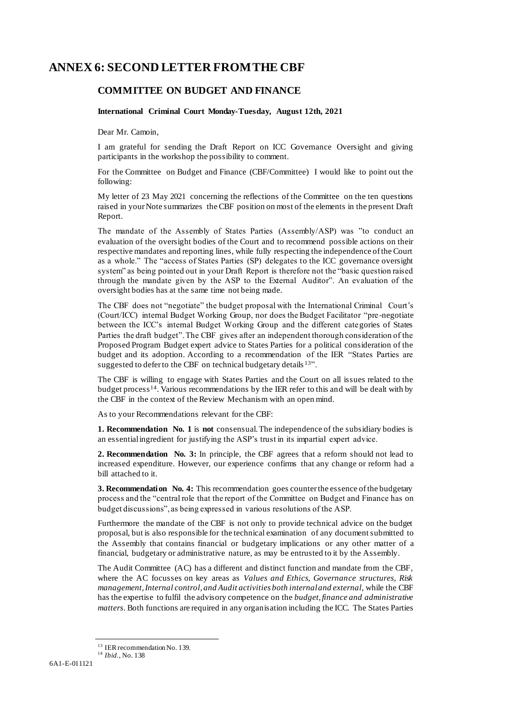# **ANNEX 6: SECOND LETTER FROM THE CBF**

# **COMMITTEE ON BUDGET AND FINANCE**

## **International Criminal Court Monday-Tuesday, August 12th, 2021**

Dear Mr. Camoin,

I am grateful for sending the Draft Report on ICC Governance Oversight and giving participants in the workshop the possibility to comment.

For the Committee on Budget and Finance (CBF/Committee) I would like to point out the following:

My letter of 23 May 2021 concerning the reflections of the Committee on the ten questions raised in your Note summarizes the CBF position on most of the elements in the present Draft Report.

The mandate of the Assembly of States Parties (Assembly/ASP) was "to conduct an evaluation of the oversight bodies of the Court and to recommend possible actions on their respective mandates and reporting lines, while fully respecting the independence of the Court as a whole." The "access of States Parties (SP) delegates to the ICC governance oversight system" as being pointed out in your Draft Report is therefore not the "basic question raised through the mandate given by the ASP to the External Auditor". An evaluation of the oversight bodies has at the same time not being made.

The CBF does not "negotiate" the budget proposal with the International Criminal Court's (Court/ICC) internal Budget Working Group, nor does the Budget Facilitator "pre-negotiate between the ICC's internal Budget Working Group and the different categories of States Parties the draft budget". The CBF gives after an independent thorough consideration of the Proposed Program Budget expert advice to States Parties for a political consideration of the budget and its adoption. According to a recommendation of the IER "States Parties are suggested to defer to the CBF on technical budgetary details <sup>13</sup>".

The CBF is willing to engage with States Parties and the Court on all issues related to the budget process<sup>14</sup>. Various recommendations by the IER refer to this and will be dealt with by the CBF in the context of the Review Mechanism with an open mind.

As to your Recommendations relevant for the CBF:

**1. Recommendation No. 1** is **not** consensual. The independence of the subsidiary bodies is an essential ingredient for justifying the ASP's trust in its impartial expert advice.

**2. Recommendation No. 3:** In principle, the CBF agrees that a reform should not lead to increased expenditure. However, our experience confirms that any change or reform had a bill attached to it.

**3. Recommendation No. 4:** This recommendation goes counter the essence of the budgetary process and the "central role that the report of the Committee on Budget and Finance has on budget discussions", as being expressed in various resolutions of the ASP.

Furthermore the mandate of the CBF is not only to provide technical advice on the budget proposal, but is also responsible for the technical examination of any document submitted to the Assembly that contains financial or budgetary implications or any other matter of a financial, budgetary or administrative nature, as may be entrusted to it by the Assembly.

The Audit Committee (AC) has a different and distinct function and mandate from the CBF, where the AC focusses on key areas as *Values and Ethics, Governance structures, Risk management, Internal control, and Audit activities both internal and external,* while the CBF has the expertise to fulfil the advisory competence on the *budget, finance and administrative matters*. Both functions are required in any organisation including the ICC. The States Parties

<sup>&</sup>lt;sup>13</sup> IER recommendation No. 139.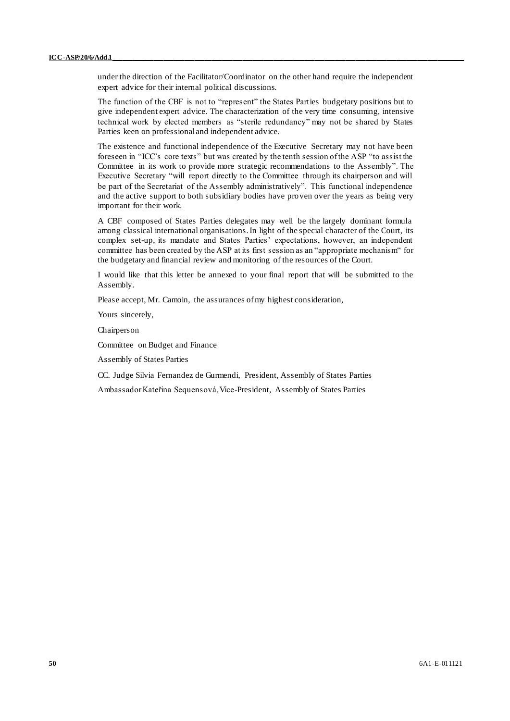under the direction of the Facilitator/Coordinator on the other hand require the independent expert advice for their internal political discussions.

The function of the CBF is not to "represent" the States Parties budgetary positions but to give independent expert advice. The characterization of the very time consuming, intensive technical work by elected members as "sterile redundancy" may not be shared by States Parties keen on professional and independent advice.

The existence and functional independence of the Executive Secretary may not have been foreseen in "ICC's core texts" but was created by the tenth session of the ASP "to assist the Committee in its work to provide more strategic recommendations to the Assembly". The Executive Secretary "will report directly to the Committee through its chairperson and will be part of the Secretariat of the Assembly administratively". This functional independence and the active support to both subsidiary bodies have proven over the years as being very important for their work.

A CBF composed of States Parties delegates may well be the largely dominant formula among classical international organisations. In light of the special character of the Court, its complex set-up, its mandate and States Parties' expectations, however, an independent committee has been created by the ASP at its first session as an "appropriate mechanism" for the budgetary and financial review and monitoring of the resources of the Court.

I would like that this letter be annexed to your final report that will be submitted to the Assembly.

Please accept, Mr. Camoin, the assurances of my highest consideration,

Yours sincerely,

Chairperson

Committee on Budget and Finance

Assembly of States Parties

CC. Judge Silvia Fernandez de Gurmendi, President, Assembly of States Parties

Ambassador Kateřina Sequensová, Vice-President, Assembly of States Parties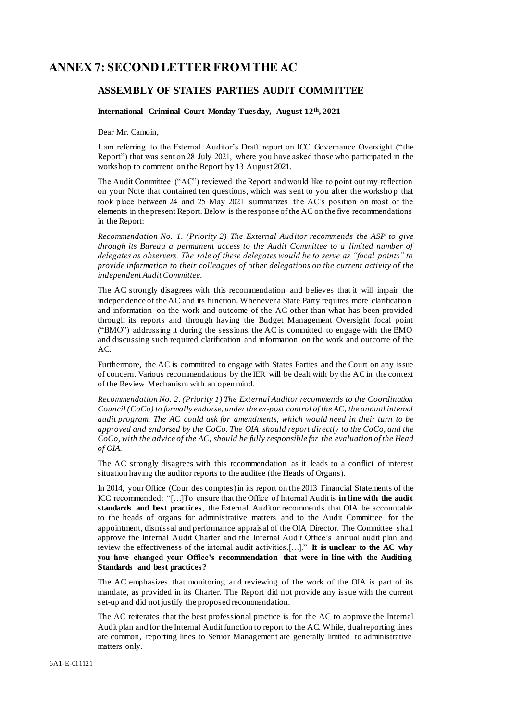# <span id="page-50-0"></span>**ANNEX 7: SECOND LETTER FROM THE AC**

# **ASSEMBLY OF STATES PARTIES AUDIT COMMITTEE**

## **International Criminal Court Monday-Tuesday, August 12th, 2021**

Dear Mr. Camoin,

I am referring to the External Auditor's Draft report on ICC Governance Oversight (" the Report") that was sent on 28 July 2021, where you have asked those who participated in the workshop to comment on the Report by 13 August 2021.

The Audit Committee ("AC") reviewed the Report and would like to point out my reflection on your Note that contained ten questions, which was sent to you after the worksho p that took place between 24 and 25 May 2021 summarizes the AC's position on most of the elements in the present Report. Below is the response of the AC on the five recommendations in the Report:

*Recommendation No. 1. (Priority 2) The External Auditor recommends the ASP to give through its Bureau a permanent access to the Audit Committee to a limited number of delegates as observers. The role of these delegates would be to serve as "focal points" to provide information to their colleagues of other delegations on the current activity of the independent Audit Committee.*

The AC strongly disagrees with this recommendation and believes that it will impair the independence of the AC and its function. Whenever a State Party requires more clarification and information on the work and outcome of the AC other than what has been provided through its reports and through having the Budget Management Oversight focal point ("BMO") addressing it during the sessions, the AC is committed to engage with the BMO and discussing such required clarification and information on the work and outcome of the AC.

Furthermore, the AC is committed to engage with States Parties and the Court on any issue of concern. Various recommendations by the IER will be dealt with by the AC in the context of the Review Mechanism with an open mind.

*Recommendation No. 2. (Priority 1) The External Auditor recommends to the Coordination Council (CoCo) to formally endorse, under the ex-post control of the AC, the annual internal audit program. The AC could ask for amendments, which would need in their turn to be approved and endorsed by the CoCo. The OIA should report directly to the CoCo, and the CoCo, with the advice of the AC, should be fully responsible for the evaluation of the Head of OIA.*

The AC strongly disagrees with this recommendation as it leads to a conflict of interest situation having the auditor reports to the auditee (the Heads of Organs).

In 2014, your Office (Cour des comptes) in its report on the 2013 Financial Statements of the ICC recommended: "[…]To ensure that the Office of Internal Audit is **in line with the audit standards and best practices**, the External Auditor recommends that OIA be accountable to the heads of organs for administrative matters and to the Audit Committee for the appointment, dismissal and performance appraisal of the OIA Director. The Committee shall approve the Internal Audit Charter and the Internal Audit Office's annual audit plan and review the effectiveness of the internal audit activities.[…]." **It is unclear to the AC why you have changed your Office's recommendation that were in line with the Auditing Standards and best practices?**

The AC emphasizes that monitoring and reviewing of the work of the OIA is part of its mandate, as provided in its Charter. The Report did not provide any issue with the current set-up and did not justify the proposed recommendation.

The AC reiterates that the best professional practice is for the AC to approve the Internal Audit plan and for the Internal Audit function to report to the AC. While, dual reporting lines are common, reporting lines to Senior Management are generally limited to administrative matters only.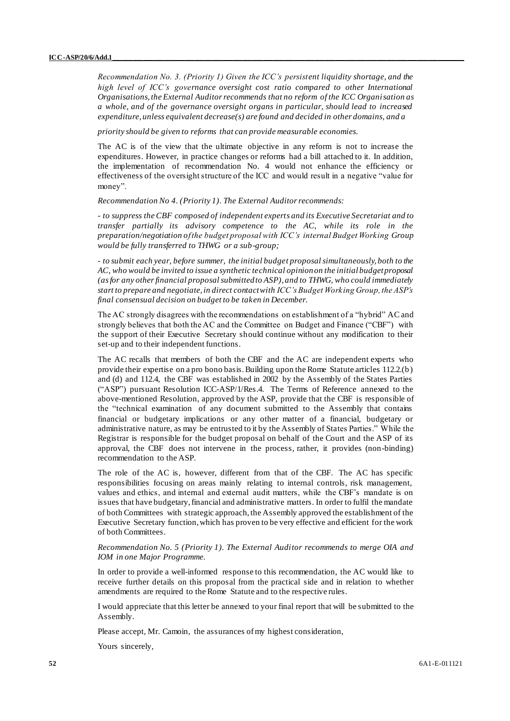*Recommendation No. 3. (Priority 1) Given the ICC's persistent liquidity shortage, and the high level of ICC's governance oversight cost ratio compared to other International Organisations, the External Auditor recommends that no reform of the ICC Organisation as a whole, and of the governance oversight organs in particular, should lead to increased expenditure, unless equivalent decrease(s) are found and decided in other domains, and a*

*priority should be given to reforms that can provide measurable economies.*

The AC is of the view that the ultimate objective in any reform is not to increase the expenditures. However, in practice changes or reforms had a bill attached to it. In addition, the implementation of recommendation No. 4 would not enhance the efficiency or effectiveness of the oversight structure of the ICC and would result in a negative "value for money".

*Recommendation No 4. (Priority 1). The External Auditor recommends:*

- *to suppress the CBF composed of independent experts and its Executive Secretariat and to transfer partially its advisory competence to the AC, while its role in the preparation/negotiation of the budget proposal with ICC's internal Budget Working Group would be fully transferred to THWG or a sub-group;*

- *to submit each year, before summer, the initial budget proposal simultaneously, both to the AC, who would be invited to issue a synthetic technical opinion on the initial budget proposal (as for any other financial proposal submitted to ASP), and to THWG, who could immediately start to prepare and negotiate, in direct contact with ICC's Budget Working Group, the ASP's final consensual decision on budget to be taken in December.*

The AC strongly disagrees with the recommendations on establishment of a "hybrid" AC and strongly believes that both the AC and the Committee on Budget and Finance ("CBF") with the support of their Executive Secretary should continue without any modification to their set-up and to their independent functions.

The AC recalls that members of both the CBF and the AC are independent experts who provide their expertise on a pro bono basis. Building upon the Rome Statute articles 112.2.(b) and (d) and 112.4, the CBF was established in 2002 by the Assembly of the States Parties ("ASP") pursuant Resolution ICC-ASP/1/Res.4. The Terms of Reference annexed to the above-mentioned Resolution, approved by the ASP, provide that the CBF is responsible of the "technical examination of any document submitted to the Assembly that contains financial or budgetary implications or any other matter of a financial, budgetary or administrative nature, as may be entrusted to it by the Assembly of States Parties." While the Registrar is responsible for the budget proposal on behalf of the Court and the ASP of its approval, the CBF does not intervene in the process, rather, it provides (non-binding) recommendation to the ASP.

The role of the AC is, however, different from that of the CBF. The AC has specific responsibilities focusing on areas mainly relating to internal controls, risk management, values and ethics, and internal and external audit matters, while the CBF's mandate is on issues that have budgetary, financial and administrative matters. In order to fulfil the mandate of both Committees with strategic approach, the Assembly approved the establishment of the Executive Secretary function, which has proven to be very effective and efficient for the work of both Committees.

### *Recommendation No. 5 (Priority 1). The External Auditor recommends to merge OIA and IOM in one Major Programme.*

In order to provide a well-informed response to this recommendation, the AC would like to receive further details on this proposal from the practical side and in relation to whether amendments are required to the Rome Statute and to the respective rules.

I would appreciate that this letter be annexed to your final report that will be submitted to the Assembly.

Please accept, Mr. Camoin, the assurances of my highest consideration,

Yours sincerely,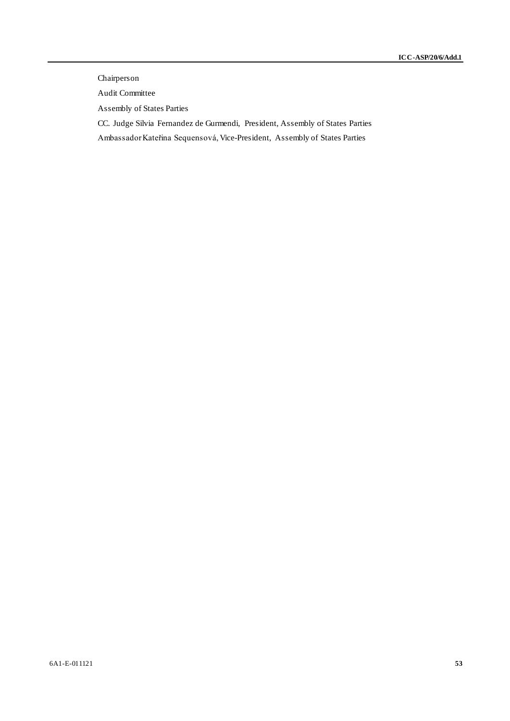# Chairperson

Audit Committee

Assembly of States Parties

CC. Judge Silvia Fernandez de Gurmendi, President, Assembly of States Parties

Ambassador Kateřina Sequensová, Vice-President, Assembly of States Parties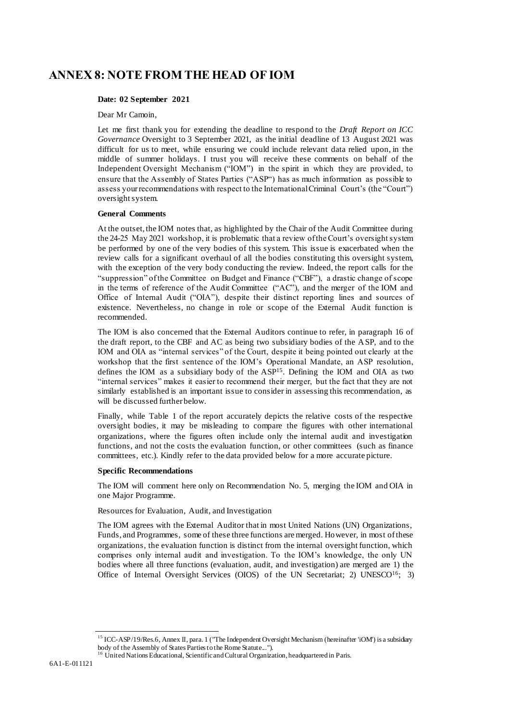# <span id="page-53-0"></span>**ANNEX 8: NOTE FROM THE HEAD OF IOM**

## **Date: 02 September 2021**

Dear Mr Camoin,

Let me first thank you for extending the deadline to respond to the *Draft Report on ICC Governance* Oversight to 3 September 2021, as the initial deadline of 13 August 2021 was difficult for us to meet, while ensuring we could include relevant data relied upon, in the middle of summer holidays. I trust you will receive these comments on behalf of the Independent Oversight Mechanism ("IOM") in the spirit in which they are provided, to ensure that the Assembly of States Parties ("ASP") has as much information as possible to assess your recommendations with respect to the International Criminal Court's (the "Court") oversight system.

### **General Comments**

At the outset, the IOM notes that, as highlighted by the Chair of the Audit Committee during the 24-25 May 2021 workshop, it is problematic that a review of the Court's oversight system be performed by one of the very bodies of this system. This issue is exacerbated when the review calls for a significant overhaul of all the bodies constituting this oversight system, with the exception of the very body conducting the review. Indeed, the report calls for the "suppression" ofthe Committee on Budget and Finance ("CBF"), a drastic change of scope in the terms of reference of the Audit Committee ("AC"), and the merger of the IOM and Office of Internal Audit ("OIA"), despite their distinct reporting lines and sources of existence. Nevertheless, no change in role or scope of the External Audit function is recommended.

The IOM is also concerned that the External Auditors continue to refer, in paragraph 16 of the draft report, to the CBF and AC as being two subsidiary bodies of the ASP, and to the IOM and OIA as "internal services" of the Court, despite it being pointed out clearly at the workshop that the first sentence of the IOM's Operational Mandate, an ASP resolution, defines the IOM as a subsidiary body of the ASP<sup>15</sup>. Defining the IOM and OIA as two "internal services" makes it easier to recommend their merger, but the fact that they are not similarly established is an important issue to consider in assessing this recommendation, as will be discussed further below.

Finally, while Table 1 of the report accurately depicts the relative costs of the respective oversight bodies, it may be misleading to compare the figures with other international organizations, where the figures often include only the internal audit and investigation functions, and not the costs the evaluation function, or other committees (such as finance committees, etc.). Kindly refer to the data provided below for a more accurate picture.

### **Specific Recommendations**

The IOM will comment here only on Recommendation No. 5, merging the IOM and OIA in one Major Programme.

Resources for Evaluation, Audit, and Investigation

The IOM agrees with the External Auditor that in most United Nations (UN) Organizations, Funds, and Programmes, some of these three functions are merged. However, in most of these organizations, the evaluation function is distinct from the internal oversight function, which comprises only internal audit and investigation. To the IOM's knowledge, the only UN bodies where all three functions (evaluation, audit, and investigation) are merged are 1) the Office of Internal Oversight Services (OIOS) of the UN Secretariat; 2) UNESCO<sup>16</sup>; 3)

<sup>&</sup>lt;sup>15</sup> ICC-ASP/19/Res.6, Annex II, para. 1 ("The Independent Oversight Mechanism (hereinafter 'iOM') is a subsidiary body of the Assembly of States Parties to the Rome Statute...").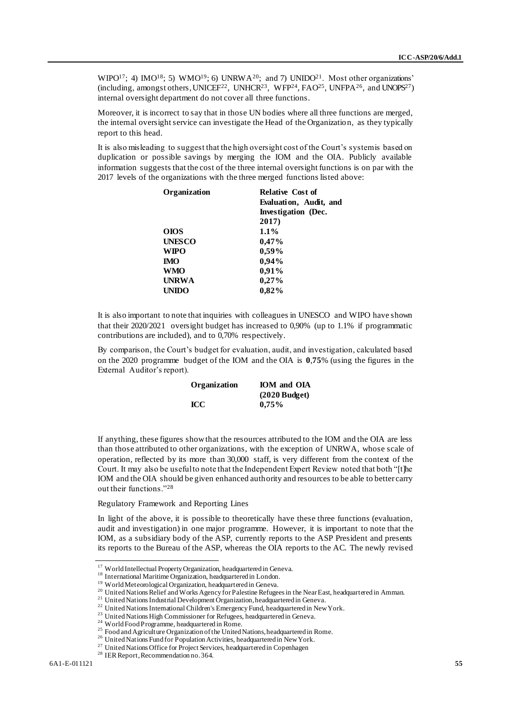WIPO<sup>17</sup>; 4) IMO<sup>18</sup>; 5) WMO<sup>19</sup>; 6) UNRWA<sup>20</sup>; and 7) UNIDO<sup>21</sup>. Most other organizations' (including, amongst others, UNICEF<sup>22</sup>, UNHCR<sup>23</sup>, WFP<sup>24</sup>, FAO<sup>25</sup>, UNFPA<sup>26</sup>, and UNOPS<sup>27</sup>) internal oversight department do not cover all three functions.

Moreover, it is incorrect to say that in those UN bodies where all three functions are merged, the internal oversight service can investigate the Head of the Organization, as they typically report to this head.

It is also misleading to suggest that the high oversight cost of the Court's system is based on duplication or possible savings by merging the IOM and the OIA. Publicly available information suggests that the cost of the three internal oversight functions is on par with the 2017 levels of the organizations with the three merged functions listed above:

| Organization  | Relative Cost of           |
|---------------|----------------------------|
|               | Evaluation, Audit, and     |
|               | <b>Investigation</b> (Dec. |
|               | 2017)                      |
| <b>OIOS</b>   | $1.1\%$                    |
| <b>UNESCO</b> | 0,47%                      |
| <b>WIPO</b>   | $0.59\%$                   |
| <b>IMO</b>    | 0,94%                      |
| <b>WMO</b>    | 0,91%                      |
| <b>UNRWA</b>  | 0,27%                      |
| <b>UNIDO</b>  | 0.82%                      |

It is also important to note that inquiries with colleagues in UNESCO and WIPO have shown that their 2020/2021 oversight budget has increased to 0,90% (up to 1.1% if programmatic contributions are included), and to 0,70% respectively.

By comparison, the Court's budget for evaluation, audit, and investigation, calculated based on the 2020 programme budget of the IOM and the OIA is **0**,**75**% (using the figures in the External Auditor's report).

| Organization | <b>IOM</b> and OIA |
|--------------|--------------------|
|              | $(2020$ Budget)    |
| <b>ICC</b>   | $0,75\%$           |

If anything, these figures show that the resources attributed to the IOM and the OIA are less than those attributed to other organizations, with the exception of UNRWA, whose scale of operation, reflected by its more than 30,000 staff, is very different from the context of the Court. It may also be useful to note that the Independent Expert Review noted that both "[t]he IOM and the OIA should be given enhanced authority and resources to be able to better carry out their functions."<sup>28</sup>

### Regulatory Framework and Reporting Lines

In light of the above, it is possible to theoretically have these three functions (evaluation, audit and investigation) in one major programme. However, it is important to note that the IOM, as a subsidiary body of the ASP, currently reports to the ASP President and presents its reports to the Bureau of the ASP, whereas the OIA reports to the AC. The newly revised

<sup>&</sup>lt;sup>17</sup> World Intellectual Property Organization, headquartered in Geneva.

<sup>&</sup>lt;sup>18</sup> International Maritime Organization, headquartered in London.

<sup>&</sup>lt;sup>19</sup> World Meteorological Organization, headquartered in Geneva.

<sup>&</sup>lt;sup>20</sup> United Nations Relief and Works Agency for Palestine Refugees in the Near East, headquartered in Amman.

<sup>&</sup>lt;sup>21</sup> United Nations Industrial Development Organization, headquartered in Geneva.

<sup>&</sup>lt;sup>22</sup> United Nations International Children's Emergency Fund, headquartered in New York.

<sup>&</sup>lt;sup>23</sup> United Nations High Commissioner for Refugees, headquartered in Geneva.

<sup>&</sup>lt;sup>24</sup> World Food Programme, headquartered in Rome.

<sup>&</sup>lt;sup>25</sup> Food and Agriculture Organization of the United Nations, headquartered in Rome.

<sup>&</sup>lt;sup>26</sup> United Nations Fund for Population Activities, headquartered in New York.

<sup>&</sup>lt;sup>27</sup> United Nations Office for Project Services, headquartered in Copenhagen

<sup>28</sup> IER Report, Recommendation no. 364.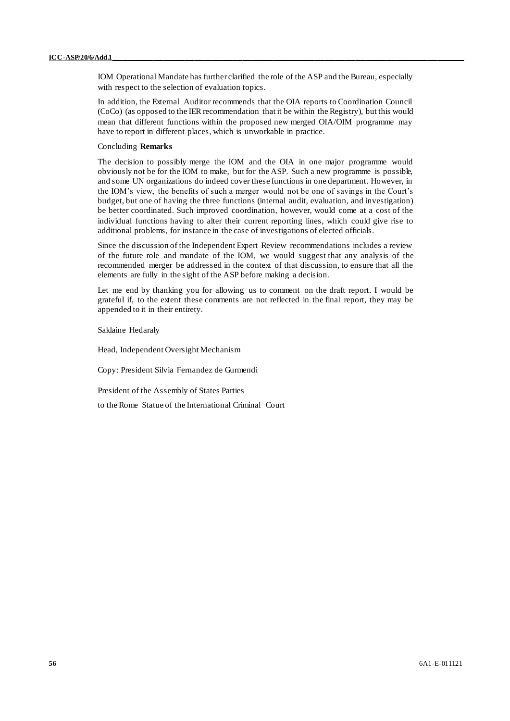IOM Operational Mandate has further clarified the role of the ASP and the Bureau, especially with respect to the selection of evaluation topics.

In addition, the External Auditor recommends that the OIA reports to Coordination Council (CoCo) (as opposed to the IER recommendation that it be within the Registry), but this would mean that different functions within the proposed new merged OIA/OIM programme may have to report in different places, which is unworkable in practice.

### Concluding **Remarks**

The decision to possibly merge the IOM and the OIA in one major programme would obviously not be for the IOM to make, but for the ASP. Such a new programme is possible, and some UN organizations do indeed cover these functions in one department. However, in the IOM's view, the benefits of such a merger would not be one of savings in the Court's budget, but one of having the three functions (internal audit, evaluation, and investigation) be better coordinated. Such improved coordination, however, would come at a cost of the individual functions having to alter their current reporting lines, which could give rise to additional problems, for instance in the case of investigations of elected officials.

Since the discussion of the Independent Expert Review recommendations includes a review of the future role and mandate of the IOM, we would suggest that any analysis of the recommended merger be addressed in the context of that discussion, to ensure that all the elements are fully in the sight of the ASP before making a decision.

Let me end by thanking you for allowing us to comment on the draft report. I would be grateful if, to the extent these comments are not reflected in the final report, they may be appended to it in their entirety.

Saklaine Hedaraly

Head, Independent Oversight Mechanism

Copy: President Silvia Fernandez de Gurmendi

President of the Assembly of States Parties

to the Rome Statue of the International Criminal Court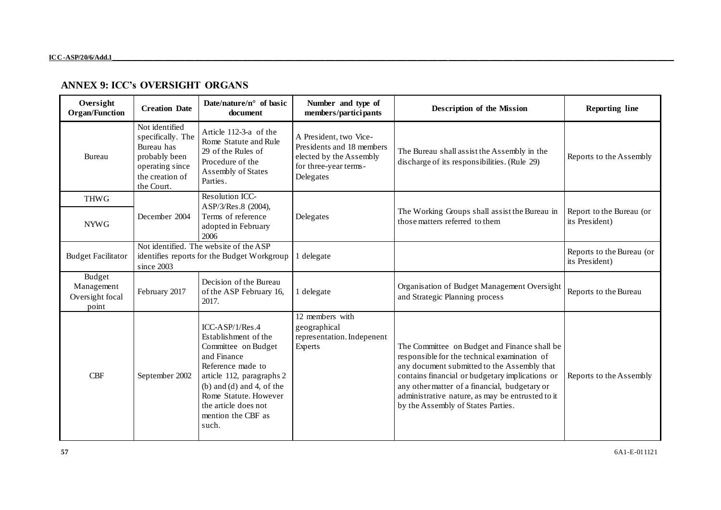# **ANNEX 9: ICC's OVERSIGHT ORGANS**

<span id="page-56-0"></span>

| Oversight<br><b>Organ/Function</b>               | <b>Creation Date</b>                                                                                                   | Date/nature/ $n^{\circ}$ of basic<br>document                                                                                                                                                                                                      | Number and type of<br>members/participants                                                                           | Description of the Mission                                                                                                                                                                                                                                                                                                                | <b>Reporting line</b>                       |
|--------------------------------------------------|------------------------------------------------------------------------------------------------------------------------|----------------------------------------------------------------------------------------------------------------------------------------------------------------------------------------------------------------------------------------------------|----------------------------------------------------------------------------------------------------------------------|-------------------------------------------------------------------------------------------------------------------------------------------------------------------------------------------------------------------------------------------------------------------------------------------------------------------------------------------|---------------------------------------------|
| Bureau                                           | Not identified<br>specifically. The<br>Bureau has<br>probably been<br>operating since<br>the creation of<br>the Court. | Article 112-3-a of the<br>Rome Statute and Rule<br>29 of the Rules of<br>Procedure of the<br>Assembly of States<br>Parties.                                                                                                                        | A President, two Vice-<br>Presidents and 18 members<br>elected by the Assembly<br>for three-year terms-<br>Delegates | The Bureau shall assist the Assembly in the<br>discharge of its responsibilities. (Rule 29)                                                                                                                                                                                                                                               | Reports to the Assembly                     |
| <b>THWG</b>                                      |                                                                                                                        | Resolution ICC-                                                                                                                                                                                                                                    |                                                                                                                      |                                                                                                                                                                                                                                                                                                                                           |                                             |
| <b>NYWG</b>                                      | December 2004                                                                                                          | ASP/3/Res.8 (2004),<br>Terms of reference<br>adopted in February<br>2006                                                                                                                                                                           | Delegates                                                                                                            | The Working Groups shall assist the Bureau in<br>those matters referred to them                                                                                                                                                                                                                                                           | Report to the Bureau (or<br>its President)  |
| <b>Budget Facilitator</b>                        | since $2003$                                                                                                           | Not identified. The website of the ASP<br>identifies reports for the Budget Workgroup                                                                                                                                                              | 1 delegate                                                                                                           |                                                                                                                                                                                                                                                                                                                                           | Reports to the Bureau (or<br>its President) |
| Budget<br>Management<br>Oversight focal<br>point | February 2017                                                                                                          | Decision of the Bureau<br>of the ASP February 16,<br>2017.                                                                                                                                                                                         | 1 delegate                                                                                                           | Organisation of Budget Management Oversight<br>and Strategic Planning process                                                                                                                                                                                                                                                             | Reports to the Bureau                       |
| <b>CBF</b>                                       | September 2002                                                                                                         | $ICC-ASP/1/Res.4$<br>Establishment of the<br>Committee on Budget<br>and Finance<br>Reference made to<br>article 112, paragraphs 2<br>$(b)$ and $(d)$ and 4, of the<br>Rome Statute. However<br>the article does not<br>mention the CBF as<br>such. | 12 members with<br>geographical<br>representation. Indepenent<br>Experts                                             | The Committee on Budget and Finance shall be<br>responsible for the technical examination of<br>any document submitted to the Assembly that<br>contains financial or budgetary implications or<br>any other matter of a financial, budgetary or<br>administrative nature, as may be entrusted to it<br>by the Assembly of States Parties. | Reports to the Assembly                     |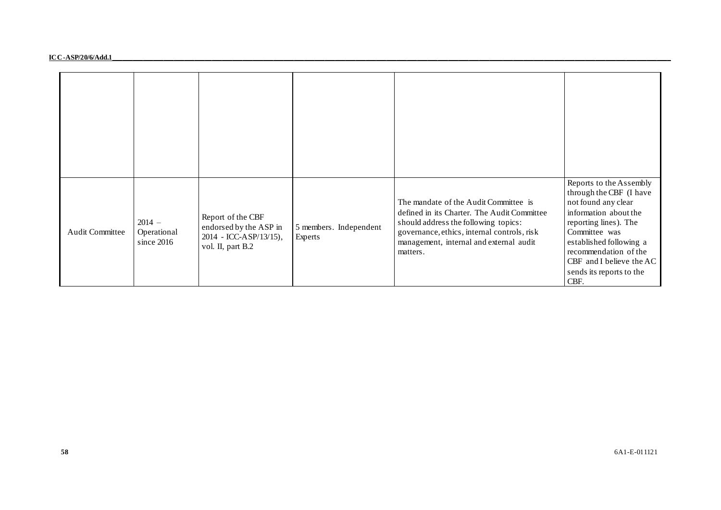#### **ICC-ASP/20/6/Add.1\_\_\_\_\_\_\_\_\_\_\_\_\_\_\_\_\_\_\_\_\_\_\_\_\_\_\_\_\_\_\_\_\_\_\_\_\_\_\_\_\_\_\_\_\_\_\_\_\_\_\_\_\_\_\_\_\_\_\_\_\_\_\_\_\_\_\_\_\_\_\_\_\_\_\_\_\_\_\_\_\_\_\_\_\_\_\_\_\_\_\_\_\_\_\_\_\_\_\_\_\_\_\_\_\_\_\_\_\_\_\_\_\_\_\_\_\_\_\_\_\_\_\_\_\_\_\_\_\_\_\_\_\_\_\_\_\_\_\_\_\_\_\_\_\_\_\_\_\_\_\_\_\_\_\_\_\_\_\_\_\_\_\_**

| <b>Audit Committee</b> | $2014 -$<br>Operational<br>since 2016 | Report of the CBF<br>endorsed by the ASP in<br>2014 - ICC-ASP/13/15),<br>vol. II, part B.2 | 5 members. Independent<br>Experts | The mandate of the Audit Committee is<br>defined in its Charter. The Audit Committee<br>should address the following topics:<br>governance, ethics, internal controls, risk<br>management, internal and external audit<br>matters. | Reports to the Assembly<br>through the CBF (I have<br>not found any clear<br>information about the<br>reporting lines). The<br>Committee was<br>established following a<br>recommendation of the<br>CBF and I believe the AC<br>sends its reports to the<br>CBF. |
|------------------------|---------------------------------------|--------------------------------------------------------------------------------------------|-----------------------------------|------------------------------------------------------------------------------------------------------------------------------------------------------------------------------------------------------------------------------------|------------------------------------------------------------------------------------------------------------------------------------------------------------------------------------------------------------------------------------------------------------------|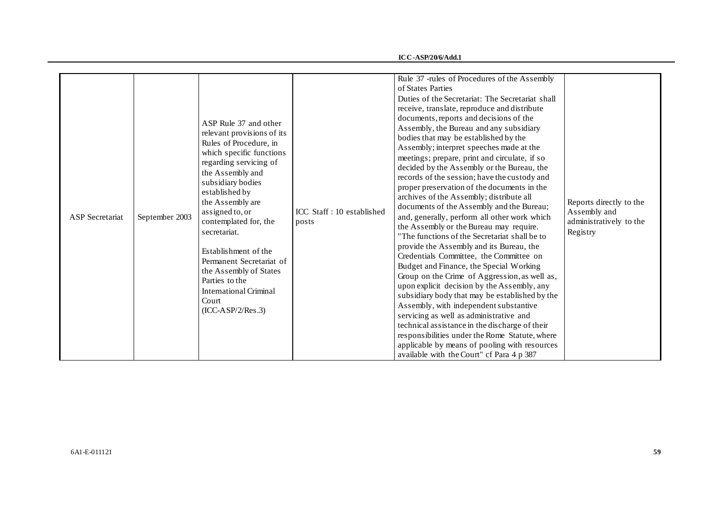**ICC-ASP/20/6/Add.1**

| <b>ASP</b> Secretariat | September 2003 | ASP Rule 37 and other<br>relevant provisions of its<br>Rules of Procedure, in<br>which specific functions<br>regarding servicing of<br>the Assembly and<br>subsidiary bodies<br>established by<br>the Assembly are<br>assigned to, or<br>contemplated for, the<br>secretariat.<br>Establishment of the<br>Permanent Secretariat of<br>the Assembly of States<br>Parties to the<br><b>International Criminal</b><br>Court<br>$(ICC-ASP/2/Res.3)$ | ICC Staff: 10 established<br>posts | Rule 37 -rules of Procedures of the Assembly<br>of States Parties<br>Duties of the Secretariat: The Secretariat shall<br>receive, translate, reproduce and distribute<br>documents, reports and decisions of the<br>Assembly, the Bureau and any subsidiary<br>bodies that may be established by the<br>Assembly; interpret speeches made at the<br>meetings; prepare, print and circulate, if so<br>decided by the Assembly or the Bureau, the<br>records of the session; have the custody and<br>proper preservation of the documents in the<br>archives of the Assembly; distribute all<br>documents of the Assembly and the Bureau;<br>and, generally, perform all other work which<br>the Assembly or the Bureau may require.<br>The functions of the Secretariat shall be to<br>provide the Assembly and its Bureau, the<br>Credentials Committee, the Committee on<br>Budget and Finance, the Special Working<br>Group on the Crime of Aggression, as well as,<br>upon explicit decision by the Assembly, any<br>subsidiary body that may be established by the<br>Assembly, with independent substantive<br>servicing as well as administrative and<br>technical assistance in the discharge of their<br>responsibilities under the Rome Statute, where | Reports directly to the<br>Assembly and<br>administratively to the<br>Registry |
|------------------------|----------------|-------------------------------------------------------------------------------------------------------------------------------------------------------------------------------------------------------------------------------------------------------------------------------------------------------------------------------------------------------------------------------------------------------------------------------------------------|------------------------------------|-----------------------------------------------------------------------------------------------------------------------------------------------------------------------------------------------------------------------------------------------------------------------------------------------------------------------------------------------------------------------------------------------------------------------------------------------------------------------------------------------------------------------------------------------------------------------------------------------------------------------------------------------------------------------------------------------------------------------------------------------------------------------------------------------------------------------------------------------------------------------------------------------------------------------------------------------------------------------------------------------------------------------------------------------------------------------------------------------------------------------------------------------------------------------------------------------------------------------------------------------------------------|--------------------------------------------------------------------------------|
|                        |                |                                                                                                                                                                                                                                                                                                                                                                                                                                                 |                                    | applicable by means of pooling with resources<br>available with the Court" cf Para 4 p 387                                                                                                                                                                                                                                                                                                                                                                                                                                                                                                                                                                                                                                                                                                                                                                                                                                                                                                                                                                                                                                                                                                                                                                      |                                                                                |